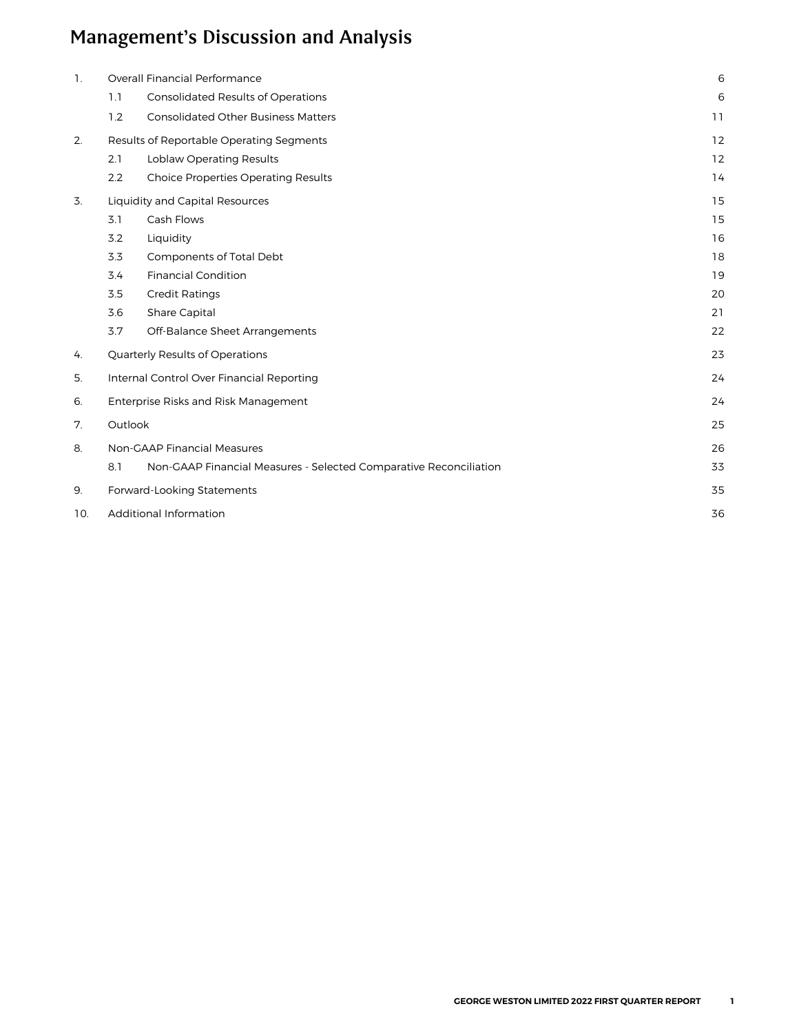| $\mathbf{1}$ . |         | Overall Financial Performance                                     | 6  |
|----------------|---------|-------------------------------------------------------------------|----|
|                | 1.1     | <b>Consolidated Results of Operations</b>                         | 6  |
|                | 1.2     | <b>Consolidated Other Business Matters</b>                        | 11 |
| 2.             |         | Results of Reportable Operating Segments                          | 12 |
|                | 2.1     | Loblaw Operating Results                                          | 12 |
|                | 2.2     | <b>Choice Properties Operating Results</b>                        | 14 |
| 3.             |         | Liquidity and Capital Resources                                   | 15 |
|                | 3.1     | Cash Flows                                                        | 15 |
|                | 3.2     | Liquidity                                                         | 16 |
|                | 3.3     | Components of Total Debt                                          | 18 |
|                | 3.4     | <b>Financial Condition</b>                                        | 19 |
|                | 3.5     | <b>Credit Ratings</b>                                             | 20 |
|                | 3.6     | Share Capital                                                     | 21 |
|                | 3.7     | Off-Balance Sheet Arrangements                                    | 22 |
| 4.             |         | Quarterly Results of Operations                                   | 23 |
| 5.             |         | Internal Control Over Financial Reporting                         | 24 |
| 6.             |         | Enterprise Risks and Risk Management                              | 24 |
| 7.             | Outlook |                                                                   | 25 |
| 8.             |         | <b>Non-GAAP Financial Measures</b>                                | 26 |
|                | 8.1     | Non-GAAP Financial Measures - Selected Comparative Reconciliation | 33 |
| 9.             |         | Forward-Looking Statements                                        | 35 |
| 10.            |         | <b>Additional Information</b>                                     | 36 |
|                |         |                                                                   |    |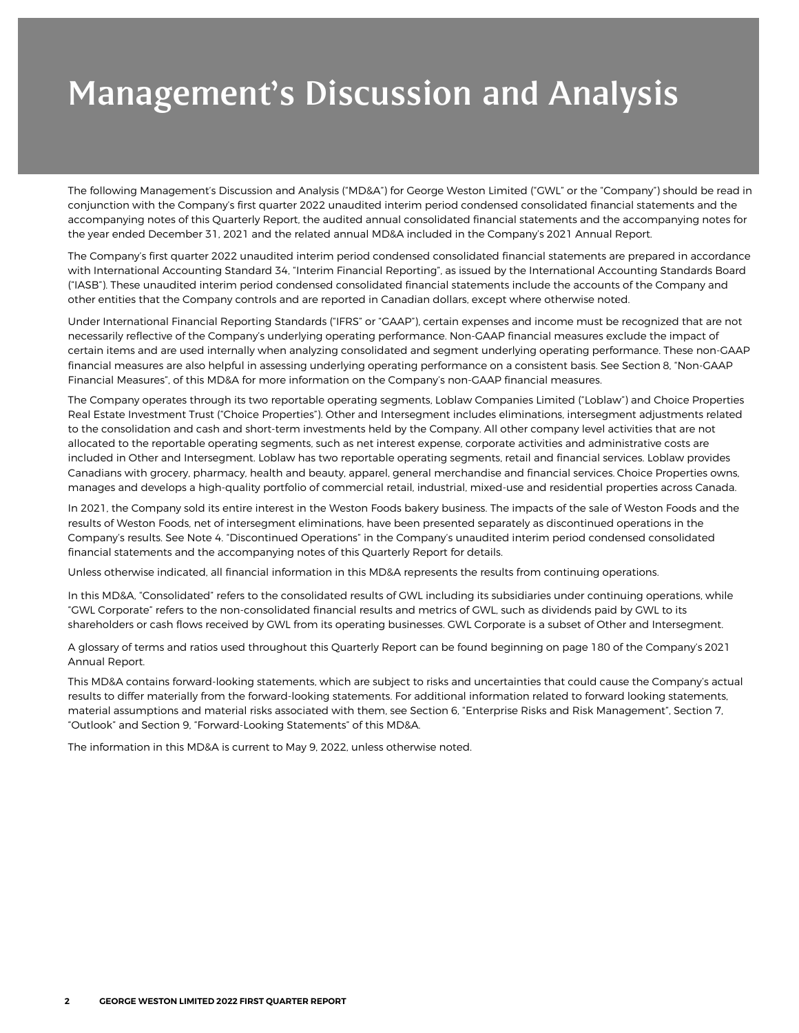The following Management's Discussion and Analysis ("MD&A") for George Weston Limited ("GWL" or the "Company") should be read in conjunction with the Company's first quarter 2022 unaudited interim period condensed consolidated financial statements and the accompanying notes of this Quarterly Report, the audited annual consolidated financial statements and the accompanying notes for the year ended December 31, 2021 and the related annual MD&A included in the Company's 2021 Annual Report.

The Company's first quarter 2022 unaudited interim period condensed consolidated financial statements are prepared in accordance with International Accounting Standard 34, "Interim Financial Reporting", as issued by the International Accounting Standards Board ("IASB"). These unaudited interim period condensed consolidated financial statements include the accounts of the Company and other entities that the Company controls and are reported in Canadian dollars, except where otherwise noted.

Under International Financial Reporting Standards ("IFRS" or "GAAP"), certain expenses and income must be recognized that are not necessarily reflective of the Company's underlying operating performance. Non-GAAP financial measures exclude the impact of certain items and are used internally when analyzing consolidated and segment underlying operating performance. These non-GAAP financial measures are also helpful in assessing underlying operating performance on a consistent basis. See Section 8, "Non-GAAP Financial Measures", of this MD&A for more information on the Company's non-GAAP financial measures.

The Company operates through its two reportable operating segments, Loblaw Companies Limited ("Loblaw") and Choice Properties Real Estate Investment Trust ("Choice Properties"). Other and Intersegment includes eliminations, intersegment adjustments related to the consolidation and cash and short-term investments held by the Company. All other company level activities that are not allocated to the reportable operating segments, such as net interest expense, corporate activities and administrative costs are included in Other and Intersegment. Loblaw has two reportable operating segments, retail and financial services. Loblaw provides Canadians with grocery, pharmacy, health and beauty, apparel, general merchandise and financial services. Choice Properties owns, manages and develops a high-quality portfolio of commercial retail, industrial, mixed-use and residential properties across Canada.

In 2021, the Company sold its entire interest in the Weston Foods bakery business. The impacts of the sale of Weston Foods and the results of Weston Foods, net of intersegment eliminations, have been presented separately as discontinued operations in the Company's results. See Note 4. "Discontinued Operations" in the Company's unaudited interim period condensed consolidated financial statements and the accompanying notes of this Quarterly Report for details.

Unless otherwise indicated, all financial information in this MD&A represents the results from continuing operations.

In this MD&A, "Consolidated" refers to the consolidated results of GWL including its subsidiaries under continuing operations, while "GWL Corporate" refers to the non-consolidated financial results and metrics of GWL, such as dividends paid by GWL to its shareholders or cash flows received by GWL from its operating businesses. GWL Corporate is a subset of Other and Intersegment.

A glossary of terms and ratios used throughout this Quarterly Report can be found beginning on page 180 of the Company's 2021 Annual Report.

This MD&A contains forward-looking statements, which are subject to risks and uncertainties that could cause the Company's actual results to differ materially from the forward-looking statements. For additional information related to forward looking statements, material assumptions and material risks associated with them, see Section 6, "Enterprise Risks and Risk Management", Section 7, "Outlook" and Section 9, "Forward-Looking Statements" of this MD&A.

The information in this MD&A is current to May 9, 2022, unless otherwise noted.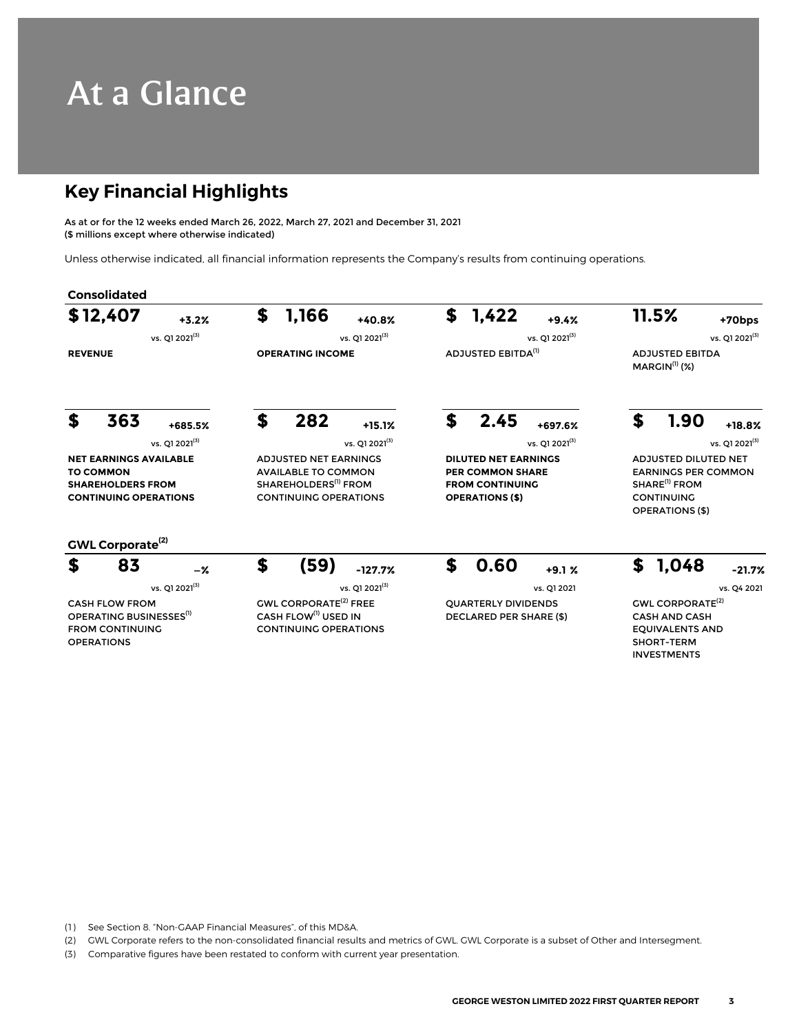# At a Glance

### **Key Financial Highlights**

As at or for the 12 weeks ended March 26, 2022, March 27, 2021 and December 31, 2021 (\$ millions except where otherwise indicated)

Unless otherwise indicated, all financial information represents the Company's results from continuing operations.

|                                                                                                               | \$12,407                                                                                                    | $+3.2%$                    | \$                                                                                                                             | 1,166                                                                                                       | +40.8%                                                                                                     | \$ | 1,422                                                        | $+9.4%$                                                                                                                               | 11.5%                      |                                                                                                                          | +70bps                     |  |
|---------------------------------------------------------------------------------------------------------------|-------------------------------------------------------------------------------------------------------------|----------------------------|--------------------------------------------------------------------------------------------------------------------------------|-------------------------------------------------------------------------------------------------------------|------------------------------------------------------------------------------------------------------------|----|--------------------------------------------------------------|---------------------------------------------------------------------------------------------------------------------------------------|----------------------------|--------------------------------------------------------------------------------------------------------------------------|----------------------------|--|
|                                                                                                               |                                                                                                             | vs. 01 2021 <sup>(3)</sup> |                                                                                                                                |                                                                                                             | vs. 01 2021 <sup>(3)</sup>                                                                                 |    |                                                              | vs. 01 2021 <sup>(3)</sup>                                                                                                            |                            |                                                                                                                          | vs. Q1 2021 <sup>(3)</sup> |  |
| <b>REVENUE</b>                                                                                                |                                                                                                             | <b>OPERATING INCOME</b>    |                                                                                                                                | ADJUSTED EBITDA <sup>(1)</sup>                                                                              |                                                                                                            |    | <b>ADJUSTED EBITDA</b><br>$MARGIN(1)$ (%)                    |                                                                                                                                       |                            |                                                                                                                          |                            |  |
| S                                                                                                             | 363                                                                                                         | +685.5%                    | \$                                                                                                                             | 282                                                                                                         | $+15.1%$                                                                                                   | \$ | 2.45                                                         | +697.6%                                                                                                                               | \$                         | 1.90                                                                                                                     | $+18.8%$                   |  |
|                                                                                                               |                                                                                                             | vs. Q1 2021 <sup>(3)</sup> |                                                                                                                                |                                                                                                             | vs. Q1 2021 <sup>(3)</sup>                                                                                 |    |                                                              | vs. Q1 2021 <sup>(3)</sup>                                                                                                            | vs. Q1 2021 <sup>(3)</sup> |                                                                                                                          |                            |  |
| <b>NET EARNINGS AVAILABLE</b><br><b>TO COMMON</b><br><b>SHAREHOLDERS FROM</b><br><b>CONTINUING OPERATIONS</b> |                                                                                                             |                            | <b>ADJUSTED NET EARNINGS</b><br><b>AVAILABLE TO COMMON</b><br>SHAREHOLDERS <sup>(1)</sup> FROM<br><b>CONTINUING OPERATIONS</b> |                                                                                                             | <b>DILUTED NET EARNINGS</b><br><b>PER COMMON SHARE</b><br><b>FROM CONTINUING</b><br><b>OPERATIONS (\$)</b> |    |                                                              | <b>ADJUSTED DILUTED NET</b><br><b>EARNINGS PER COMMON</b><br>SHARE <sup>(1)</sup> FROM<br><b>CONTINUING</b><br><b>OPERATIONS (\$)</b> |                            |                                                                                                                          |                            |  |
|                                                                                                               | GWL Corporate <sup>(2)</sup>                                                                                |                            |                                                                                                                                |                                                                                                             |                                                                                                            |    |                                                              |                                                                                                                                       |                            |                                                                                                                          |                            |  |
| \$                                                                                                            | 83                                                                                                          | $-\%$                      | \$                                                                                                                             | (59)                                                                                                        | $-127.7%$                                                                                                  | \$ | 0.60                                                         | $+9.1%$                                                                                                                               | \$                         | 1,048                                                                                                                    | $-21.7%$                   |  |
|                                                                                                               |                                                                                                             | vs. Q1 2021(3)             |                                                                                                                                |                                                                                                             | vs. Q1 2021 <sup>(3)</sup>                                                                                 |    |                                                              | vs. Q1 2021                                                                                                                           |                            |                                                                                                                          | vs. Q4 2021                |  |
|                                                                                                               | <b>CASH FLOW FROM</b><br>OPERATING BUSINESSES <sup>(1)</sup><br><b>FROM CONTINUING</b><br><b>OPERATIONS</b> |                            |                                                                                                                                | <b>GWL CORPORATE<sup>(2)</sup> FREE</b><br>CASH FLOW <sup>(1)</sup> USED IN<br><b>CONTINUING OPERATIONS</b> |                                                                                                            |    | <b>OUARTERLY DIVIDENDS</b><br><b>DECLARED PER SHARE (\$)</b> |                                                                                                                                       |                            | <b>GWL CORPORATE<sup>(2)</sup></b><br><b>CASH AND CASH</b><br><b>EQUIVALENTS AND</b><br>SHORT-TERM<br><b>INVESTMENTS</b> |                            |  |

(1) See Section 8. "Non-GAAP Financial Measures", of this MD&A.

(2) GWL Corporate refers to the non-consolidated financial results and metrics of GWL. GWL Corporate is a subset of Other and Intersegment.

(3) Comparative figures have been restated to conform with current year presentation.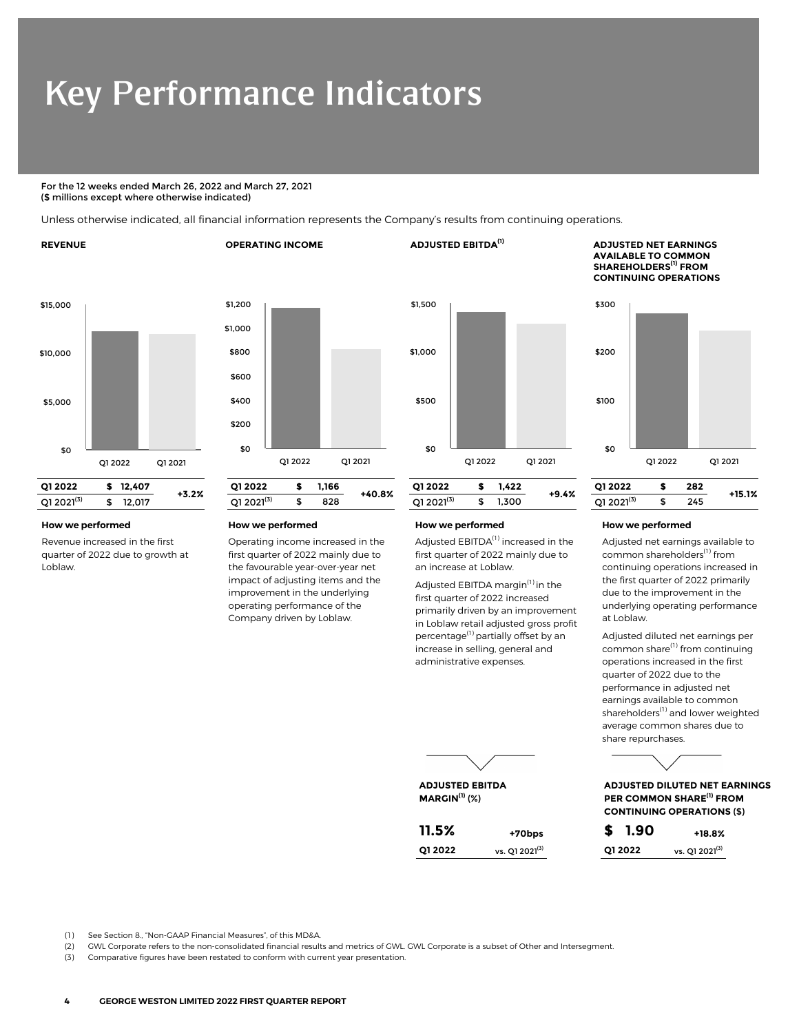# Key Performance Indicators

#### For the 12 weeks ended March 26, 2022 and March 27, 2021 (\$ millions except where otherwise indicated)

Unless otherwise indicated, all financial information represents the Company's results from continuing operations.

#### **REVENUE OPERATING INCOME ADJUSTED EBITDA(1) ADJUSTED NET EARNINGS**





Revenue increased in the first quarter of 2022 due to growth at Loblaw.



Operating income increased in the first quarter of 2022 mainly due to the favourable year-over-year net impact of adjusting items and the improvement in the underlying operating performance of the Company driven by Loblaw.



**ADJUSTED EBITDA MARGIN(1)** (%)

Adjusted EBITDA<sup>(1)</sup> increased in the first quarter of 2022 mainly due to an increase at Loblaw.

Adjusted EBITDA margin<sup>(1)</sup> in the first quarter of 2022 increased primarily driven by an improvement in Loblaw retail adjusted gross profit percentage<sup>(1)</sup> partially offset by an increase in selling, general and administrative expenses.





Adjusted net earnings available to common shareholders<sup>(1)</sup> from continuing operations increased in the first quarter of 2022 primarily due to the improvement in the underlying operating performance at Loblaw.

Adjusted diluted net earnings per common share<sup>(1)</sup> from continuing operations increased in the first quarter of 2022 due to the performance in adjusted net earnings available to common shareholders<sup>(1)</sup> and lower weighted average common shares due to share repurchases.



**ADJUSTED DILUTED NET EARNINGS PER COMMON SHARE(1) FROM CONTINUING OPERATIONS** (\$)

| 11.5%   | +70bps                     | \$ 1.90  | $+18.8%$                   |
|---------|----------------------------|----------|----------------------------|
| Q1 2022 | vs. 01 2021 <sup>(3)</sup> | 01 20 22 | vs. 01 2021 <sup>(3)</sup> |

(1) See Section 8., "Non-GAAP Financial Measures", of this MD&A.

(2) GWL Corporate refers to the non-consolidated financial results and metrics of GWL. GWL Corporate is a subset of Other and Intersegment.

(3) Comparative figures have been restated to conform with current year presentation.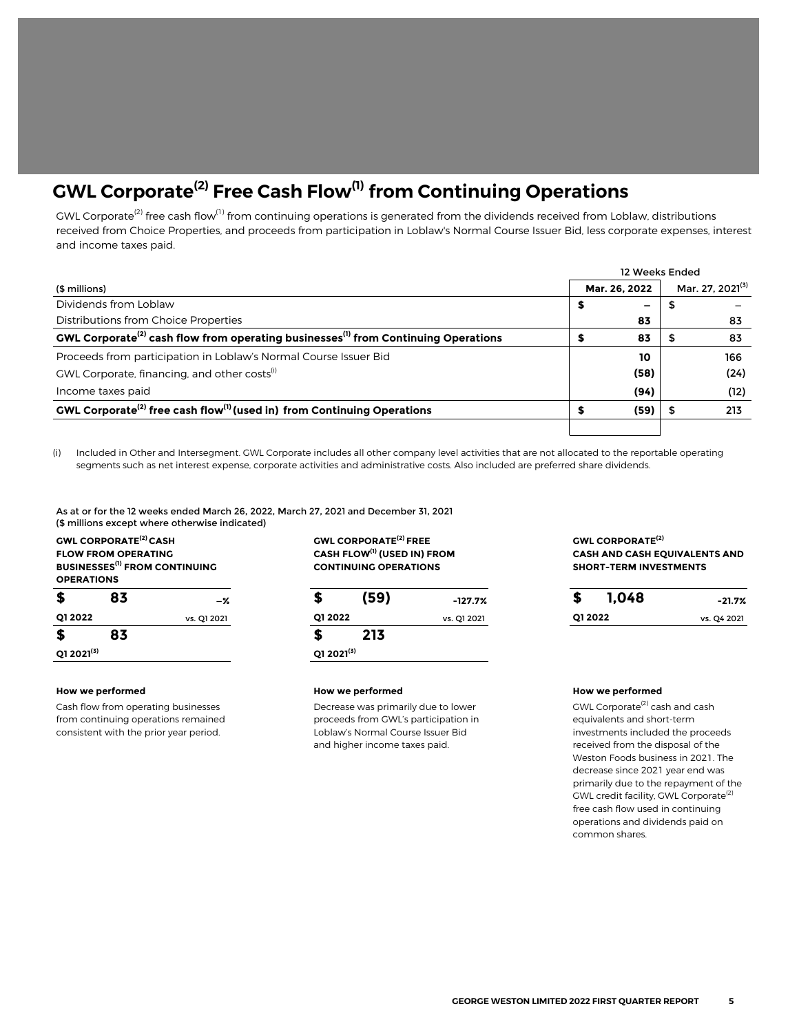## **GWL Corporate(2) Free Cash Flow(1) from Continuing Operations**

GWL Corporate<sup>(2)</sup> free cash flow<sup>(1)</sup> from continuing operations is generated from the dividends received from Loblaw, distributions received from Choice Properties, and proceeds from participation in Loblaw's Normal Course Issuer Bid, less corporate expenses, interest and income taxes paid.

|                                                                                                            |   | 12 Weeks Ended |                              |  |  |
|------------------------------------------------------------------------------------------------------------|---|----------------|------------------------------|--|--|
| (\$ millions)                                                                                              |   | Mar. 26, 2022  | Mar. 27, 2021 <sup>(3)</sup> |  |  |
| Dividends from Loblaw                                                                                      | s | -              |                              |  |  |
| Distributions from Choice Properties                                                                       |   | 83             | 83                           |  |  |
| GWL Corporate <sup>(2)</sup> cash flow from operating businesses <sup>(1)</sup> from Continuing Operations |   | 83             | 83                           |  |  |
| Proceeds from participation in Loblaw's Normal Course Issuer Bid                                           |   | 10             | 166                          |  |  |
| GWL Corporate, financing, and other costs <sup>(i)</sup>                                                   |   | (58)           | (24)                         |  |  |
| Income taxes paid                                                                                          |   | (94)           | (12)                         |  |  |
| GWL Corporate <sup>(2)</sup> free cash flow <sup>(1)</sup> (used in) from Continuing Operations            |   | (59)           | 213                          |  |  |
|                                                                                                            |   |                |                              |  |  |

(i) Included in Other and Intersegment. GWL Corporate includes all other company level activities that are not allocated to the reportable operating segments such as net interest expense, corporate activities and administrative costs. Also included are preferred share dividends.

As at or for the 12 weeks ended March 26, 2022, March 27, 2021 and December 31, 2021 (\$ millions except where otherwise indicated)

**GWL CORPORATE(2) CASH FLOW FROM OPERATING BUSINESSES(1) FROM CONTINUING OPERATIONS \$ 83 \$ 213 Q1 2021(3) Q1 2021(3)**

Cash flow from operating businesses from continuing operations remained consistent with the prior year period.

**GWL CORPORATE(2) FREE CASH FLOW(1) (USED IN) FROM CONTINUING OPERATIONS**

| 83 | -%          | (59) | $-127.7%$                  |  | $-21.7%$         |
|----|-------------|------|----------------------------|--|------------------|
|    | vs. Q1 2021 |      | vs. Q1 2021                |  | vs. Q4 2021      |
| 83 |             | 213  |                            |  |                  |
|    |             |      |                            |  |                  |
|    |             |      | Q1 2022<br>$Q1 2021^{(3)}$ |  | 1,048<br>Q1 2022 |

#### **How we performed How we performed How we performed**

**Decrease was primarily due to lower proceeds from GWL's participation in Loblaw's Normal Course Issuer Bid and higher income taxes paid.**

**GWL CORPORATE(2) CASH AND CASH EQUIVALENTS AND SHORT-TERM INVESTMENTS**

| S        | 1,048 | $-21.7%$    |
|----------|-------|-------------|
| 01 20 22 |       | vs. Q4 2021 |

**GWL Corporate(2) cash and cash equivalents and short-term investments included the proceeds received from the disposal of the Weston Foods business in 2021. The decrease since 2021 year end was primarily due to the repayment of the GWL credit facility, GWL Corporate(2) free cash flow used in continuing operations and dividends paid on common shares.**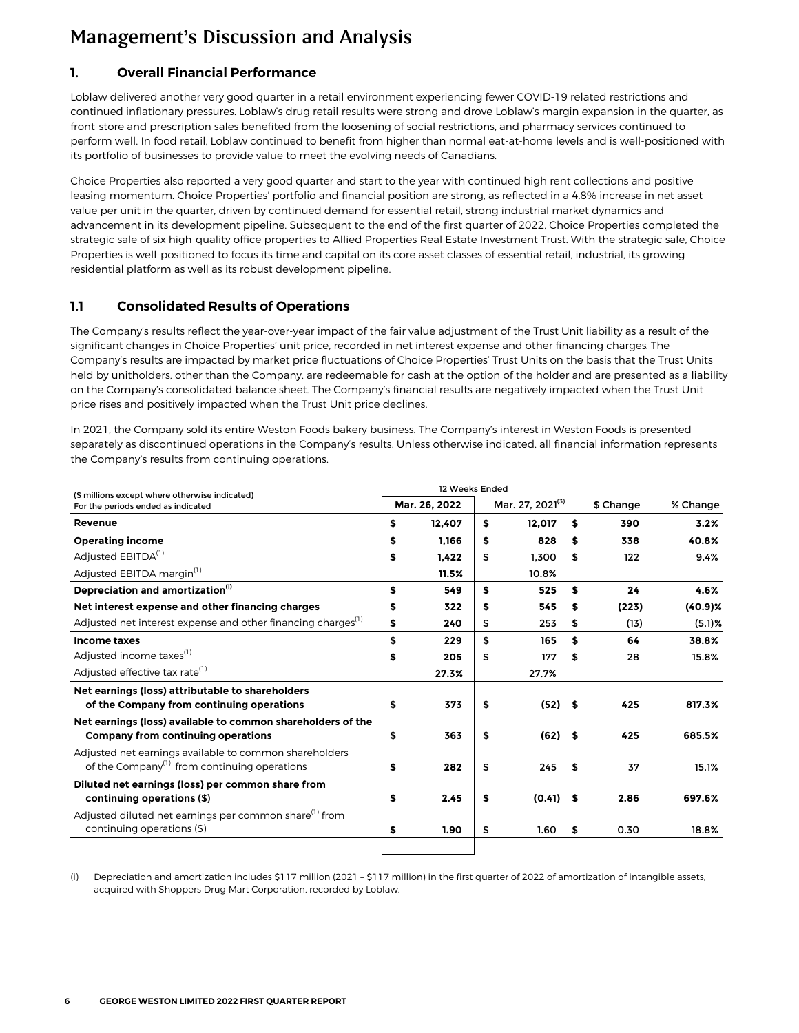### <span id="page-5-0"></span>**1. Overall Financial Performance**

Loblaw delivered another very good quarter in a retail environment experiencing fewer COVID-19 related restrictions and continued inflationary pressures. Loblaw's drug retail results were strong and drove Loblaw's margin expansion in the quarter, as front-store and prescription sales benefited from the loosening of social restrictions, and pharmacy services continued to perform well. In food retail, Loblaw continued to benefit from higher than normal eat-at-home levels and is well-positioned with its portfolio of businesses to provide value to meet the evolving needs of Canadians.

Choice Properties also reported a very good quarter and start to the year with continued high rent collections and positive leasing momentum. Choice Properties' portfolio and financial position are strong, as reflected in a 4.8% increase in net asset value per unit in the quarter, driven by continued demand for essential retail, strong industrial market dynamics and advancement in its development pipeline. Subsequent to the end of the first quarter of 2022, Choice Properties completed the strategic sale of six high-quality office properties to Allied Properties Real Estate Investment Trust. With the strategic sale, Choice Properties is well-positioned to focus its time and capital on its core asset classes of essential retail, industrial, its growing residential platform as well as its robust development pipeline.

### **1.1 Consolidated Results of Operations**

The Company's results reflect the year-over-year impact of the fair value adjustment of the Trust Unit liability as a result of the significant changes in Choice Properties' unit price, recorded in net interest expense and other financing charges. The Company's results are impacted by market price fluctuations of Choice Properties' Trust Units on the basis that the Trust Units held by unitholders, other than the Company, are redeemable for cash at the option of the holder and are presented as a liability on the Company's consolidated balance sheet. The Company's financial results are negatively impacted when the Trust Unit price rises and positively impacted when the Trust Unit price declines.

In 2021, the Company sold its entire Weston Foods bakery business. The Company's interest in Weston Foods is presented separately as discontinued operations in the Company's results. Unless otherwise indicated, all financial information represents the Company's results from continuing operations.

| (\$ millions except where otherwise indicated)                                                                     |               | 12 Weeks Ended |                              | % Change    |     |           |            |
|--------------------------------------------------------------------------------------------------------------------|---------------|----------------|------------------------------|-------------|-----|-----------|------------|
| For the periods ended as indicated                                                                                 | Mar. 26, 2022 |                | Mar. 27, 2021 <sup>(3)</sup> |             |     | \$ Change |            |
| <b>Revenue</b>                                                                                                     | \$            | 12.407         | S                            | 12.017      | s   | 390       | 3.2%       |
| <b>Operating income</b>                                                                                            | \$            | 1.166          | \$                           | 828         | S   | 338       | 40.8%      |
| Adjusted EBITDA <sup>(1)</sup>                                                                                     | \$            | 1.422          | \$                           | 1.300       | \$  | 122       | 9.4%       |
| Adjusted EBITDA margin <sup>(1)</sup>                                                                              |               | 11.5%          |                              | 10.8%       |     |           |            |
| Depreciation and amortization <sup>(i)</sup>                                                                       | \$            | 549            | S                            | 525         | S   | 24        | 4.6%       |
| Net interest expense and other financing charges                                                                   | \$            | 322            | S                            | 545         | S   | (223)     | $(40.9)$ % |
| Adjusted net interest expense and other financing charges <sup>(1)</sup>                                           | \$            | 240            | \$                           | 253         | \$  | (13)      | $(5.1)$ %  |
| Income taxes                                                                                                       | \$            | 229            | S                            | 165         | S   | 64        | 38.8%      |
| Adjusted income taxes <sup>(1)</sup>                                                                               | \$            | 205            | \$                           | 177         | \$  | 28        | 15.8%      |
| Adjusted effective tax rate <sup>(1)</sup>                                                                         |               | 27.3%          |                              | 27.7%       |     |           |            |
| Net earnings (loss) attributable to shareholders                                                                   |               |                |                              |             |     |           |            |
| of the Company from continuing operations                                                                          | \$            | 373            | \$                           | $(52)$ \$   |     | 425       | 817.3%     |
| Net earnings (loss) available to common shareholders of the<br>Company from continuing operations                  | \$            | 363            | \$                           | $(62)$ \$   |     | 425       | 685.5%     |
| Adjusted net earnings available to common shareholders<br>of the Company <sup>(1)</sup> from continuing operations | \$            | 282            | \$                           | 245         | -\$ | 37        | 15.1%      |
| Diluted net earnings (loss) per common share from<br>continuing operations (\$)                                    | \$            | 2.45           | \$                           | $(0.41)$ \$ |     | 2.86      | 697.6%     |
| Adjusted diluted net earnings per common share <sup>(1)</sup> from<br>continuing operations (\$)                   | \$            | 1.90           | \$                           | 1.60        | \$  | 0.30      | 18.8%      |
|                                                                                                                    |               |                |                              |             |     |           |            |

(i) Depreciation and amortization includes \$117 million (2021 – \$117 million) in the first quarter of 2022 of amortization of intangible assets, acquired with Shoppers Drug Mart Corporation, recorded by Loblaw.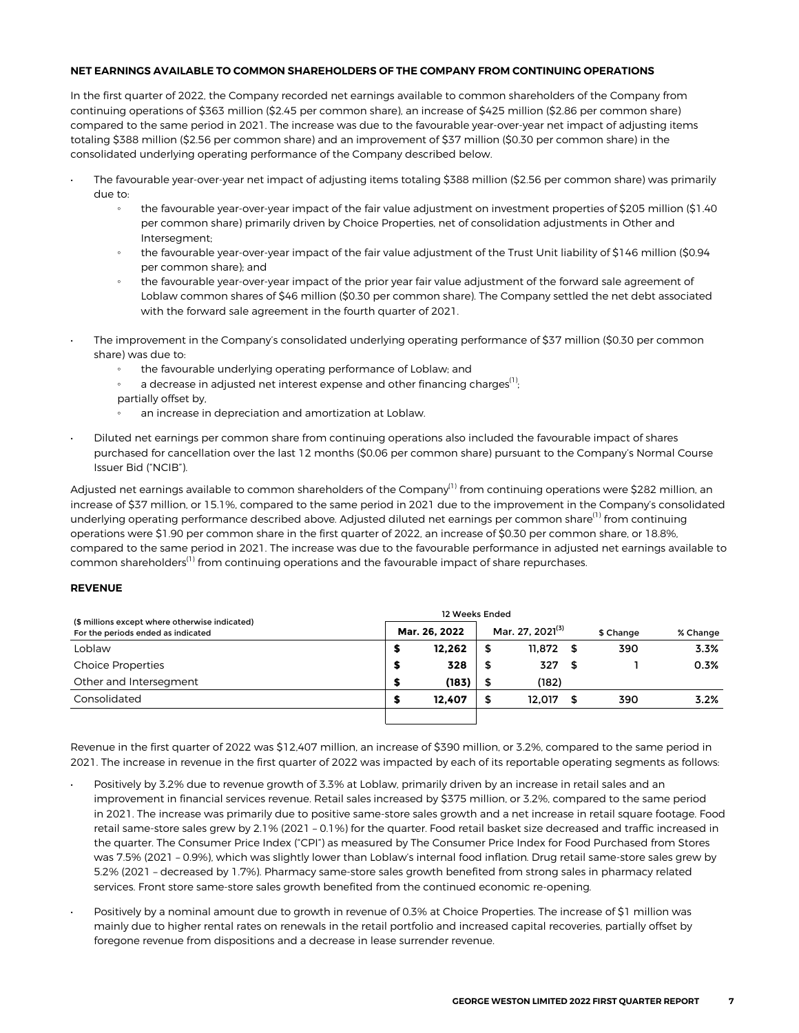#### **NET EARNINGS AVAILABLE TO COMMON SHAREHOLDERS OF THE COMPANY FROM CONTINUING OPERATIONS**

In the first quarter of 2022, the Company recorded net earnings available to common shareholders of the Company from continuing operations of \$363 million (\$2.45 per common share), an increase of \$425 million (\$2.86 per common share) compared to the same period in 2021. The increase was due to the favourable year-over-year net impact of adjusting items totaling \$388 million (\$2.56 per common share) and an improvement of \$37 million (\$0.30 per common share) in the consolidated underlying operating performance of the Company described below.

- The favourable year-over-year net impact of adjusting items totaling \$388 million (\$2.56 per common share) was primarily due to:
	- the favourable year-over-year impact of the fair value adjustment on investment properties of \$205 million (\$1.40 per common share) primarily driven by Choice Properties, net of consolidation adjustments in Other and Intersegment;
	- the favourable year-over-year impact of the fair value adjustment of the Trust Unit liability of \$146 million (\$0.94 per common share); and
	- the favourable year-over-year impact of the prior year fair value adjustment of the forward sale agreement of Loblaw common shares of \$46 million (\$0.30 per common share). The Company settled the net debt associated with the forward sale agreement in the fourth quarter of 2021.
- The improvement in the Company's consolidated underlying operating performance of \$37 million (\$0.30 per common share) was due to:
	- the favourable underlying operating performance of Loblaw; and
	- a decrease in adjusted net interest expense and other financing charges<sup>(1)</sup>; ; partially offset by,
	- an increase in depreciation and amortization at Loblaw.
- Diluted net earnings per common share from continuing operations also included the favourable impact of shares purchased for cancellation over the last 12 months (\$0.06 per common share) pursuant to the Company's Normal Course Issuer Bid ("NCIB").

Adjusted net earnings available to common shareholders of the Company<sup>(1)</sup> from continuing operations were \$282 million, an increase of \$37 million, or 15.1%, compared to the same period in 2021 due to the improvement in the Company's consolidated underlying operating performance described above. Adjusted diluted net earnings per common share<sup>(1)</sup> from continuing operations were \$1.90 per common share in the first quarter of 2022, an increase of \$0.30 per common share, or 18.8%, compared to the same period in 2021. The increase was due to the favourable performance in adjusted net earnings available to common shareholders<sup>(1)</sup> from continuing operations and the favourable impact of share repurchases.

#### **REVENUE**

| (\$ millions except where otherwise indicated)<br>For the periods ended as indicated | Mar. 26. 2022 |        | Mar. 27. 2021 <sup>(3)</sup> |        |      | \$ Change | % Change |
|--------------------------------------------------------------------------------------|---------------|--------|------------------------------|--------|------|-----------|----------|
| Loblaw                                                                               |               | 12.262 | \$                           | 11.872 | - 56 | 390       | 3.3%     |
| <b>Choice Properties</b>                                                             | э             | 328    | \$                           | 327    | 5    |           | 0.3%     |
| Other and Intersegment                                                               |               | (183)  |                              | (182)  |      |           |          |
| Consolidated                                                                         |               | 12.407 | \$                           | 12.017 | \$   | 390       | 3.2%     |
|                                                                                      |               |        |                              |        |      |           |          |

Revenue in the first quarter of 2022 was \$12,407 million, an increase of \$390 million, or 3.2%, compared to the same period in 2021. The increase in revenue in the first quarter of 2022 was impacted by each of its reportable operating segments as follows:

- Positively by 3.2% due to revenue growth of 3.3% at Loblaw, primarily driven by an increase in retail sales and an improvement in financial services revenue. Retail sales increased by \$375 million, or 3.2%, compared to the same period in 2021. The increase was primarily due to positive same-store sales growth and a net increase in retail square footage. Food retail same-store sales grew by 2.1% (2021 – 0.1%) for the quarter. Food retail basket size decreased and traffic increased in the quarter. The Consumer Price Index ("CPI") as measured by The Consumer Price Index for Food Purchased from Stores was 7.5% (2021 – 0.9%), which was slightly lower than Loblaw's internal food inflation. Drug retail same-store sales grew by 5.2% (2021 – decreased by 1.7%). Pharmacy same-store sales growth benefited from strong sales in pharmacy related services. Front store same-store sales growth benefited from the continued economic re-opening.
- Positively by a nominal amount due to growth in revenue of 0.3% at Choice Properties. The increase of \$1 million was mainly due to higher rental rates on renewals in the retail portfolio and increased capital recoveries, partially offset by foregone revenue from dispositions and a decrease in lease surrender revenue.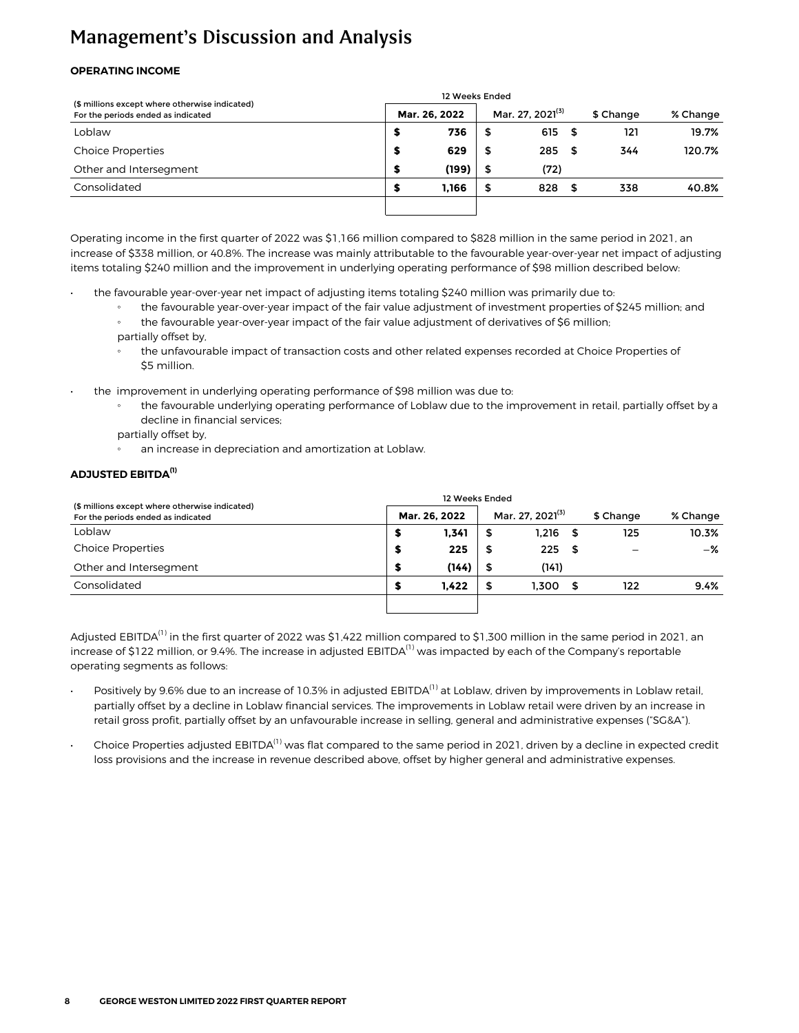#### **OPERATING INCOME**

| (\$ millions except where otherwise indicated) | 12 Weeks Ended |       |                              |      |      |           |          |
|------------------------------------------------|----------------|-------|------------------------------|------|------|-----------|----------|
| For the periods ended as indicated             | Mar. 26, 2022  |       | Mar. 27, 2021 <sup>(3)</sup> |      |      | \$ Change | % Change |
| Loblaw                                         | s              | 736   | \$                           | 615  | - \$ | 121       | 19.7%    |
| <b>Choice Properties</b>                       | \$             | 629   | \$                           | 285  | - \$ | 344       | 120.7%   |
| Other and Intersegment                         | S              | (199) | \$                           | (72) |      |           |          |
| Consolidated                                   | S              | 1.166 | \$                           | 828  | - \$ | 338       | 40.8%    |
|                                                |                |       |                              |      |      |           |          |

Operating income in the first quarter of 2022 was \$1,166 million compared to \$828 million in the same period in 2021, an increase of \$338 million, or 40.8%. The increase was mainly attributable to the favourable year-over-year net impact of adjusting items totaling \$240 million and the improvement in underlying operating performance of \$98 million described below:

- the favourable year-over-year net impact of adjusting items totaling \$240 million was primarily due to:
	- the favourable year-over-year impact of the fair value adjustment of investment properties of \$245 million; and
	- the favourable year-over-year impact of the fair value adjustment of derivatives of \$6 million; partially offset by,
	- the unfavourable impact of transaction costs and other related expenses recorded at Choice Properties of \$5 million.
- the improvement in underlying operating performance of \$98 million was due to:
	- the favourable underlying operating performance of Loblaw due to the improvement in retail, partially offset by a decline in financial services;
	- partially offset by,
	- an increase in depreciation and amortization at Loblaw.

#### **ADJUSTED EBITDA(1)**

| (\$ millions except where otherwise indicated) |               |       |     |                              |      |           |          |
|------------------------------------------------|---------------|-------|-----|------------------------------|------|-----------|----------|
| For the periods ended as indicated             | Mar. 26. 2022 |       |     | Mar. 27. 2021 <sup>(3)</sup> |      | \$ Change | % Change |
| Loblaw                                         | 5             | 1,341 | \$  | 1.216                        | - SS | 125       | 10.3%    |
| <b>Choice Properties</b>                       | 5             | 225   | \$  | 225                          | - \$ |           | -%       |
| Other and Intersegment                         | S             | (144) | -\$ | (141)                        |      |           |          |
| Consolidated                                   | 5             | 1.422 | \$  | 1.300                        | - \$ | 122       | 9.4%     |
|                                                |               |       |     |                              |      |           |          |

Adjusted EBITDA<sup>(1)</sup> in the first quarter of 2022 was \$1,422 million compared to \$1,300 million in the same period in 2021, an increase of \$122 million, or 9.4%. The increase in adjusted EBITDA $^{(1)}$  was impacted by each of the Company's reportable operating segments as follows:

- Positively by 9.6% due to an increase of 10.3% in adjusted EBITDA<sup>(1)</sup> at Loblaw, driven by improvements in Loblaw retail, partially offset by a decline in Loblaw financial services. The improvements in Loblaw retail were driven by an increase in retail gross profit, partially offset by an unfavourable increase in selling, general and administrative expenses ("SG&A").
- Choice Properties adjusted EBITDA<sup>(1)</sup> was flat compared to the same period in 2021, driven by a decline in expected credit loss provisions and the increase in revenue described above, offset by higher general and administrative expenses.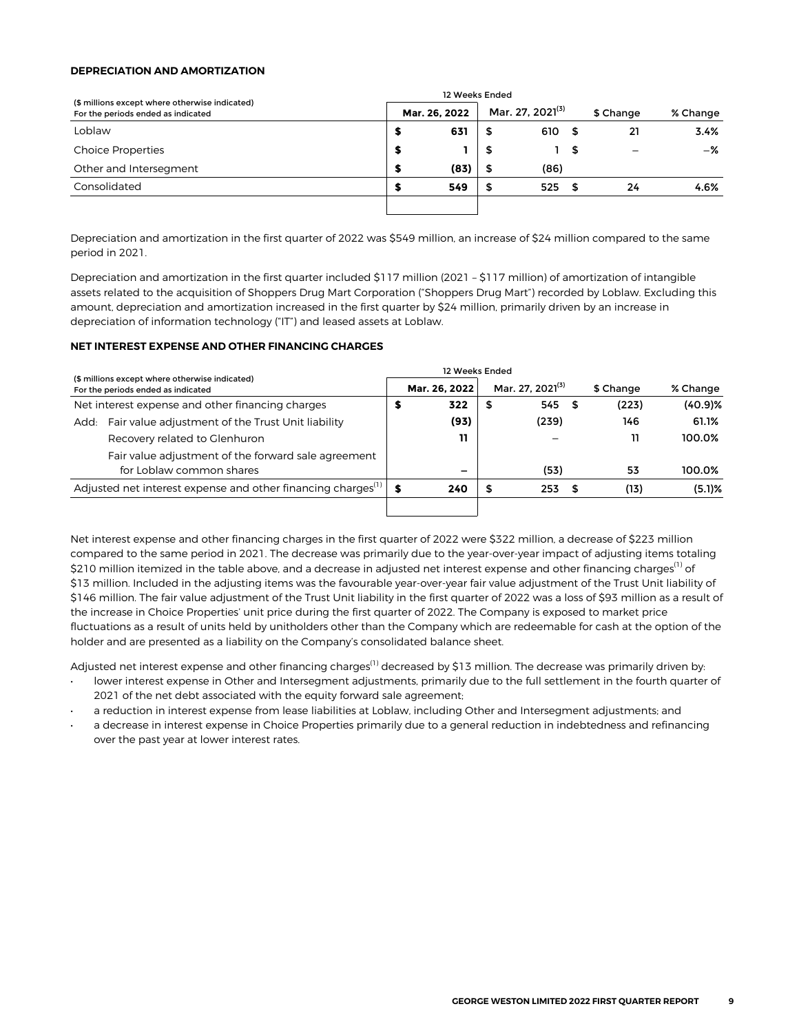#### **DEPRECIATION AND AMORTIZATION**

|                                                                                      | 12 Weeks Ended |               |    |                              |      |           |          |
|--------------------------------------------------------------------------------------|----------------|---------------|----|------------------------------|------|-----------|----------|
| (\$ millions except where otherwise indicated)<br>For the periods ended as indicated |                | Mar. 26, 2022 |    | Mar. 27. 2021 <sup>(3)</sup> |      | \$ Change | % Change |
| Loblaw                                                                               | э              | 631           | \$ | 610                          | - 5  | 21        | 3.4%     |
| <b>Choice Properties</b>                                                             | s              |               | 5  |                              | - 56 |           | -%       |
| Other and Intersegment                                                               | я              | (83)          | \$ | (86)                         |      |           |          |
| Consolidated                                                                         |                | 549           | \$ | 525                          | - 5  | 24        | 4.6%     |
|                                                                                      |                |               |    |                              |      |           |          |

Depreciation and amortization in the first quarter of 2022 was \$549 million, an increase of \$24 million compared to the same period in 2021.

Depreciation and amortization in the first quarter included \$117 million (2021 – \$117 million) of amortization of intangible assets related to the acquisition of Shoppers Drug Mart Corporation ("Shoppers Drug Mart") recorded by Loblaw. Excluding this amount, depreciation and amortization increased in the first quarter by \$24 million, primarily driven by an increase in depreciation of information technology ("IT") and leased assets at Loblaw.

#### **NET INTEREST EXPENSE AND OTHER FINANCING CHARGES**

|                                                                                      |   | 12 Weeks Ended |    |                              |           |            |  |
|--------------------------------------------------------------------------------------|---|----------------|----|------------------------------|-----------|------------|--|
| (\$ millions except where otherwise indicated)<br>For the periods ended as indicated |   | Mar. 26, 2022  |    | Mar. 27. 2021 <sup>(3)</sup> | \$ Change | % Change   |  |
| Net interest expense and other financing charges                                     | 5 | 322            | \$ | 545                          | (223)     | $(40.9)$ % |  |
| Fair value adjustment of the Trust Unit liability<br>Add:                            |   | (93)           |    | (239)                        | 146       | 61.1%      |  |
| Recovery related to Glenhuron                                                        |   | 11             |    |                              | 11        | 100.0%     |  |
| Fair value adjustment of the forward sale agreement                                  |   |                |    |                              |           |            |  |
| for Loblaw common shares                                                             |   |                |    | (53)                         | 53        | 100.0%     |  |
| Adjusted net interest expense and other financing charges <sup>(1)</sup>             |   | 240            | \$ | 253                          | (13)      | $(5.1)$ %  |  |
|                                                                                      |   |                |    |                              |           |            |  |

Net interest expense and other financing charges in the first quarter of 2022 were \$322 million, a decrease of \$223 million compared to the same period in 2021. The decrease was primarily due to the year-over-year impact of adjusting items totaling \$210 million itemized in the table above, and a decrease in adjusted net interest expense and other financing charges<sup>(1)</sup> of \$13 million. Included in the adjusting items was the favourable year-over-year fair value adjustment of the Trust Unit liability of \$146 million. The fair value adjustment of the Trust Unit liability in the first quarter of 2022 was a loss of \$93 million as a result of the increase in Choice Properties' unit price during the first quarter of 2022. The Company is exposed to market price fluctuations as a result of units held by unitholders other than the Company which are redeemable for cash at the option of the holder and are presented as a liability on the Company's consolidated balance sheet.

Adjusted net interest expense and other financing charges<sup>(1)</sup> decreased by \$13 million. The decrease was primarily driven by:

- lower interest expense in Other and Intersegment adjustments, primarily due to the full settlement in the fourth quarter of 2021 of the net debt associated with the equity forward sale agreement;
- a reduction in interest expense from lease liabilities at Loblaw, including Other and Intersegment adjustments; and
- a decrease in interest expense in Choice Properties primarily due to a general reduction in indebtedness and refinancing over the past year at lower interest rates.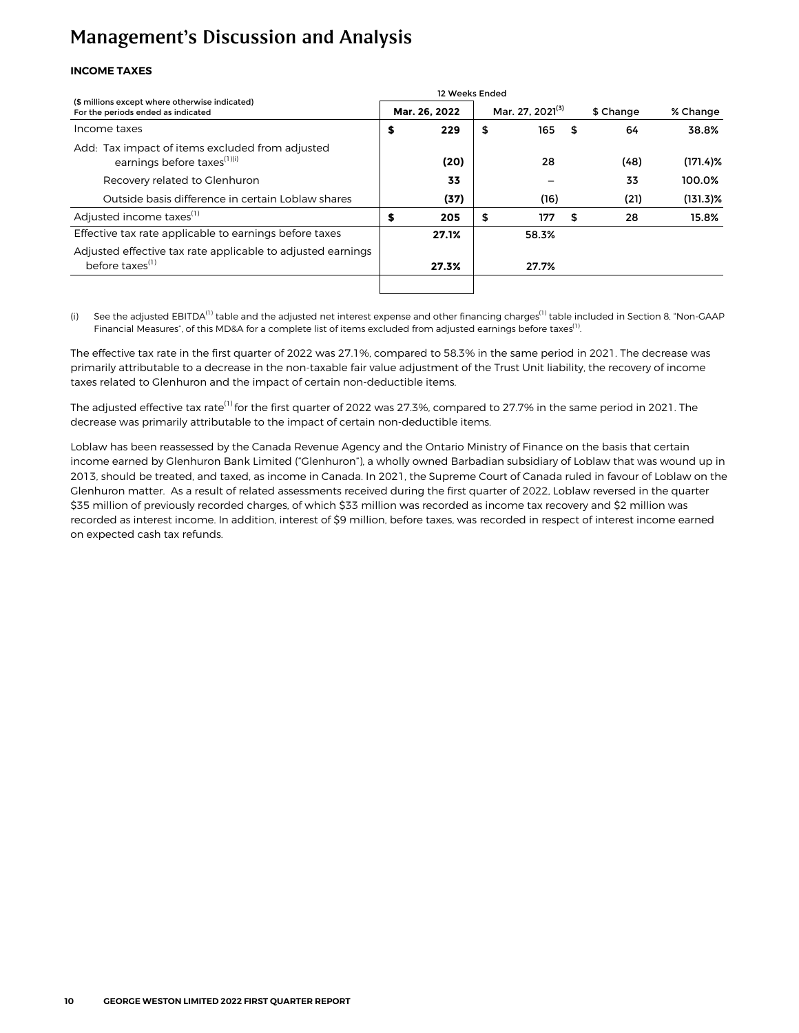#### **INCOME TAXES**

| (\$ millions except where otherwise indicated)<br>For the periods ended as indicated       |    | Mar. 26, 2022 | Mar. 27, 2021 <sup>(3)</sup> |    | \$ Change | % Change    |
|--------------------------------------------------------------------------------------------|----|---------------|------------------------------|----|-----------|-------------|
| Income taxes                                                                               |    | 229           | \$<br>165                    | \$ | 64        | 38.8%       |
| Add: Tax impact of items excluded from adjusted<br>earnings before taxes <sup>(1)(i)</sup> |    | (20)          | 28                           |    | (48)      | $(171.4)$ % |
| Recovery related to Glenhuron                                                              |    | 33            |                              |    | 33        | 100.0%      |
| Outside basis difference in certain Loblaw shares                                          |    | (37)          | (16)                         |    | (21)      | $(131.3)\%$ |
| Adjusted income taxes <sup>(1)</sup>                                                       | \$ | 205           | \$<br>177                    | S  | 28        | 15.8%       |
| Effective tax rate applicable to earnings before taxes                                     |    | 27.1%         | 58.3%                        |    |           |             |
| Adjusted effective tax rate applicable to adjusted earnings<br>before taxes $(1)$          |    | 27.3%         | 27.7%                        |    |           |             |
|                                                                                            |    |               |                              |    |           |             |

(i) See the adjusted EBITDA<sup>(1)</sup> table and the adjusted net interest expense and other financing charges<sup>(1)</sup> table included in Section 8, "Non-GAAP Financial Measures", of this MD&A for a complete list of items excluded from adjusted earnings before taxes<sup>(1)</sup>. .

The effective tax rate in the first quarter of 2022 was 27.1%, compared to 58.3% in the same period in 2021. The decrease was primarily attributable to a decrease in the non-taxable fair value adjustment of the Trust Unit liability, the recovery of income taxes related to Glenhuron and the impact of certain non-deductible items.

The adjusted effective tax rate<sup>(1)</sup> for the first quarter of 2022 was 27.3%, compared to 27.7% in the same period in 2021. The decrease was primarily attributable to the impact of certain non-deductible items.

Loblaw has been reassessed by the Canada Revenue Agency and the Ontario Ministry of Finance on the basis that certain income earned by Glenhuron Bank Limited ("Glenhuron"), a wholly owned Barbadian subsidiary of Loblaw that was wound up in 2013, should be treated, and taxed, as income in Canada. In 2021, the Supreme Court of Canada ruled in favour of Loblaw on the Glenhuron matter. As a result of related assessments received during the first quarter of 2022, Loblaw reversed in the quarter \$35 million of previously recorded charges, of which \$33 million was recorded as income tax recovery and \$2 million was recorded as interest income. In addition, interest of \$9 million, before taxes, was recorded in respect of interest income earned on expected cash tax refunds.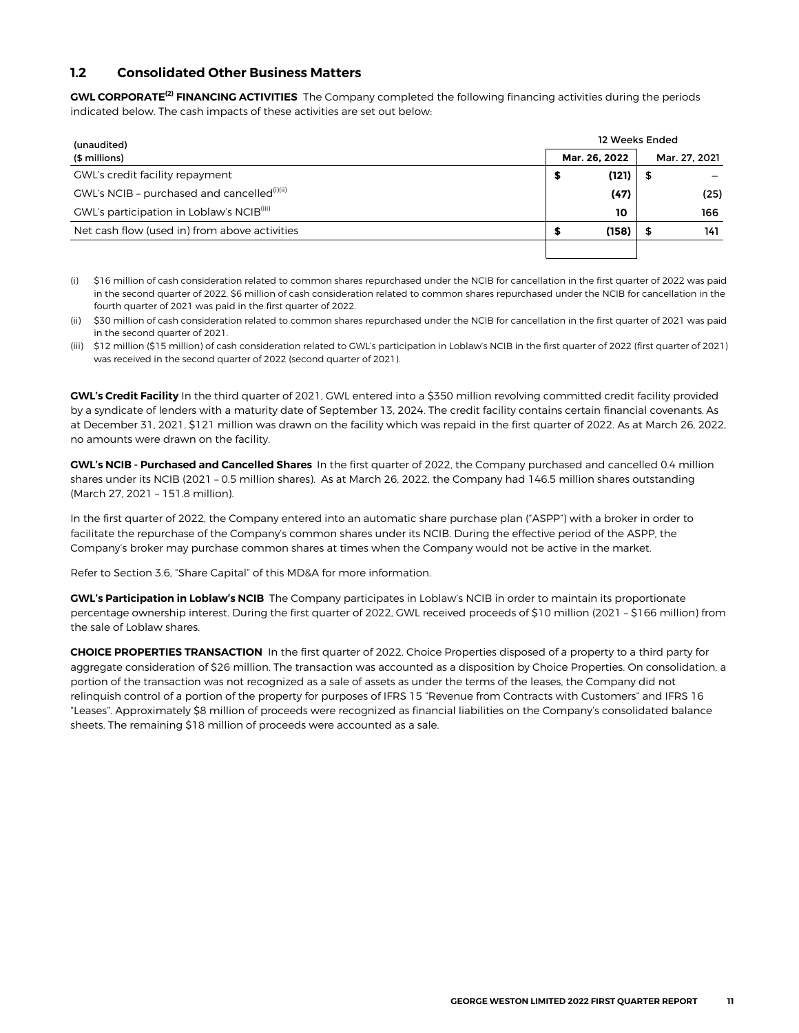#### <span id="page-10-0"></span>**1.2 Consolidated Other Business Matters**

**GWL CORPORATE(2) FINANCING ACTIVITIES** The Company completed the following financing activities during the periods indicated below. The cash impacts of these activities are set out below:

| (unaudited)                                             | 12 Weeks Ended |               |  |  |  |  |  |  |  |  |
|---------------------------------------------------------|----------------|---------------|--|--|--|--|--|--|--|--|
| (\$ millions)                                           | Mar. 26, 2022  | Mar. 27. 2021 |  |  |  |  |  |  |  |  |
| GWL's credit facility repayment                         | (121)<br>5     |               |  |  |  |  |  |  |  |  |
| GWL's NCIB - purchased and cancelled <sup>(i)(ii)</sup> | (47)           | (25)          |  |  |  |  |  |  |  |  |
| GWL's participation in Loblaw's NCIB <sup>(iii)</sup>   | 10             | 166           |  |  |  |  |  |  |  |  |
| Net cash flow (used in) from above activities           | (158)<br>Я     | 141           |  |  |  |  |  |  |  |  |
|                                                         |                |               |  |  |  |  |  |  |  |  |

(i) \$16 million of cash consideration related to common shares repurchased under the NCIB for cancellation in the first quarter of 2022 was paid in the second quarter of 2022. \$6 million of cash consideration related to common shares repurchased under the NCIB for cancellation in the fourth quarter of 2021 was paid in the first quarter of 2022.

(ii) \$30 million of cash consideration related to common shares repurchased under the NCIB for cancellation in the first quarter of 2021 was paid in the second quarter of 2021.

(iii) \$12 million (\$15 million) of cash consideration related to GWL's participation in Loblaw's NCIB in the first quarter of 2022 (first quarter of 2021) was received in the second quarter of 2022 (second quarter of 2021).

**GWL's Credit Facility** In the third quarter of 2021, GWL entered into a \$350 million revolving committed credit facility provided by a syndicate of lenders with a maturity date of September 13, 2024. The credit facility contains certain financial covenants. As at December 31, 2021, \$121 million was drawn on the facility which was repaid in the first quarter of 2022. As at March 26, 2022, no amounts were drawn on the facility.

**GWL's NCIB - Purchased and Cancelled Shares** In the first quarter of 2022, the Company purchased and cancelled 0.4 million shares under its NCIB (2021 – 0.5 million shares). As at March 26, 2022, the Company had 146.5 million shares outstanding (March 27, 2021 – 151.8 million).

In the first quarter of 2022, the Company entered into an automatic share purchase plan ("ASPP") with a broker in order to facilitate the repurchase of the Company's common shares under its NCIB. During the effective period of the ASPP, the Company's broker may purchase common shares at times when the Company would not be active in the market.

Refer to Section 3.6, "Share Capital" of this MD&A for more information.

**GWL's Participation in Loblaw's NCIB** The Company participates in Loblaw's NCIB in order to maintain its proportionate percentage ownership interest. During the first quarter of 2022, GWL received proceeds of \$10 million (2021 – \$166 million) from the sale of Loblaw shares.

**CHOICE PROPERTIES TRANSACTION** In the first quarter of 2022, Choice Properties disposed of a property to a third party for aggregate consideration of \$26 million. The transaction was accounted as a disposition by Choice Properties. On consolidation, a portion of the transaction was not recognized as a sale of assets as under the terms of the leases, the Company did not relinquish control of a portion of the property for purposes of IFRS 15 "Revenue from Contracts with Customers" and IFRS 16 "Leases". Approximately \$8 million of proceeds were recognized as financial liabilities on the Company's consolidated balance sheets. The remaining \$18 million of proceeds were accounted as a sale.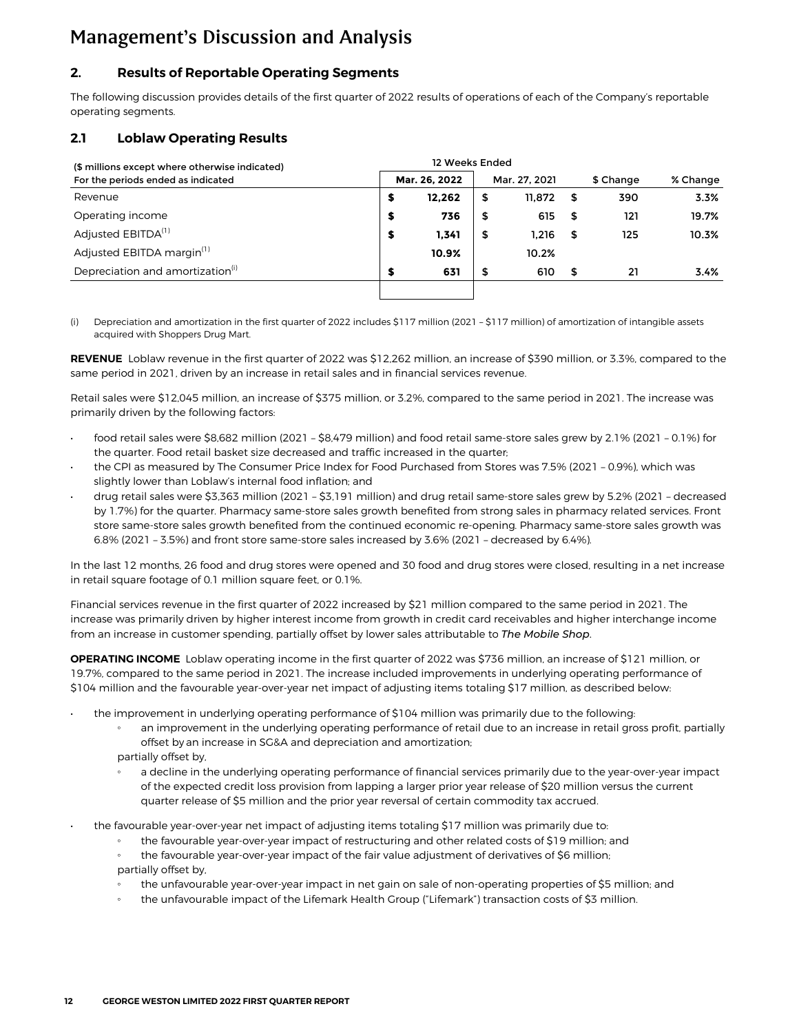#### <span id="page-11-0"></span>**2. Results of Reportable Operating Segments**

The following discussion provides details of the first quarter of 2022 results of operations of each of the Company's reportable operating segments.

#### **2.1 Loblaw Operating Results**

| (\$ millions except where otherwise indicated) | 12 Weeks Ended |               |    |               |      |           |          |  |  |  |  |  |  |
|------------------------------------------------|----------------|---------------|----|---------------|------|-----------|----------|--|--|--|--|--|--|
| For the periods ended as indicated             |                | Mar. 26, 2022 |    | Mar. 27, 2021 |      | \$ Change | % Change |  |  |  |  |  |  |
| Revenue                                        | \$             | 12.262        | \$ | 11.872        | - 56 | 390       | 3.3%     |  |  |  |  |  |  |
| Operating income                               | S              | 736           | \$ | 615           | - \$ | 121       | 19.7%    |  |  |  |  |  |  |
| Adjusted EBITDA <sup>(1)</sup>                 | S              | 1,341         | \$ | 1.216         | \$   | 125       | 10.3%    |  |  |  |  |  |  |
| Adjusted EBITDA margin <sup>(1)</sup>          |                | 10.9%         |    | 10.2%         |      |           |          |  |  |  |  |  |  |
| Depreciation and amortization <sup>(i)</sup>   | S              | 631           | \$ | 610           | \$   | 21        | 3.4%     |  |  |  |  |  |  |
|                                                |                |               |    |               |      |           |          |  |  |  |  |  |  |

(i) Depreciation and amortization in the first quarter of 2022 includes \$117 million (2021 – \$117 million) of amortization of intangible assets acquired with Shoppers Drug Mart.

**REVENUE** Loblaw revenue in the first quarter of 2022 was \$12,262 million, an increase of \$390 million, or 3.3%, compared to the same period in 2021, driven by an increase in retail sales and in financial services revenue.

Retail sales were \$12,045 million, an increase of \$375 million, or 3.2%, compared to the same period in 2021. The increase was primarily driven by the following factors:

- food retail sales were \$8,682 million (2021 \$8,479 million) and food retail same-store sales grew by 2.1% (2021 0.1%) for the quarter. Food retail basket size decreased and traffic increased in the quarter;
- the CPI as measured by The Consumer Price Index for Food Purchased from Stores was 7.5% (2021 0.9%), which was slightly lower than Loblaw's internal food inflation; and
- drug retail sales were \$3,363 million (2021 \$3,191 million) and drug retail same-store sales grew by 5.2% (2021 decreased by 1.7%) for the quarter. Pharmacy same-store sales growth benefited from strong sales in pharmacy related services. Front store same-store sales growth benefited from the continued economic re-opening. Pharmacy same-store sales growth was 6.8% (2021 – 3.5%) and front store same-store sales increased by 3.6% (2021 – decreased by 6.4%).

In the last 12 months, 26 food and drug stores were opened and 30 food and drug stores were closed, resulting in a net increase in retail square footage of 0.1 million square feet, or 0.1%.

Financial services revenue in the first quarter of 2022 increased by \$21 million compared to the same period in 2021. The increase was primarily driven by higher interest income from growth in credit card receivables and higher interchange income from an increase in customer spending, partially offset by lower sales attributable to *The Mobile Shop*.

**OPERATING INCOME** Loblaw operating income in the first quarter of 2022 was \$736 million, an increase of \$121 million, or 19.7%, compared to the same period in 2021. The increase included improvements in underlying operating performance of \$104 million and the favourable year-over-year net impact of adjusting items totaling \$17 million, as described below:

- the improvement in underlying operating performance of \$104 million was primarily due to the following:
	- an improvement in the underlying operating performance of retail due to an increase in retail gross profit, partially offset by an increase in SG&A and depreciation and amortization;
	- partially offset by,
	- a decline in the underlying operating performance of financial services primarily due to the year-over-year impact of the expected credit loss provision from lapping a larger prior year release of \$20 million versus the current quarter release of \$5 million and the prior year reversal of certain commodity tax accrued.
- the favourable year-over-year net impact of adjusting items totaling \$17 million was primarily due to:
	- the favourable year-over-year impact of restructuring and other related costs of \$19 million; and
	- the favourable year-over-year impact of the fair value adjustment of derivatives of \$6 million; partially offset by,
	- the unfavourable year-over-year impact in net gain on sale of non-operating properties of \$5 million; and
	- the unfavourable impact of the Lifemark Health Group ("Lifemark") transaction costs of \$3 million.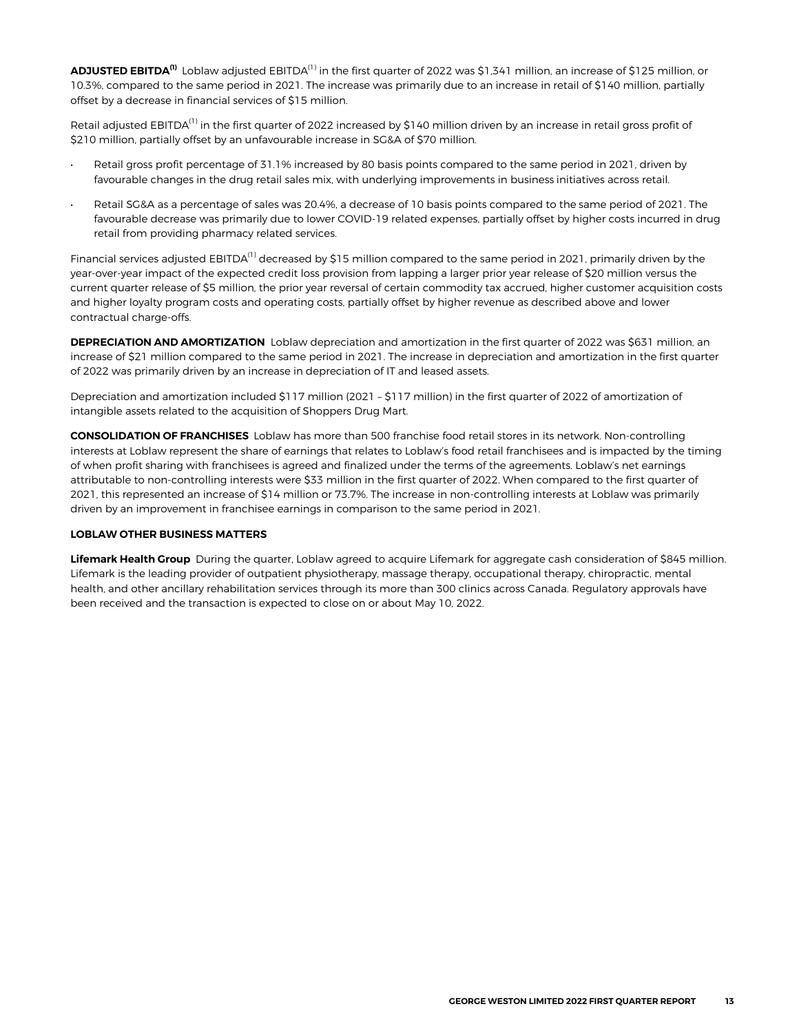**ADJUSTED EBITDA(1)** Loblaw adjusted EBITDA(1) in the first quarter of 2022 was \$1,341 million, an increase of \$125 million, or 10.3%, compared to the same period in 2021. The increase was primarily due to an increase in retail of \$140 million, partially offset by a decrease in financial services of \$15 million.

Retail adjusted EBITDA<sup>(1)</sup> in the first quarter of 2022 increased by \$140 million driven by an increase in retail gross profit of \$210 million, partially offset by an unfavourable increase in SG&A of \$70 million.

- Retail gross profit percentage of 31.1% increased by 80 basis points compared to the same period in 2021, driven by favourable changes in the drug retail sales mix, with underlying improvements in business initiatives across retail.
- **•** Retail SG&A as a percentage of sales was 20.4%, a decrease of 10 basis points compared to the same period of 2021. The favourable decrease was primarily due to lower COVID-19 related expenses, partially offset by higher costs incurred in drug retail from providing pharmacy related services.

Financial services adjusted EBITDA<sup>(1)</sup> decreased by \$15 million compared to the same period in 2021, primarily driven by the year-over-year impact of the expected credit loss provision from lapping a larger prior year release of \$20 million versus the current quarter release of \$5 million, the prior year reversal of certain commodity tax accrued, higher customer acquisition costs and higher loyalty program costs and operating costs, partially offset by higher revenue as described above and lower contractual charge-offs.

**DEPRECIATION AND AMORTIZATION** Loblaw depreciation and amortization in the first quarter of 2022 was \$631 million, an increase of \$21 million compared to the same period in 2021. The increase in depreciation and amortization in the first quarter of 2022 was primarily driven by an increase in depreciation of IT and leased assets.

Depreciation and amortization included \$117 million (2021 – \$117 million) in the first quarter of 2022 of amortization of intangible assets related to the acquisition of Shoppers Drug Mart.

**CONSOLIDATION OF FRANCHISES** Loblaw has more than 500 franchise food retail stores in its network. Non-controlling interests at Loblaw represent the share of earnings that relates to Loblaw's food retail franchisees and is impacted by the timing of when profit sharing with franchisees is agreed and finalized under the terms of the agreements. Loblaw's net earnings attributable to non-controlling interests were \$33 million in the first quarter of 2022. When compared to the first quarter of 2021, this represented an increase of \$14 million or 73.7%. The increase in non-controlling interests at Loblaw was primarily driven by an improvement in franchisee earnings in comparison to the same period in 2021.

#### **LOBLAW OTHER BUSINESS MATTERS**

**Lifemark Health Group** During the quarter, Loblaw agreed to acquire Lifemark for aggregate cash consideration of \$845 million. Lifemark is the leading provider of outpatient physiotherapy, massage therapy, occupational therapy, chiropractic, mental health, and other ancillary rehabilitation services through its more than 300 clinics across Canada. Regulatory approvals have been received and the transaction is expected to close on or about May 10, 2022.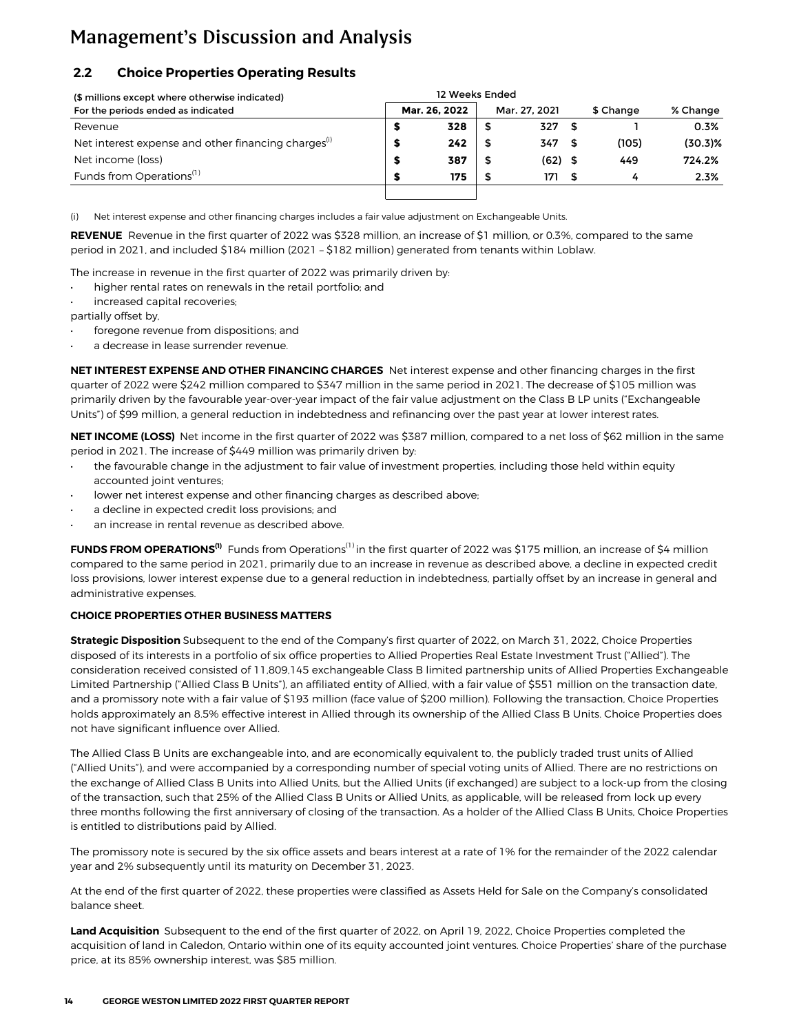### <span id="page-13-0"></span>**2.2 Choice Properties Operating Results**

| (\$ millions except where otherwise indicated)                  |  |               |    |               |     |           |            |
|-----------------------------------------------------------------|--|---------------|----|---------------|-----|-----------|------------|
| For the periods ended as indicated                              |  | Mar. 26. 2022 |    | Mar. 27. 2021 |     | \$ Change | % Change   |
| Revenue                                                         |  | 328           |    | 327           |     |           | 0.3%       |
| Net interest expense and other financing charges <sup>(1)</sup> |  | 242           |    | 347           |     | (105)     | $(30.3)\%$ |
| Net income (loss)                                               |  | 387           | S  | $(62)$ \$     |     | 449       | 724.2%     |
| Funds from Operations <sup>(1)</sup>                            |  | 175           | \$ | 171           | - 5 | 4         | 2.3%       |
|                                                                 |  |               |    |               |     |           |            |

(i) Net interest expense and other financing charges includes a fair value adjustment on Exchangeable Units.

**REVENUE** Revenue in the first quarter of 2022 was \$328 million, an increase of \$1 million, or 0.3%, compared to the same period in 2021, and included \$184 million (2021 – \$182 million) generated from tenants within Loblaw.

The increase in revenue in the first quarter of 2022 was primarily driven by:

- higher rental rates on renewals in the retail portfolio; and
- increased capital recoveries;

partially offset by,

- foregone revenue from dispositions; and
- a decrease in lease surrender revenue.

**NET INTEREST EXPENSE AND OTHER FINANCING CHARGES** Net interest expense and other financing charges in the first quarter of 2022 were \$242 million compared to \$347 million in the same period in 2021. The decrease of \$105 million was primarily driven by the favourable year-over-year impact of the fair value adjustment on the Class B LP units ("Exchangeable Units") of \$99 million, a general reduction in indebtedness and refinancing over the past year at lower interest rates.

**NET INCOME (LOSS)** Net income in the first quarter of 2022 was \$387 million, compared to a net loss of \$62 million in the same period in 2021. The increase of \$449 million was primarily driven by:

- the favourable change in the adjustment to fair value of investment properties, including those held within equity accounted joint ventures;
- lower net interest expense and other financing charges as described above;
- a decline in expected credit loss provisions; and
- an increase in rental revenue as described above.

**FUNDS FROM OPERATIONS<sup>(1)</sup>** Funds from Operations<sup>(1)</sup> in the first quarter of 2022 was \$175 million, an increase of \$4 million compared to the same period in 2021, primarily due to an increase in revenue as described above, a decline in expected credit loss provisions, lower interest expense due to a general reduction in indebtedness, partially offset by an increase in general and administrative expenses.

#### **CHOICE PROPERTIES OTHER BUSINESS MATTERS**

**Strategic Disposition** Subsequent to the end of the Company's first quarter of 2022, on March 31, 2022, Choice Properties disposed of its interests in a portfolio of six office properties to Allied Properties Real Estate Investment Trust ("Allied"). The consideration received consisted of 11,809,145 exchangeable Class B limited partnership units of Allied Properties Exchangeable Limited Partnership ("Allied Class B Units"), an affiliated entity of Allied, with a fair value of \$551 million on the transaction date, and a promissory note with a fair value of \$193 million (face value of \$200 million). Following the transaction, Choice Properties holds approximately an 8.5% effective interest in Allied through its ownership of the Allied Class B Units. Choice Properties does not have significant influence over Allied.

The Allied Class B Units are exchangeable into, and are economically equivalent to, the publicly traded trust units of Allied ("Allied Units"), and were accompanied by a corresponding number of special voting units of Allied. There are no restrictions on the exchange of Allied Class B Units into Allied Units, but the Allied Units (if exchanged) are subject to a lock-up from the closing of the transaction, such that 25% of the Allied Class B Units or Allied Units, as applicable, will be released from lock up every three months following the first anniversary of closing of the transaction. As a holder of the Allied Class B Units, Choice Properties is entitled to distributions paid by Allied.

The promissory note is secured by the six office assets and bears interest at a rate of 1% for the remainder of the 2022 calendar year and 2% subsequently until its maturity on December 31, 2023.

At the end of the first quarter of 2022, these properties were classified as Assets Held for Sale on the Company's consolidated balance sheet.

**Land Acquisition** Subsequent to the end of the first quarter of 2022, on April 19, 2022, Choice Properties completed the acquisition of land in Caledon, Ontario within one of its equity accounted joint ventures. Choice Properties' share of the purchase price, at its 85% ownership interest, was \$85 million.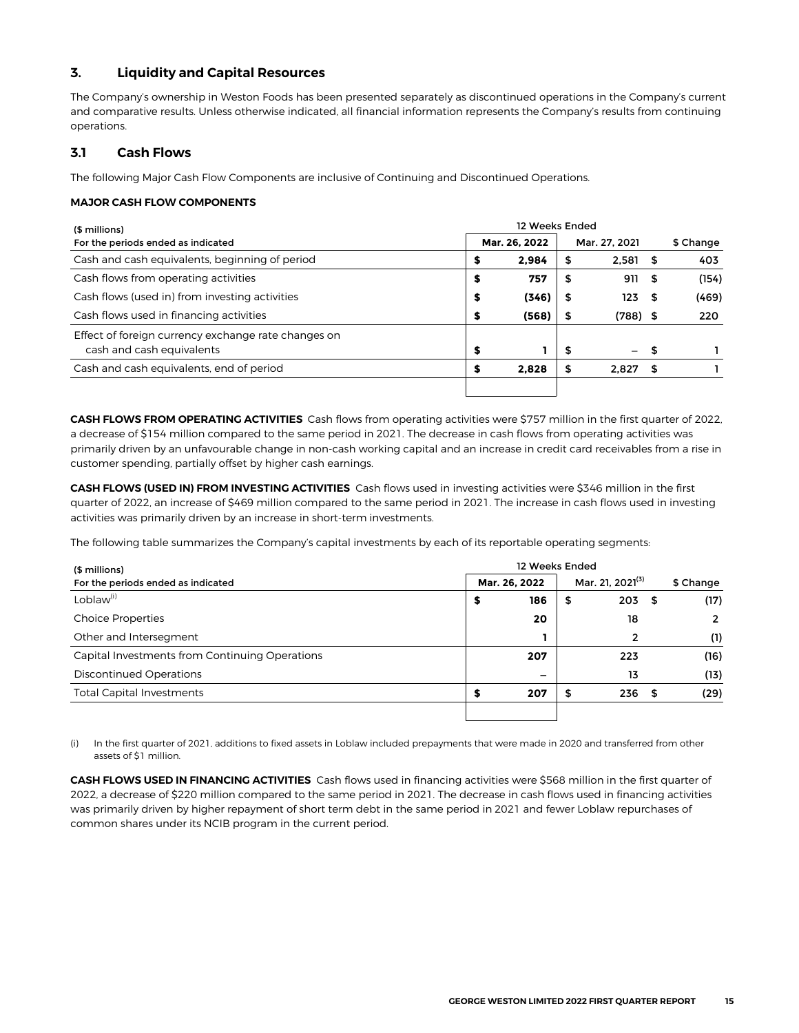#### <span id="page-14-0"></span>**3. Liquidity and Capital Resources**

The Company's ownership in Weston Foods has been presented separately as discontinued operations in the Company's current and comparative results. Unless otherwise indicated, all financial information represents the Company's results from continuing operations.

#### **3.1 Cash Flows**

The following Major Cash Flow Components are inclusive of Continuing and Discontinued Operations.

#### **MAJOR CASH FLOW COMPONENTS**

| (\$ millions)                                                                    | 12 Weeks Ended |               |       |    |                   |      |           |  |  |  |  |
|----------------------------------------------------------------------------------|----------------|---------------|-------|----|-------------------|------|-----------|--|--|--|--|
| For the periods ended as indicated                                               |                | Mar. 26. 2022 |       |    | Mar. 27, 2021     |      | \$ Change |  |  |  |  |
| Cash and cash equivalents, beginning of period                                   |                | \$            | 2.984 | S  | 2.581             |      | 403       |  |  |  |  |
| Cash flows from operating activities                                             |                | \$            | 757   | \$ | 911               | - \$ | (154)     |  |  |  |  |
| Cash flows (used in) from investing activities                                   |                | \$            | (346) | S  | 123               | - 56 | (469)     |  |  |  |  |
| Cash flows used in financing activities                                          |                | \$            | (568) | \$ | $(788)$ \$        |      | 220       |  |  |  |  |
| Effect of foreign currency exchange rate changes on<br>cash and cash equivalents |                | \$            |       | S  | $\qquad \qquad -$ | \$   |           |  |  |  |  |
| Cash and cash equivalents, end of period                                         |                | S             | 2.828 | S  | 2.827             | - \$ |           |  |  |  |  |
|                                                                                  |                |               |       |    |                   |      |           |  |  |  |  |

**CASH FLOWS FROM OPERATING ACTIVITIES** Cash flows from operating activities were \$757 million in the first quarter of 2022, a decrease of \$154 million compared to the same period in 2021. The decrease in cash flows from operating activities was primarily driven by an unfavourable change in non-cash working capital and an increase in credit card receivables from a rise in customer spending, partially offset by higher cash earnings.

**CASH FLOWS (USED IN) FROM INVESTING ACTIVITIES** Cash flows used in investing activities were \$346 million in the first quarter of 2022, an increase of \$469 million compared to the same period in 2021. The increase in cash flows used in investing activities was primarily driven by an increase in short-term investments.

The following table summarizes the Company's capital investments by each of its reportable operating segments:

| (\$ millions)                                  | 12 Weeks Ended |    |                              |  |                |  |  |  |  |  |  |  |
|------------------------------------------------|----------------|----|------------------------------|--|----------------|--|--|--|--|--|--|--|
| For the periods ended as indicated             | Mar. 26, 2022  |    | Mar. 21, 2021 <sup>(3)</sup> |  | \$ Change      |  |  |  |  |  |  |  |
| Loblaw <sup>(i)</sup>                          | 186<br>\$      | \$ | $203 - $$                    |  | (17)           |  |  |  |  |  |  |  |
| <b>Choice Properties</b>                       | 20             |    | 18                           |  | $\overline{2}$ |  |  |  |  |  |  |  |
| Other and Intersegment                         |                |    | $\overline{2}$               |  | (1)            |  |  |  |  |  |  |  |
| Capital Investments from Continuing Operations | 207            |    | 223                          |  | (16)           |  |  |  |  |  |  |  |
| <b>Discontinued Operations</b>                 | -              |    | 13                           |  | (13)           |  |  |  |  |  |  |  |
| <b>Total Capital Investments</b>               | 207<br>S       |    | 236                          |  | (29)           |  |  |  |  |  |  |  |
|                                                |                |    |                              |  |                |  |  |  |  |  |  |  |

(i) In the first quarter of 2021, additions to fixed assets in Loblaw included prepayments that were made in 2020 and transferred from other assets of \$1 million.

**CASH FLOWS USED IN FINANCING ACTIVITIES** Cash flows used in financing activities were \$568 million in the first quarter of 2022, a decrease of \$220 million compared to the same period in 2021. The decrease in cash flows used in financing activities was primarily driven by higher repayment of short term debt in the same period in 2021 and fewer Loblaw repurchases of common shares under its NCIB program in the current period.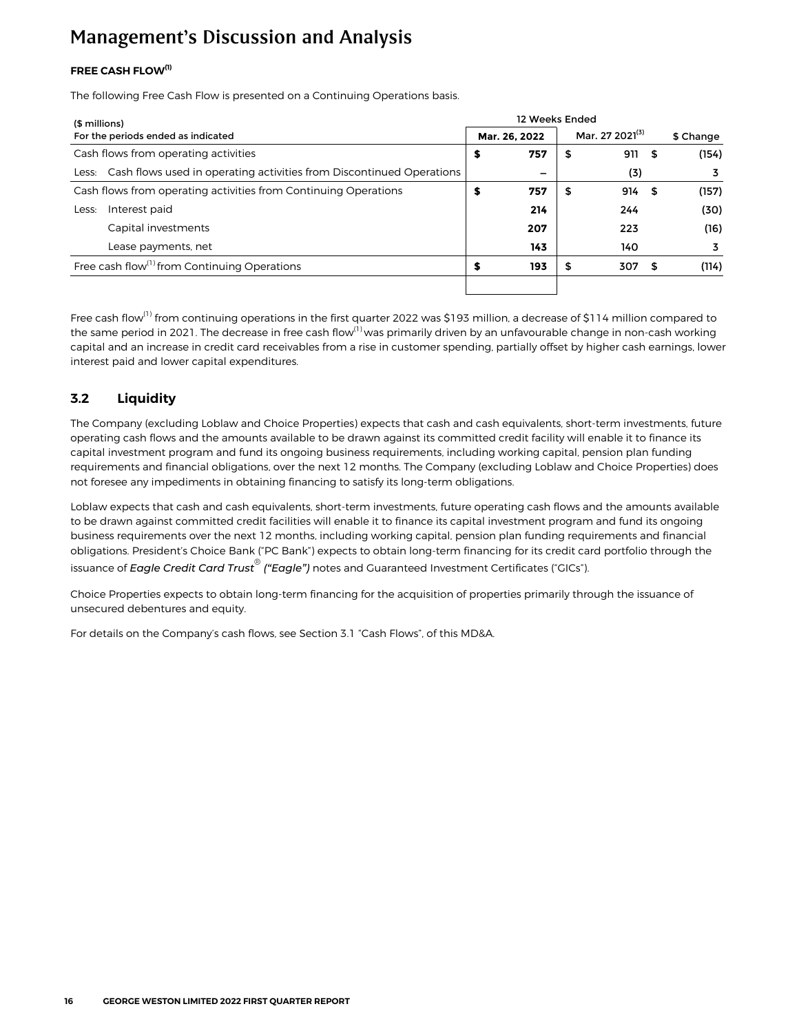#### <span id="page-15-0"></span>**FREE CASH FLOW(1)**

The following Free Cash Flow is presented on a Continuing Operations basis.

| (\$ millions)                                                              | 12 Weeks Ended |               |    |                             |      |           |  |  |  |  |  |
|----------------------------------------------------------------------------|----------------|---------------|----|-----------------------------|------|-----------|--|--|--|--|--|
| For the periods ended as indicated                                         |                | Mar. 26. 2022 |    | Mar. 27 2021 <sup>(3)</sup> |      | \$ Change |  |  |  |  |  |
| Cash flows from operating activities                                       | s              | 757           | \$ | 911 \$                      |      | (154)     |  |  |  |  |  |
| Less: Cash flows used in operating activities from Discontinued Operations |                |               |    | (3)                         |      |           |  |  |  |  |  |
| Cash flows from operating activities from Continuing Operations            | s              | 757           | \$ | 914                         | - \$ | (157)     |  |  |  |  |  |
| Interest paid<br>Less:                                                     |                | 214           |    | 244                         |      | (30)      |  |  |  |  |  |
| Capital investments                                                        |                | 207           |    | 223                         |      | (16)      |  |  |  |  |  |
| Lease payments, net                                                        |                | 143           |    | 140                         |      | 3         |  |  |  |  |  |
| Free cash flow <sup>(1)</sup> from Continuing Operations                   | S              | 193           | S  | 307                         | - 5  | (114)     |  |  |  |  |  |
|                                                                            |                |               |    |                             |      |           |  |  |  |  |  |

Free cash flow<sup>(1)</sup> from continuing operations in the first quarter 2022 was \$193 million, a decrease of \$114 million compared to the same period in 2021. The decrease in free cash flow<sup>(1)</sup> was primarily driven by an unfavourable change in non-cash working capital and an increase in credit card receivables from a rise in customer spending, partially offset by higher cash earnings, lower interest paid and lower capital expenditures.

#### **3.2 Liquidity**

The Company (excluding Loblaw and Choice Properties) expects that cash and cash equivalents, short-term investments, future operating cash flows and the amounts available to be drawn against its committed credit facility will enable it to finance its capital investment program and fund its ongoing business requirements, including working capital, pension plan funding requirements and financial obligations, over the next 12 months. The Company (excluding Loblaw and Choice Properties) does not foresee any impediments in obtaining financing to satisfy its long-term obligations.

Loblaw expects that cash and cash equivalents, short-term investments, future operating cash flows and the amounts available to be drawn against committed credit facilities will enable it to finance its capital investment program and fund its ongoing business requirements over the next 12 months, including working capital, pension plan funding requirements and financial obligations. President's Choice Bank ("PC Bank") expects to obtain long-term financing for its credit card portfolio through the issuance of *Eagle Credit Card Trust® ("Eagle") notes* and Guaranteed Investment Certificates ("GICs").

Choice Properties expects to obtain long-term financing for the acquisition of properties primarily through the issuance of unsecured debentures and equity.

For details on the Company's cash flows, see Section 3.1 "Cash Flows", of this MD&A.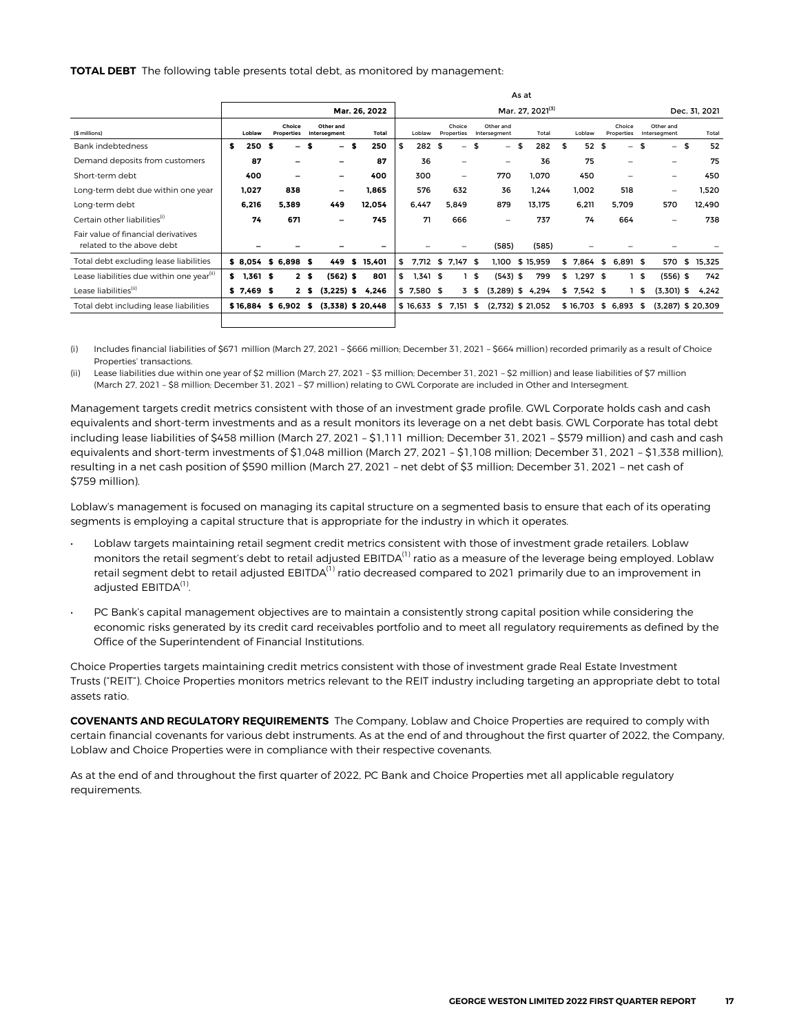**TOTAL DEBT** The following table presents total debt, as monitored by management:

|                                                                  |             |      |                             |                |                           |    |                     | As at                        |              |      |                          |    |                           |    |          |               |             |      |                      |    |                           |    |        |
|------------------------------------------------------------------|-------------|------|-----------------------------|----------------|---------------------------|----|---------------------|------------------------------|--------------|------|--------------------------|----|---------------------------|----|----------|---------------|-------------|------|----------------------|----|---------------------------|----|--------|
|                                                                  |             |      |                             |                |                           |    | Mar. 26, 2022       | Mar. 27, 2021 <sup>(3)</sup> |              |      |                          |    |                           |    |          | Dec. 31, 2021 |             |      |                      |    |                           |    |        |
| (\$ millions)                                                    | Loblaw      |      | Choice<br><b>Properties</b> |                | Other and<br>Interseament |    | Total               |                              | Loblaw       |      | Choice<br>Properties     |    | Other and<br>Intersegment |    | Total    |               | Loblaw      |      | Choice<br>Properties |    | Other and<br>Interseament |    | Total  |
| <b>Bank indebtedness</b>                                         | \$<br>250   | - \$ | -                           | S              | -                         | S  | 250                 | \$                           | 282          | - \$ | $\overline{\phantom{0}}$ | \$ | $\overline{\phantom{0}}$  | \$ | 282      | \$            | 52          | \$   | $=$                  | \$ | $\overline{\phantom{0}}$  | \$ | 52     |
| Demand deposits from customers                                   | 87          |      |                             |                |                           |    | 87                  |                              | 36           |      | -                        |    | -                         |    | 36       |               | 75          |      | -                    |    | -                         |    | 75     |
| Short-term debt                                                  | 400         |      |                             |                |                           |    | 400                 |                              | 300          |      | -                        |    | 770                       |    | 1.070    |               | 450         |      |                      |    |                           |    | 450    |
| Long-term debt due within one year                               | 1,027       |      | 838                         |                | -                         |    | 1,865               |                              | 576          |      | 632                      |    | 36                        |    | 1.244    |               | 1,002       |      | 518                  |    | ۰                         |    | 1,520  |
| Long-term debt                                                   | 6,216       |      | 5.389                       |                | 449                       |    | 12.054              |                              | 6.447        |      | 5.849                    |    | 879                       |    | 13.175   |               | 6.211       |      | 5.709                |    | 570                       |    | 12.490 |
| Certain other liabilities <sup>(i)</sup>                         | 74          |      | 671                         |                |                           |    | 745                 |                              | 71           |      | 666                      |    | $\overline{\phantom{0}}$  |    | 737      |               | 74          |      | 664                  |    |                           |    | 738    |
| Fair value of financial derivatives<br>related to the above debt |             |      |                             |                |                           |    |                     |                              |              |      |                          |    | (585)                     |    | (585)    |               |             |      |                      |    |                           |    |        |
| Total debt excluding lease liabilities                           |             |      | $$8,054$ \$6,898 \$         |                | 449                       | \$ | 15,401              | \$                           | 7,712 \$     |      | 7.147 \$                 |    | 1.100                     |    | \$15.959 |               | \$7.864     | - \$ | $6.891$ \$           |    | 570                       | \$ | 15,325 |
| Lease liabilities due within one year <sup>(11)</sup>            | $$1,361$ \$ |      |                             | 2 <sub>s</sub> | $(562)$ \$                |    | 801                 | \$                           | $1,341$ \$   |      |                          | \$ | $(543)$ \$                |    | 799      |               | $$1.297$ \$ |      |                      | £. | $(556)$ \$                |    | 742    |
| Lease liabilities <sup>(ii)</sup>                                | $$7,469$ \$ |      |                             | 25             | $(3,225)$ \$              |    | 4,246               |                              | $$7,580$ \$  |      | 3                        | \$ | $(3,289)$ \$ 4,294        |    |          |               | $$7,542$ \$ |      |                      | \$ | $(3,301)$ \$              |    | 4,242  |
| Total debt including lease liabilities                           |             |      | \$16,884 \$6,902            | - \$           |                           |    | $(3,338)$ \$ 20,448 |                              | $$16,633$ \$ |      | 7,151                    | \$ | $(2,732)$ \$ 21,052       |    |          |               | \$16,703    |      | \$ 6,893             | \$ | $(3,287)$ \$ 20,309       |    |        |
|                                                                  |             |      |                             |                |                           |    |                     |                              |              |      |                          |    |                           |    |          |               |             |      |                      |    |                           |    |        |

(i) Includes financial liabilities of \$671 million (March 27, 2021 – \$666 million; December 31, 2021 – \$664 million) recorded primarily as a result of Choice Properties' transactions.

(ii) Lease liabilities due within one year of \$2 million (March 27, 2021 – \$3 million; December 31, 2021 – \$2 million) and lease liabilities of \$7 million (March 27, 2021 – \$8 million; December 31, 2021 – \$7 million) relating to GWL Corporate are included in Other and Intersegment.

Management targets credit metrics consistent with those of an investment grade profile. GWL Corporate holds cash and cash equivalents and short-term investments and as a result monitors its leverage on a net debt basis. GWL Corporate has total debt including lease liabilities of \$458 million (March 27, 2021 – \$1,111 million; December 31, 2021 – \$579 million) and cash and cash equivalents and short-term investments of \$1,048 million (March 27, 2021 – \$1,108 million; December 31, 2021 – \$1,338 million), resulting in a net cash position of \$590 million (March 27, 2021 – net debt of \$3 million; December 31, 2021 – net cash of \$759 million).

Loblaw's management is focused on managing its capital structure on a segmented basis to ensure that each of its operating segments is employing a capital structure that is appropriate for the industry in which it operates.

- Loblaw targets maintaining retail segment credit metrics consistent with those of investment grade retailers. Loblaw monitors the retail segment's debt to retail adjusted EBITDA<sup>(1)</sup> ratio as a measure of the leverage being employed. Loblaw retail segment debt to retail adjusted EBITDA<sup>(1)</sup> ratio decreased compared to 2021 primarily due to an improvement in adjusted EBITDA<sup>(1)</sup>.
- PC Bank's capital management objectives are to maintain a consistently strong capital position while considering the economic risks generated by its credit card receivables portfolio and to meet all regulatory requirements as defined by the Office of the Superintendent of Financial Institutions.

Choice Properties targets maintaining credit metrics consistent with those of investment grade Real Estate Investment Trusts ("REIT"). Choice Properties monitors metrics relevant to the REIT industry including targeting an appropriate debt to total assets ratio.

**COVENANTS AND REGULATORY REQUIREMENTS** The Company, Loblaw and Choice Properties are required to comply with certain financial covenants for various debt instruments. As at the end of and throughout the first quarter of 2022, the Company, Loblaw and Choice Properties were in compliance with their respective covenants.

As at the end of and throughout the first quarter of 2022, PC Bank and Choice Properties met all applicable regulatory requirements.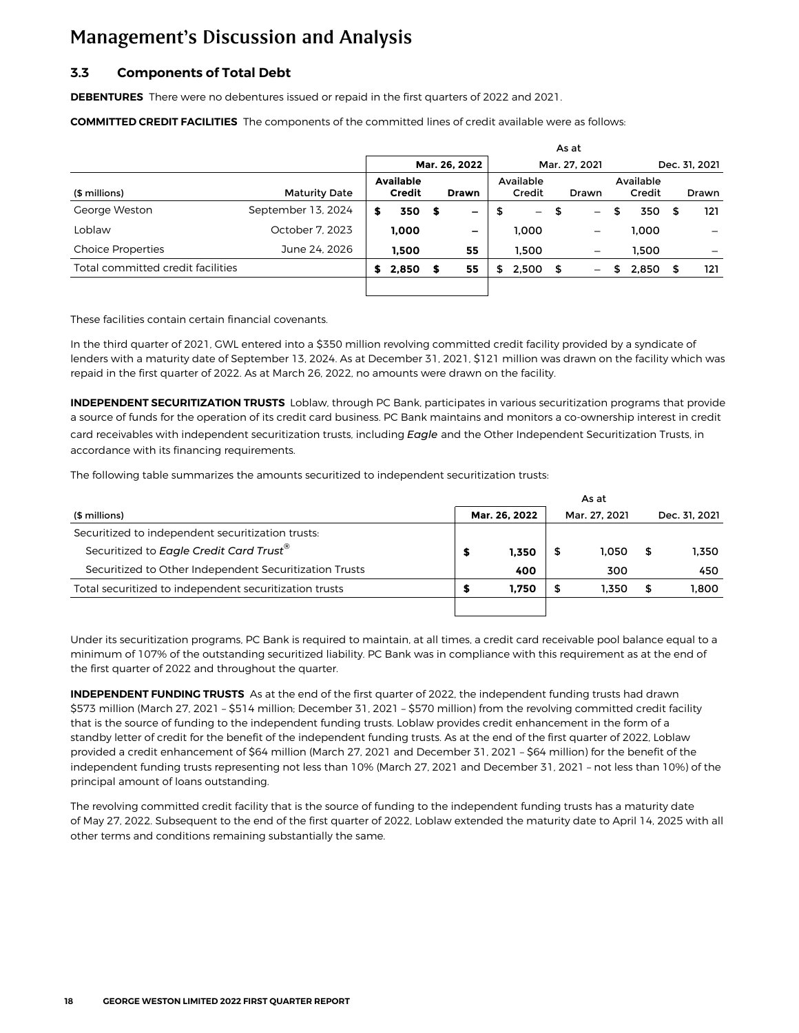#### <span id="page-17-0"></span>**3.3 Components of Total Debt**

**DEBENTURES** There were no debentures issued or repaid in the first quarters of 2022 and 2021.

**COMMITTED CREDIT FACILITIES** The components of the committed lines of credit available were as follows:

|                                   |                      | As at                             |       |      |               |     |                          |      |                          |    |                     |               |              |  |
|-----------------------------------|----------------------|-----------------------------------|-------|------|---------------|-----|--------------------------|------|--------------------------|----|---------------------|---------------|--------------|--|
|                                   |                      |                                   |       |      | Mar. 26, 2022 |     |                          |      | Mar. 27, 2021            |    |                     | Dec. 31, 2021 |              |  |
| (\$ millions)                     | <b>Maturity Date</b> | <b>Available</b><br><b>Credit</b> |       |      | <b>Drawn</b>  |     | Available<br>Credit      |      | Drawn                    |    | Available<br>Credit |               | <b>Drawn</b> |  |
| George Weston                     | September 13, 2024   |                                   | 350   | - \$ | -             | \$  | $\overline{\phantom{0}}$ | 5    | $\qquad \qquad -$        | \$ | 350                 |               | 121          |  |
| Loblaw                            | October 7, 2023      |                                   | 1.000 |      | -             |     | 1.000                    |      | $\qquad \qquad -$        |    | 1.000               |               |              |  |
| <b>Choice Properties</b>          | June 24, 2026        |                                   | 1.500 |      | 55            |     | 1.500                    |      | $\overline{\phantom{m}}$ |    | 1.500               |               |              |  |
| Total committed credit facilities |                      | S                                 | 2,850 | S    | 55            | \$. | 2,500                    | - \$ | $\qquad \qquad -$        | S  | 2,850               |               | 121          |  |
|                                   |                      |                                   |       |      |               |     |                          |      |                          |    |                     |               |              |  |

These facilities contain certain financial covenants.

In the third quarter of 2021, GWL entered into a \$350 million revolving committed credit facility provided by a syndicate of lenders with a maturity date of September 13, 2024. As at December 31, 2021, \$121 million was drawn on the facility which was repaid in the first quarter of 2022. As at March 26, 2022, no amounts were drawn on the facility.

**INDEPENDENT SECURITIZATION TRUSTS** Loblaw, through PC Bank, participates in various securitization programs that provide a source of funds for the operation of its credit card business. PC Bank maintains and monitors a co-ownership interest in credit card receivables with independent securitization trusts, including *Eagle* and the Other Independent Securitization Trusts, in accordance with its financing requirements.

The following table summarizes the amounts securitized to independent securitization trusts:

| (\$ millions)                                          |  | Mar. 26, 2022 | Mar. 27. 2021 |    | Dec. 31, 2021 |
|--------------------------------------------------------|--|---------------|---------------|----|---------------|
| Securitized to independent securitization trusts:      |  |               |               |    |               |
| Securitized to Eagle Credit Card Trust <sup>®</sup>    |  | 1.350         | 1.050         | S. | 1.350         |
| Securitized to Other Independent Securitization Trusts |  | 400           | 300           |    | 450           |
| Total securitized to independent securitization trusts |  | 1.750         | 1.350         | S  | 1.800         |
|                                                        |  |               |               |    |               |

Under its securitization programs, PC Bank is required to maintain, at all times, a credit card receivable pool balance equal to a minimum of 107% of the outstanding securitized liability. PC Bank was in compliance with this requirement as at the end of the first quarter of 2022 and throughout the quarter.

**INDEPENDENT FUNDING TRUSTS** As at the end of the first quarter of 2022, the independent funding trusts had drawn \$573 million (March 27, 2021 – \$514 million; December 31, 2021 – \$570 million) from the revolving committed credit facility that is the source of funding to the independent funding trusts. Loblaw provides credit enhancement in the form of a standby letter of credit for the benefit of the independent funding trusts. As at the end of the first quarter of 2022, Loblaw provided a credit enhancement of \$64 million (March 27, 2021 and December 31, 2021 – \$64 million) for the benefit of the independent funding trusts representing not less than 10% (March 27, 2021 and December 31, 2021 – not less than 10%) of the principal amount of loans outstanding.

The revolving committed credit facility that is the source of funding to the independent funding trusts has a maturity date of May 27, 2022. Subsequent to the end of the first quarter of 2022, Loblaw extended the maturity date to April 14, 2025 with all other terms and conditions remaining substantially the same.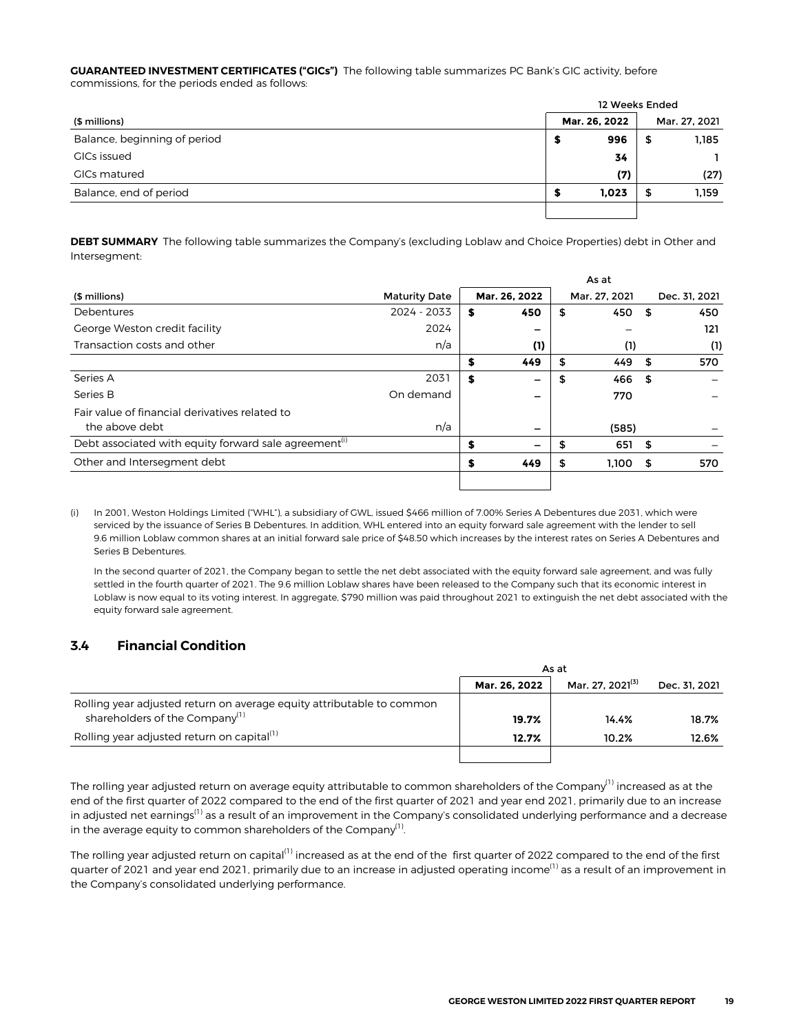<span id="page-18-0"></span>**GUARANTEED INVESTMENT CERTIFICATES ("GICs")** The following table summarizes PC Bank's GIC activity, before commissions, for the periods ended as follows:

|                              | 12 Weeks Ended |               |    |               |  |  |  |  |  |
|------------------------------|----------------|---------------|----|---------------|--|--|--|--|--|
| (\$ millions)                |                | Mar. 26, 2022 |    | Mar. 27, 2021 |  |  |  |  |  |
| Balance, beginning of period | 5              | 996           | \$ | 1,185         |  |  |  |  |  |
| <b>GICs issued</b>           |                | 34            |    |               |  |  |  |  |  |
| GICs matured                 |                | (7)           |    | (27)          |  |  |  |  |  |
| Balance, end of period       | S              | 1,023         | 5  | 1,159         |  |  |  |  |  |
|                              |                |               |    |               |  |  |  |  |  |

**DEBT SUMMARY** The following table summarizes the Company's (excluding Loblaw and Choice Properties) debt in Other and Intersegment:

|                                                                   |                      |    |               | As at |               |      |               |
|-------------------------------------------------------------------|----------------------|----|---------------|-------|---------------|------|---------------|
| (\$ millions)                                                     | <b>Maturity Date</b> |    | Mar. 26, 2022 |       | Mar. 27, 2021 |      | Dec. 31, 2021 |
| Debentures                                                        | 2024 - 2033          | \$ | 450           | \$    | 450           | \$   | 450           |
| George Weston credit facility                                     | 2024                 |    |               |       |               |      | 121           |
| Transaction costs and other                                       | n/a                  |    | (1)           |       | (1)           |      | (1)           |
|                                                                   |                      | S  | 449           | \$    | 449           | Ŝ.   | 570           |
| Series A                                                          | 2031                 | \$ | -             | \$    | 466           | - \$ |               |
| Series B                                                          | On demand            |    |               |       | 770           |      |               |
| Fair value of financial derivatives related to                    |                      |    |               |       |               |      |               |
| the above debt                                                    | n/a                  |    |               |       | (585)         |      |               |
| Debt associated with equity forward sale agreement <sup>(1)</sup> |                      | S  |               |       | 651           | - \$ |               |
| Other and Intersegment debt                                       |                      | S  | 449           | \$    | 1.100         | S    | 570           |
|                                                                   |                      |    |               |       |               |      |               |

(i) In 2001, Weston Holdings Limited ("WHL"), a subsidiary of GWL, issued \$466 million of 7.00% Series A Debentures due 2031, which were serviced by the issuance of Series B Debentures. In addition, WHL entered into an equity forward sale agreement with the lender to sell 9.6 million Loblaw common shares at an initial forward sale price of \$48.50 which increases by the interest rates on Series A Debentures and Series B Debentures.

In the second quarter of 2021, the Company began to settle the net debt associated with the equity forward sale agreement, and was fully settled in the fourth quarter of 2021. The 9.6 million Loblaw shares have been released to the Company such that its economic interest in Loblaw is now equal to its voting interest. In aggregate, \$790 million was paid throughout 2021 to extinguish the net debt associated with the equity forward sale agreement.

#### **3.4 Financial Condition**

|                                                                                                                     | As at         |                              |               |  |  |  |  |
|---------------------------------------------------------------------------------------------------------------------|---------------|------------------------------|---------------|--|--|--|--|
|                                                                                                                     | Mar. 26. 2022 | Mar. 27. 2021 <sup>(3)</sup> | Dec. 31. 2021 |  |  |  |  |
| Rolling year adjusted return on average equity attributable to common<br>shareholders of the Company <sup>(1)</sup> | 19.7%         | 14.4%                        | 18.7%         |  |  |  |  |
| Rolling year adjusted return on capital <sup>(1)</sup>                                                              | 12.7%         | 10.2%                        | 12.6%         |  |  |  |  |
|                                                                                                                     |               |                              |               |  |  |  |  |

The rolling year adjusted return on average equity attributable to common shareholders of the Company<sup>(1)</sup> increased as at the end of the first quarter of 2022 compared to the end of the first quarter of 2021 and year end 2021, primarily due to an increase in adjusted net earnings<sup>(1)</sup> as a result of an improvement in the Company's consolidated underlying performance and a decrease in the average equity to common shareholders of the Company $<sup>(1)</sup>$ .</sup> .

The rolling year adjusted return on capital<sup>(1)</sup> increased as at the end of the first quarter of 2022 compared to the end of the first quarter of 2021 and year end 2021, primarily due to an increase in adjusted operating income<sup>(1)</sup> as a result of an improvement in the Company's consolidated underlying performance.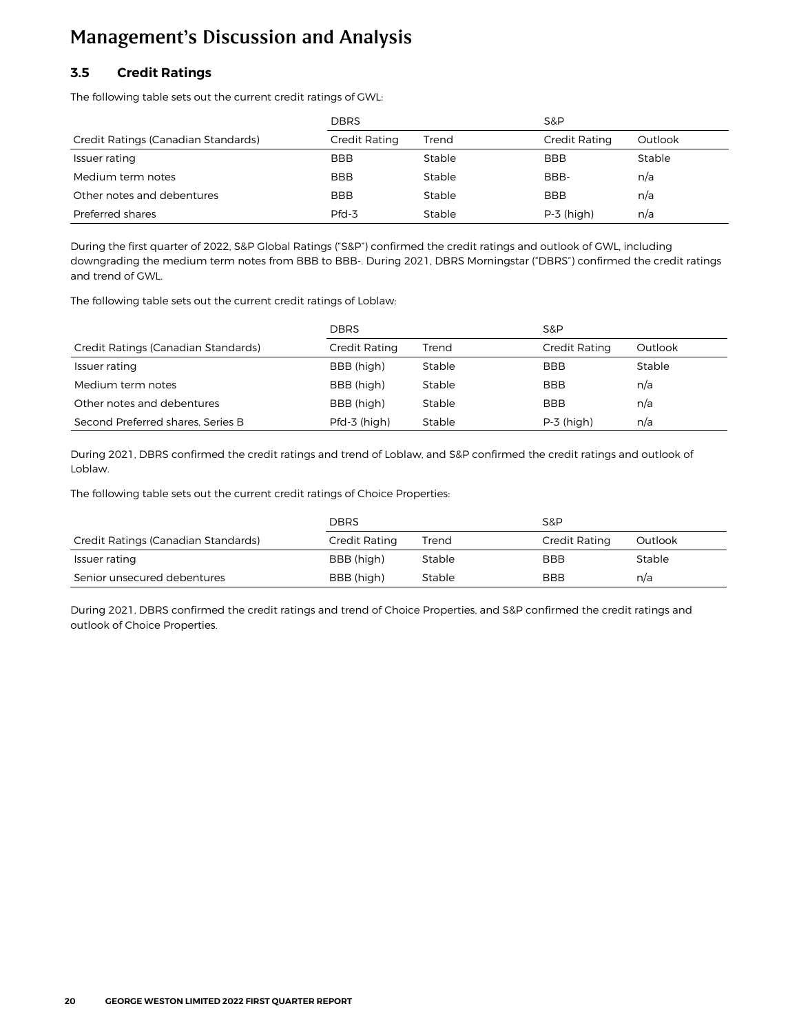### <span id="page-19-0"></span>**3.5 Credit Ratings**

The following table sets out the current credit ratings of GWL:

|                                     | <b>DBRS</b>   |        | S&P           |         |
|-------------------------------------|---------------|--------|---------------|---------|
| Credit Ratings (Canadian Standards) | Credit Rating | Trend  | Credit Rating | Outlook |
| Issuer rating                       | <b>BBB</b>    | Stable | <b>BBB</b>    | Stable  |
| Medium term notes                   | <b>BBB</b>    | Stable | BBB-          | n/a     |
| Other notes and debentures          | <b>BBB</b>    | Stable | <b>BBB</b>    | n/a     |
| Preferred shares                    | $Pfd-3$       | Stable | $P-3$ (high)  | n/a     |

During the first quarter of 2022, S&P Global Ratings ("S&P") confirmed the credit ratings and outlook of GWL, including downgrading the medium term notes from BBB to BBB-. During 2021, DBRS Morningstar ("DBRS") confirmed the credit ratings and trend of GWL.

The following table sets out the current credit ratings of Loblaw:

|                                     | <b>DBRS</b>   |        | S&P           |         |  |  |
|-------------------------------------|---------------|--------|---------------|---------|--|--|
| Credit Ratings (Canadian Standards) | Credit Rating | Trend  | Credit Rating | Outlook |  |  |
| Issuer rating                       | BBB (high)    | Stable | <b>BBB</b>    | Stable  |  |  |
| Medium term notes                   | BBB (high)    | Stable | <b>BBB</b>    | n/a     |  |  |
| Other notes and debentures          | BBB (high)    | Stable | <b>BBB</b>    | n/a     |  |  |
| Second Preferred shares, Series B   | Pfd-3 (high)  | Stable | $P-3$ (high)  | n/a     |  |  |

During 2021, DBRS confirmed the credit ratings and trend of Loblaw, and S&P confirmed the credit ratings and outlook of Loblaw.

The following table sets out the current credit ratings of Choice Properties:

|                                     | <b>DBRS</b>   |        | S&P           |         |  |  |
|-------------------------------------|---------------|--------|---------------|---------|--|--|
| Credit Ratings (Canadian Standards) | Credit Rating | Trend  | Credit Rating | Outlook |  |  |
| Issuer rating                       | BBB (high)    | Stable | <b>BBB</b>    | Stable  |  |  |
| Senior unsecured debentures         | BBB (high)    | Stable | <b>BBB</b>    | n/a     |  |  |

During 2021, DBRS confirmed the credit ratings and trend of Choice Properties, and S&P confirmed the credit ratings and outlook of Choice Properties.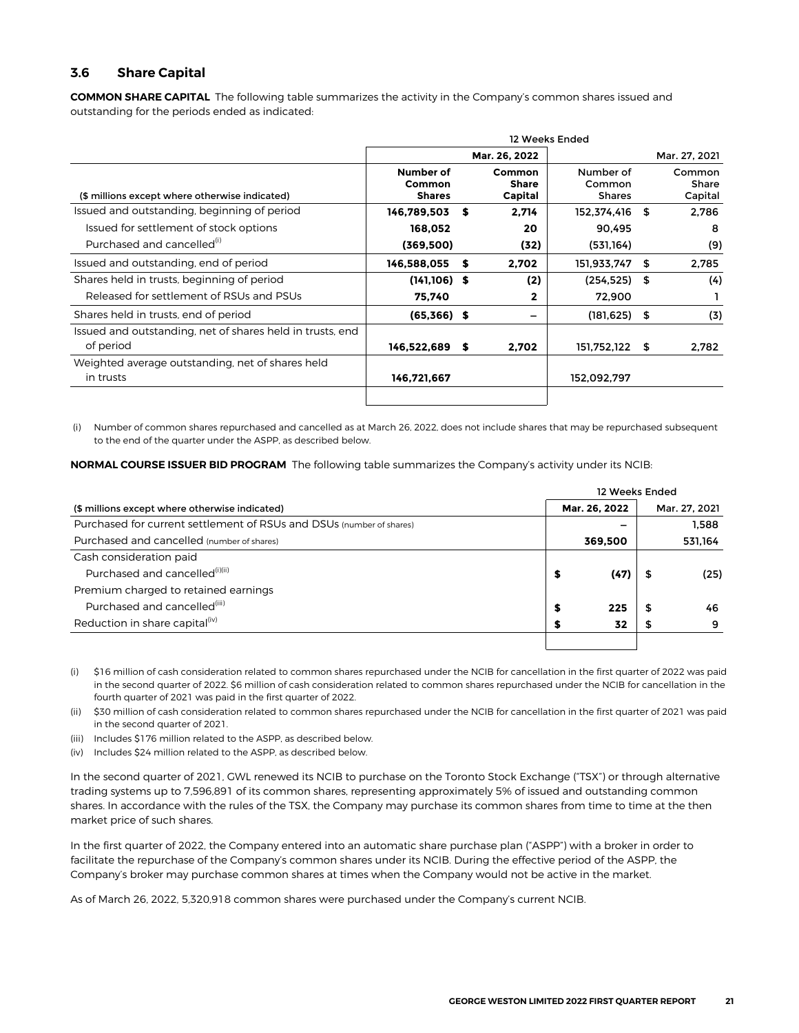#### <span id="page-20-0"></span>**3.6 Share Capital**

**COMMON SHARE CAPITAL** The following table summarizes the activity in the Company's common shares issued and outstanding for the periods ended as indicated:

|                                                           |                                      |   |                                   | 12 Weeks Ended                       |  |                                   |  |  |
|-----------------------------------------------------------|--------------------------------------|---|-----------------------------------|--------------------------------------|--|-----------------------------------|--|--|
|                                                           |                                      |   | Mar. 26, 2022                     | Mar. 27, 2021                        |  |                                   |  |  |
| (\$ millions except where otherwise indicated)            | Number of<br>Common<br><b>Shares</b> |   | Common<br><b>Share</b><br>Capital | Number of<br>Common<br><b>Shares</b> |  | Common<br><b>Share</b><br>Capital |  |  |
| Issued and outstanding, beginning of period               | 146,789,503                          | S | 2,714                             | 152,374,416 \$                       |  | 2,786                             |  |  |
| Issued for settlement of stock options                    | 168.052                              |   | 20                                | 90.495                               |  | 8                                 |  |  |
| Purchased and cancelled <sup>(1)</sup>                    | (369,500)                            |   | (32)                              | (531,164)                            |  | (9)                               |  |  |
| Issued and outstanding, end of period                     | 146,588,055                          | S | 2,702                             | 151,933,747 \$                       |  | 2,785                             |  |  |
| Shares held in trusts, beginning of period                | $(141, 106)$ \$                      |   | (2)                               | $(254, 525)$ \$                      |  | (4)                               |  |  |
| Released for settlement of RSUs and PSUs                  | 75,740                               |   | 2                                 | 72,900                               |  |                                   |  |  |
| Shares held in trusts, end of period                      | $(65,366)$ \$                        |   |                                   | $(181, 625)$ \$                      |  | (3)                               |  |  |
| Issued and outstanding, net of shares held in trusts, end |                                      |   |                                   |                                      |  |                                   |  |  |
| of period                                                 | 146,522,689                          | S | 2,702                             | 151,752,122 \$                       |  | 2,782                             |  |  |
| Weighted average outstanding, net of shares held          |                                      |   |                                   |                                      |  |                                   |  |  |
| in trusts                                                 | 146,721,667                          |   |                                   | 152,092,797                          |  |                                   |  |  |
|                                                           |                                      |   |                                   |                                      |  |                                   |  |  |

(i) Number of common shares repurchased and cancelled as at March 26, 2022, does not include shares that may be repurchased subsequent to the end of the quarter under the ASPP, as described below.

**NORMAL COURSE ISSUER BID PROGRAM** The following table summarizes the Company's activity under its NCIB:

|                                                                      | 12 Weeks Ended |      |   |               |  |  |  |  |
|----------------------------------------------------------------------|----------------|------|---|---------------|--|--|--|--|
| (\$ millions except where otherwise indicated)                       | Mar. 26, 2022  |      |   | Mar. 27, 2021 |  |  |  |  |
| Purchased for current settlement of RSUs and DSUs (number of shares) |                |      |   | 1.588         |  |  |  |  |
| Purchased and cancelled (number of shares)                           | 369.500        |      |   | 531.164       |  |  |  |  |
| Cash consideration paid                                              |                |      |   |               |  |  |  |  |
| Purchased and cancelled <sup>(i)(ii)</sup>                           | S              | (47) |   | (25)          |  |  |  |  |
| Premium charged to retained earnings                                 |                |      |   |               |  |  |  |  |
| Purchased and cancelled <sup>(iii)</sup>                             | S              | 225  | S | 46            |  |  |  |  |
| Reduction in share capital <sup>(iv)</sup>                           |                | 32   |   | 9             |  |  |  |  |
|                                                                      |                |      |   |               |  |  |  |  |

(i) \$16 million of cash consideration related to common shares repurchased under the NCIB for cancellation in the first quarter of 2022 was paid in the second quarter of 2022. \$6 million of cash consideration related to common shares repurchased under the NCIB for cancellation in the fourth quarter of 2021 was paid in the first quarter of 2022.

(ii) \$30 million of cash consideration related to common shares repurchased under the NCIB for cancellation in the first quarter of 2021 was paid in the second quarter of 2021.

(iii) Includes \$176 million related to the ASPP, as described below.

(iv) Includes \$24 million related to the ASPP, as described below.

In the second quarter of 2021, GWL renewed its NCIB to purchase on the Toronto Stock Exchange ("TSX") or through alternative trading systems up to 7,596,891 of its common shares, representing approximately 5% of issued and outstanding common shares. In accordance with the rules of the TSX, the Company may purchase its common shares from time to time at the then market price of such shares.

In the first quarter of 2022, the Company entered into an automatic share purchase plan ("ASPP") with a broker in order to facilitate the repurchase of the Company's common shares under its NCIB. During the effective period of the ASPP, the Company's broker may purchase common shares at times when the Company would not be active in the market.

As of March 26, 2022, 5,320,918 common shares were purchased under the Company's current NCIB.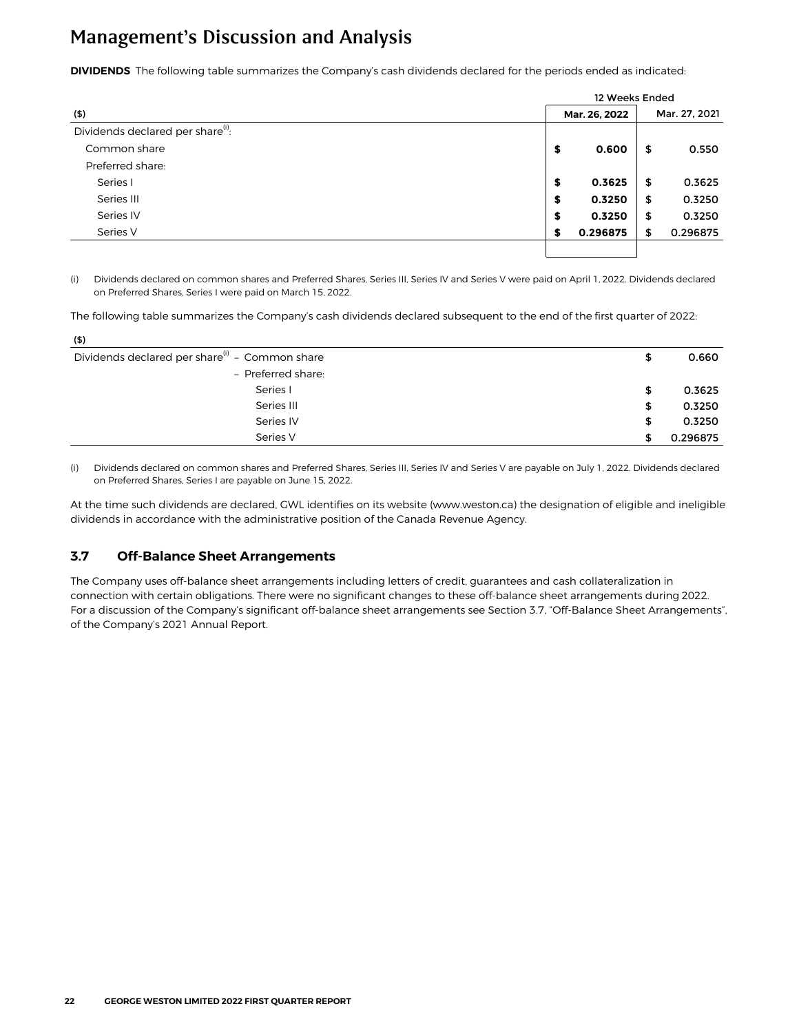<span id="page-21-0"></span>**DIVIDENDS** The following table summarizes the Company's cash dividends declared for the periods ended as indicated:

|                                               |    | 12 Weeks Ended |               |          |  |  |
|-----------------------------------------------|----|----------------|---------------|----------|--|--|
| (5)                                           |    | Mar. 26, 2022  | Mar. 27, 2021 |          |  |  |
| Dividends declared per share <sup>(i)</sup> : |    |                |               |          |  |  |
| Common share                                  | \$ | 0.600          | \$            | 0.550    |  |  |
| Preferred share:                              |    |                |               |          |  |  |
| Series I                                      | \$ | 0.3625         | \$            | 0.3625   |  |  |
| Series III                                    | \$ | 0.3250         | \$            | 0.3250   |  |  |
| Series IV                                     | \$ | 0.3250         | \$            | 0.3250   |  |  |
| Series V                                      | S  | 0.296875       | \$            | 0.296875 |  |  |
|                                               |    |                |               |          |  |  |

(i) Dividends declared on common shares and Preferred Shares, Series III, Series IV and Series V were paid on April 1, **2022**. Dividends declared on Preferred Shares, Series I were paid on March 15, **2022**.

The following table summarizes the Company's cash dividends declared subsequent to the end of the first quarter of 2022:

| (5)                                                        |    |          |
|------------------------------------------------------------|----|----------|
| Dividends declared per share <sup>(i)</sup> - Common share | \$ | 0.660    |
| - Preferred share:                                         |    |          |
| Series I                                                   | \$ | 0.3625   |
| Series III                                                 | \$ | 0.3250   |
| Series IV                                                  | \$ | 0.3250   |
| Series V                                                   | S  | 0.296875 |

(i) Dividends declared on common shares and Preferred Shares, Series III, Series IV and Series V are payable on July 1, 2022. Dividends declared on Preferred Shares, Series I are payable on June 15, **2022**.

At the time such dividends are declared, GWL identifies on its website (www.weston.ca) the designation of eligible and ineligible dividends in accordance with the administrative position of the Canada Revenue Agency.

#### **3.7 Off-Balance Sheet Arrangements**

The Company uses off-balance sheet arrangements including letters of credit, guarantees and cash collateralization in connection with certain obligations. There were no significant changes to these off-balance sheet arrangements during 2022. For a discussion of the Company's significant off-balance sheet arrangements see Section 3.7, "Off-Balance Sheet Arrangements", of the Company's 2021 Annual Report.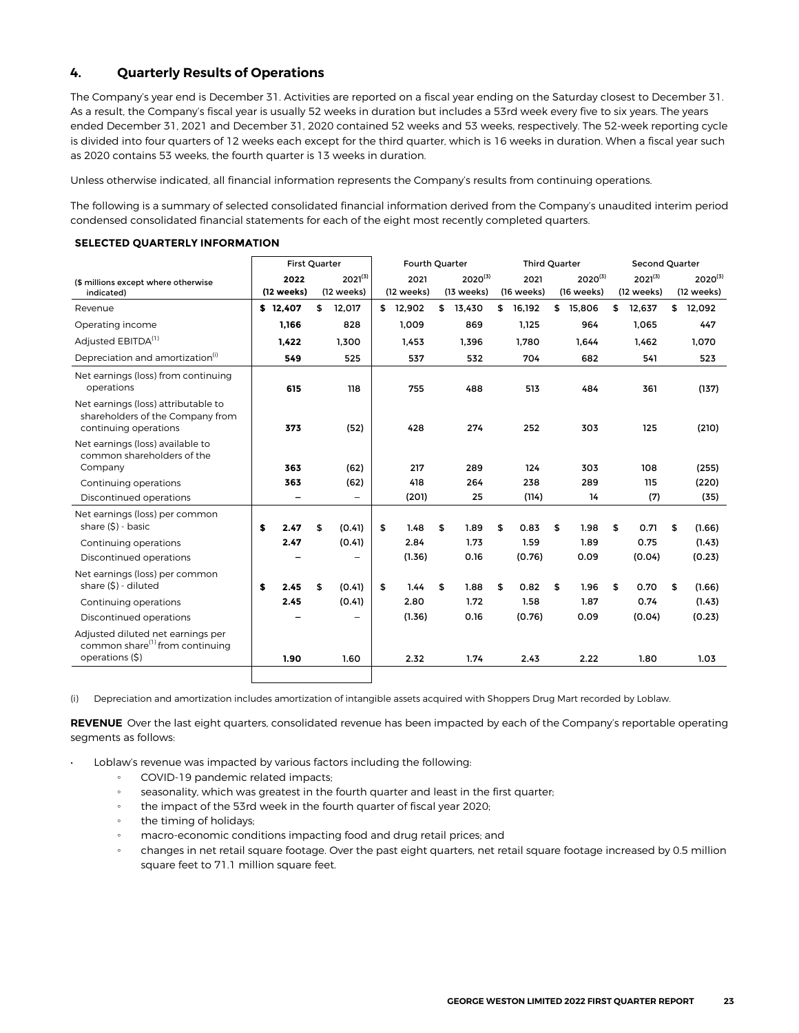#### <span id="page-22-0"></span>**4. Quarterly Results of Operations**

The Company's year end is December 31. Activities are reported on a fiscal year ending on the Saturday closest to December 31. As a result, the Company's fiscal year is usually 52 weeks in duration but includes a 53rd week every five to six years. The years ended December 31, 2021 and December 31, 2020 contained 52 weeks and 53 weeks, respectively. The 52-week reporting cycle is divided into four quarters of 12 weeks each except for the third quarter, which is 16 weeks in duration. When a fiscal year such as 2020 contains 53 weeks, the fourth quarter is 13 weeks in duration.

Unless otherwise indicated, all financial information represents the Company's results from continuing operations.

The following is a summary of selected consolidated financial information derived from the Company's unaudited interim period condensed consolidated financial statements for each of the eight most recently completed quarters.

|                                                                                                     | <b>First Quarter</b> |            |    | Fourth Quarter           |    |            |    | <b>Third Quarter</b> |    |            |    | Second Quarter |    |              |    |              |
|-----------------------------------------------------------------------------------------------------|----------------------|------------|----|--------------------------|----|------------|----|----------------------|----|------------|----|----------------|----|--------------|----|--------------|
| (\$ millions except where otherwise                                                                 |                      | 2022       |    | $2021^{(3)}$             |    | 2021       |    | $2020^{(3)}$         |    | 2021       |    | $2020^{(3)}$   |    | $2021^{(3)}$ |    | $2020^{(3)}$ |
| indicated)                                                                                          |                      | (12 weeks) |    | (12 weeks)               |    | (12 weeks) |    | (13 weeks)           |    | (16 weeks) |    | (16 weeks)     |    | (12 weeks)   |    | (12 weeks)   |
| Revenue                                                                                             |                      | \$12.407   | \$ | 12,017                   | \$ | 12,902     | \$ | 13,430               | \$ | 16,192     |    | \$ 15.806      | \$ | 12,637       | \$ | 12,092       |
| Operating income                                                                                    |                      | 1.166      |    | 828                      |    | 1.009      |    | 869                  |    | 1,125      |    | 964            |    | 1,065        |    | 447          |
| Adjusted EBITDA <sup>(1)</sup>                                                                      |                      | 1,422      |    | 1,300                    |    | 1,453      |    | 1,396                |    | 1.780      |    | 1.644          |    | 1,462        |    | 1,070        |
| Depreciation and amortization <sup>(i)</sup>                                                        |                      | 549        |    | 525                      |    | 537        |    | 532                  |    | 704        |    | 682            |    | 541          |    | 523          |
| Net earnings (loss) from continuing<br>operations                                                   |                      | 615        |    | 118                      |    | 755        |    | 488                  |    | 513        |    | 484            |    | 361          |    | (137)        |
| Net earnings (loss) attributable to<br>shareholders of the Company from<br>continuing operations    |                      | 373        |    | (52)                     |    | 428        |    | 274                  |    | 252        |    | 303            |    | 125          |    | (210)        |
| Net earnings (loss) available to<br>common shareholders of the<br>Company                           |                      | 363        |    | (62)                     |    | 217        |    | 289                  |    | 124        |    | 303            |    | 108          |    | (255)        |
| Continuing operations                                                                               |                      | 363        |    | (62)                     |    | 418        |    | 264                  |    | 238        |    | 289            |    | 115          |    | (220)        |
| Discontinued operations                                                                             |                      |            |    | $\overline{\phantom{0}}$ |    | (201)      |    | 25                   |    | (114)      |    | 14             |    | (7)          |    | (35)         |
| Net earnings (loss) per common<br>share $(5)$ - basic                                               | \$                   | 2.47       | \$ | (0.41)                   | \$ | 1.48       | \$ | 1.89                 | \$ | 0.83       | \$ | 1.98           | \$ | 0.71         | \$ | (1.66)       |
| Continuing operations                                                                               |                      | 2.47       |    | (0.41)                   |    | 2.84       |    | 1.73                 |    | 1.59       |    | 1.89           |    | 0.75         |    | (1.43)       |
| Discontinued operations                                                                             |                      |            |    |                          |    | (1.36)     |    | 0.16                 |    | (0.76)     |    | 0.09           |    | (0.04)       |    | (0.23)       |
| Net earnings (loss) per common<br>share (\$) - diluted                                              | S                    | 2.45       | \$ | (0.41)                   | \$ | 1.44       | \$ | 1.88                 | \$ | 0.82       | \$ | 1.96           | \$ | 0.70         | \$ | (1.66)       |
| Continuing operations                                                                               |                      | 2.45       |    | (0.41)                   |    | 2.80       |    | 1.72                 |    | 1.58       |    | 1.87           |    | 0.74         |    | (1.43)       |
| Discontinued operations                                                                             |                      |            |    |                          |    | (1.36)     |    | 0.16                 |    | (0.76)     |    | 0.09           |    | (0.04)       |    | (0.23)       |
| Adjusted diluted net earnings per<br>common share <sup>(1)</sup> from continuing<br>operations (\$) |                      | 1.90       |    | 1.60                     |    | 2.32       |    | 1.74                 |    | 2.43       |    | 2.22           |    | 1.80         |    | 1.03         |
|                                                                                                     |                      |            |    |                          |    |            |    |                      |    |            |    |                |    |              |    |              |

#### **SELECTED QUARTERLY INFORMATION**

(i) Depreciation and amortization includes amortization of intangible assets acquired with Shoppers Drug Mart recorded by Loblaw.

**REVENUE** Over the last eight quarters, consolidated revenue has been impacted by each of the Company's reportable operating segments as follows:

- Loblaw's revenue was impacted by various factors including the following:
	- COVID-19 pandemic related impacts;
	- seasonality, which was greatest in the fourth quarter and least in the first quarter;
	- the impact of the 53rd week in the fourth quarter of fiscal year 2020;
	- the timing of holidays;
	- macro-economic conditions impacting food and drug retail prices; and
	- changes in net retail square footage. Over the past eight quarters, net retail square footage increased by 0.5 million square feet to 71.1 million square feet.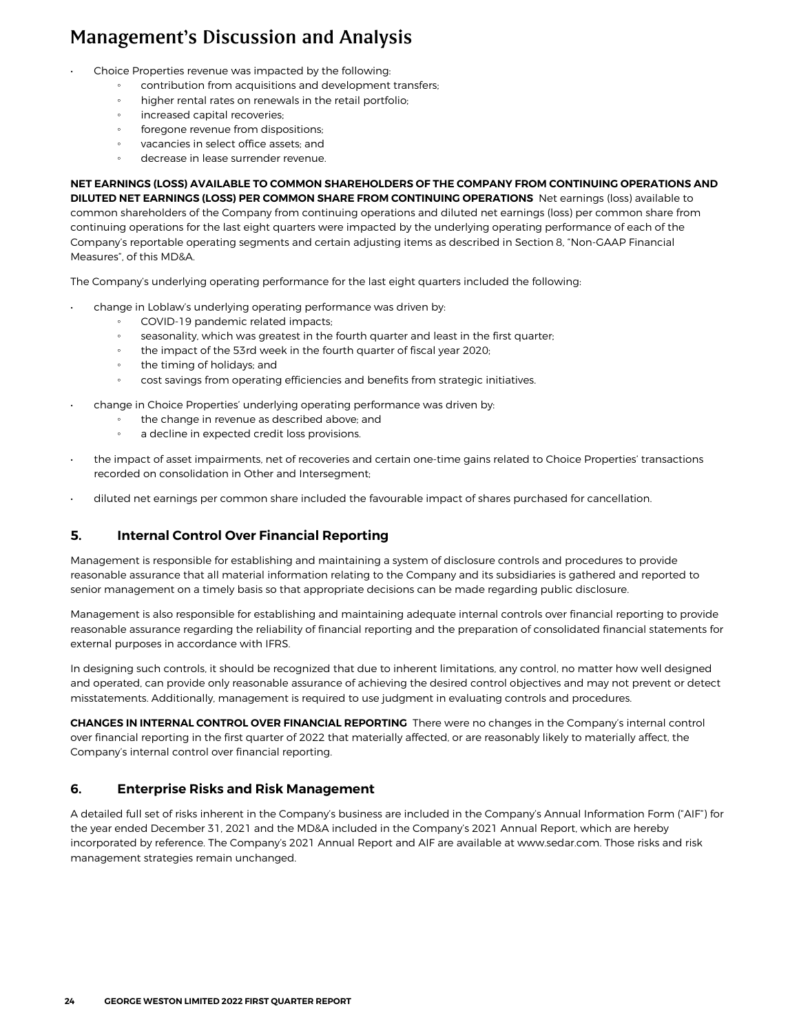- <span id="page-23-0"></span>• Choice Properties revenue was impacted by the following:
	- contribution from acquisitions and development transfers;
	- higher rental rates on renewals in the retail portfolio;
	- increased capital recoveries;
	- foregone revenue from dispositions;
	- vacancies in select office assets; and
	- decrease in lease surrender revenue.

**NET EARNINGS (LOSS) AVAILABLE TO COMMON SHAREHOLDERS OF THE COMPANY FROM CONTINUING OPERATIONS AND DILUTED NET EARNINGS (LOSS) PER COMMON SHARE FROM CONTINUING OPERATIONS** Net earnings (loss) available to common shareholders of the Company from continuing operations and diluted net earnings (loss) per common share from continuing operations for the last eight quarters were impacted by the underlying operating performance of each of the Company's reportable operating segments and certain adjusting items as described in Section 8, "Non-GAAP Financial Measures", of this MD&A.

The Company's underlying operating performance for the last eight quarters included the following:

- change in Loblaw's underlying operating performance was driven by:
	- COVID-19 pandemic related impacts;
	- seasonality, which was greatest in the fourth quarter and least in the first quarter;
	- the impact of the 53rd week in the fourth quarter of fiscal year 2020;
	- the timing of holidays; and
	- cost savings from operating efficiencies and benefits from strategic initiatives.
- change in Choice Properties' underlying operating performance was driven by:
	- the change in revenue as described above; and
	- a decline in expected credit loss provisions.
- the impact of asset impairments, net of recoveries and certain one-time gains related to Choice Properties' transactions recorded on consolidation in Other and Intersegment;
- diluted net earnings per common share included the favourable impact of shares purchased for cancellation.

#### **5. Internal Control Over Financial Reporting**

Management is responsible for establishing and maintaining a system of disclosure controls and procedures to provide reasonable assurance that all material information relating to the Company and its subsidiaries is gathered and reported to senior management on a timely basis so that appropriate decisions can be made regarding public disclosure.

Management is also responsible for establishing and maintaining adequate internal controls over financial reporting to provide reasonable assurance regarding the reliability of financial reporting and the preparation of consolidated financial statements for external purposes in accordance with IFRS.

In designing such controls, it should be recognized that due to inherent limitations, any control, no matter how well designed and operated, can provide only reasonable assurance of achieving the desired control objectives and may not prevent or detect misstatements. Additionally, management is required to use judgment in evaluating controls and procedures.

**CHANGES IN INTERNAL CONTROL OVER FINANCIAL REPORTING** There were no changes in the Company's internal control over financial reporting in the first quarter of 2022 that materially affected, or are reasonably likely to materially affect, the Company's internal control over financial reporting.

#### **6. Enterprise Risks and Risk Management**

A detailed full set of risks inherent in the Company's business are included in the Company's Annual Information Form ("AIF") for the year ended December 31, 2021 and the MD&A included in the Company's 2021 Annual Report, which are hereby incorporated by reference. The Company's 2021 Annual Report and AIF are available at www.sedar.com. Those risks and risk management strategies remain unchanged.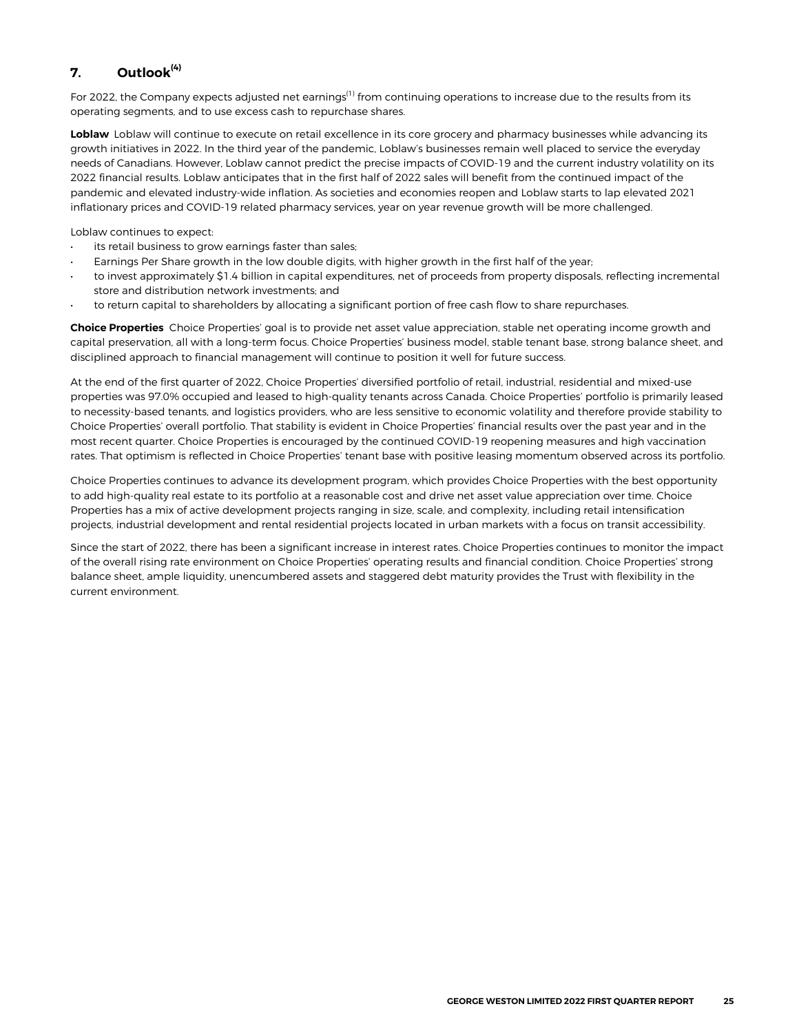### <span id="page-24-0"></span>**7. Outlook(4)**

For 2022, the Company expects adjusted net earnings<sup>(1)</sup> from continuing operations to increase due to the results from its operating segments, and to use excess cash to repurchase shares.

**Loblaw** Loblaw will continue to execute on retail excellence in its core grocery and pharmacy businesses while advancing its growth initiatives in 2022. In the third year of the pandemic, Loblaw's businesses remain well placed to service the everyday needs of Canadians. However, Loblaw cannot predict the precise impacts of COVID-19 and the current industry volatility on its 2022 financial results. Loblaw anticipates that in the first half of 2022 sales will benefit from the continued impact of the pandemic and elevated industry-wide inflation. As societies and economies reopen and Loblaw starts to lap elevated 2021 inflationary prices and COVID-19 related pharmacy services, year on year revenue growth will be more challenged.

Loblaw continues to expect:

- its retail business to grow earnings faster than sales;
- Earnings Per Share growth in the low double digits, with higher growth in the first half of the year;
- to invest approximately \$1.4 billion in capital expenditures, net of proceeds from property disposals, reflecting incremental store and distribution network investments; and
- to return capital to shareholders by allocating a significant portion of free cash flow to share repurchases.

**Choice Properties** Choice Properties' goal is to provide net asset value appreciation, stable net operating income growth and capital preservation, all with a long-term focus. Choice Properties' business model, stable tenant base, strong balance sheet, and disciplined approach to financial management will continue to position it well for future success.

At the end of the first quarter of 2022, Choice Properties' diversified portfolio of retail, industrial, residential and mixed-use properties was 97.0% occupied and leased to high-quality tenants across Canada. Choice Properties' portfolio is primarily leased to necessity-based tenants, and logistics providers, who are less sensitive to economic volatility and therefore provide stability to Choice Properties' overall portfolio. That stability is evident in Choice Properties' financial results over the past year and in the most recent quarter. Choice Properties is encouraged by the continued COVID-19 reopening measures and high vaccination rates. That optimism is reflected in Choice Properties' tenant base with positive leasing momentum observed across its portfolio.

Choice Properties continues to advance its development program, which provides Choice Properties with the best opportunity to add high-quality real estate to its portfolio at a reasonable cost and drive net asset value appreciation over time. Choice Properties has a mix of active development projects ranging in size, scale, and complexity, including retail intensification projects, industrial development and rental residential projects located in urban markets with a focus on transit accessibility.

Since the start of 2022, there has been a significant increase in interest rates. Choice Properties continues to monitor the impact of the overall rising rate environment on Choice Properties' operating results and financial condition. Choice Properties' strong balance sheet, ample liquidity, unencumbered assets and staggered debt maturity provides the Trust with flexibility in the current environment.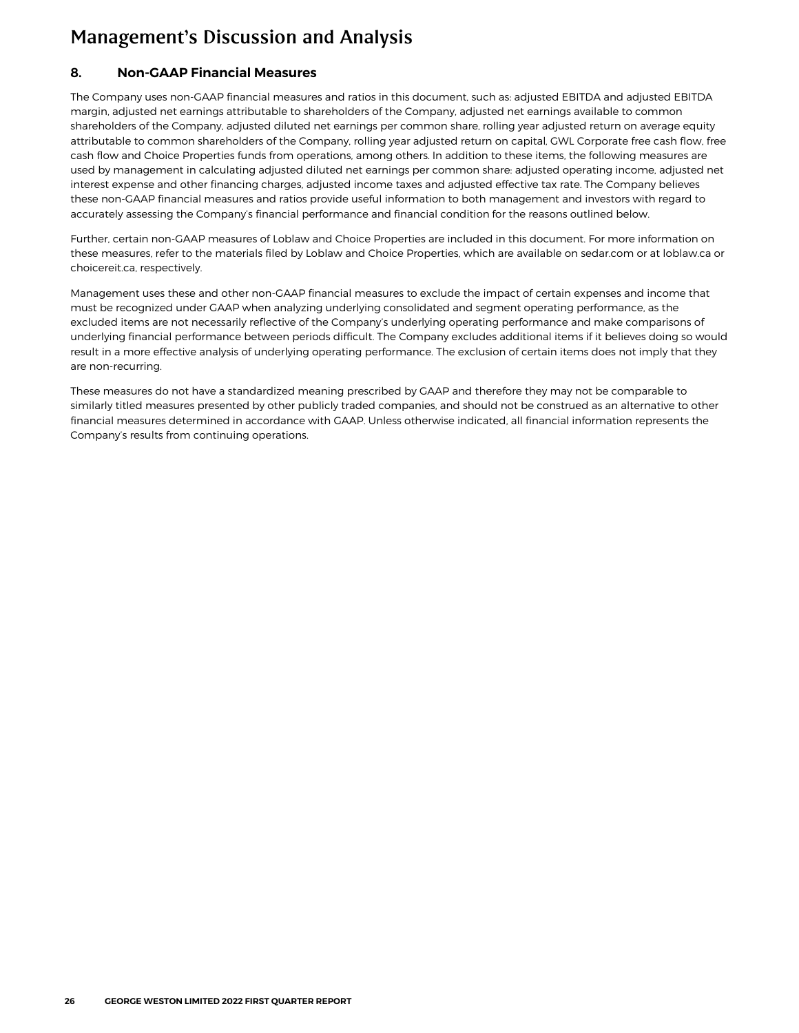#### <span id="page-25-0"></span>**8. Non-GAAP Financial Measures**

The Company uses non-GAAP financial measures and ratios in this document, such as: adjusted EBITDA and adjusted EBITDA margin, adjusted net earnings attributable to shareholders of the Company, adjusted net earnings available to common shareholders of the Company, adjusted diluted net earnings per common share, rolling year adjusted return on average equity attributable to common shareholders of the Company, rolling year adjusted return on capital, GWL Corporate free cash flow, free cash flow and Choice Properties funds from operations, among others. In addition to these items, the following measures are used by management in calculating adjusted diluted net earnings per common share: adjusted operating income, adjusted net interest expense and other financing charges, adjusted income taxes and adjusted effective tax rate. The Company believes these non-GAAP financial measures and ratios provide useful information to both management and investors with regard to accurately assessing the Company's financial performance and financial condition for the reasons outlined below.

Further, certain non-GAAP measures of Loblaw and Choice Properties are included in this document. For more information on these measures, refer to the materials filed by Loblaw and Choice Properties, which are available on sedar.com or at loblaw.ca or choicereit.ca, respectively.

Management uses these and other non-GAAP financial measures to exclude the impact of certain expenses and income that must be recognized under GAAP when analyzing underlying consolidated and segment operating performance, as the excluded items are not necessarily reflective of the Company's underlying operating performance and make comparisons of underlying financial performance between periods difficult. The Company excludes additional items if it believes doing so would result in a more effective analysis of underlying operating performance. The exclusion of certain items does not imply that they are non-recurring.

These measures do not have a standardized meaning prescribed by GAAP and therefore they may not be comparable to similarly titled measures presented by other publicly traded companies, and should not be construed as an alternative to other financial measures determined in accordance with GAAP. Unless otherwise indicated, all financial information represents the Company's results from continuing operations.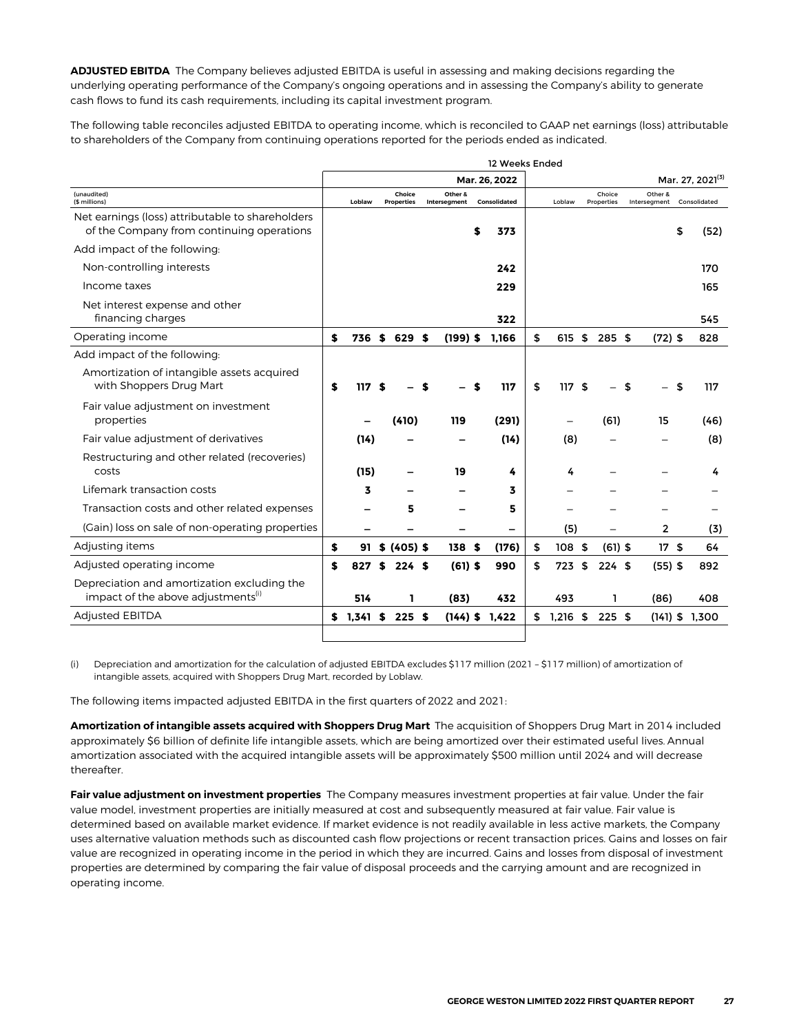**ADJUSTED EBITDA** The Company believes adjusted EBITDA is useful in assessing and making decisions regarding the underlying operating performance of the Company's ongoing operations and in assessing the Company's ability to generate cash flows to fund its cash requirements, including its capital investment program.

The following table reconciles adjusted EBITDA to operating income, which is reconciled to GAAP net earnings (loss) attributable to shareholders of the Company from continuing operations reported for the periods ended as indicated.

|                                                                                               |             |    |                             |              |            | 12 Weeks Ended |                  |      |                      |                         |                              |
|-----------------------------------------------------------------------------------------------|-------------|----|-----------------------------|--------------|------------|----------------|------------------|------|----------------------|-------------------------|------------------------------|
|                                                                                               |             |    |                             |              |            | Mar. 26, 2022  |                  |      |                      |                         | Mar. 27, 2021 <sup>(3)</sup> |
| (unaudited)<br>(\$ millions)                                                                  | Loblaw      |    | Choice<br><b>Properties</b> | Intersegment | Other &    | Consolidated   | Loblaw           |      | Choice<br>Properties | Other &<br>Intersegment | Consolidated                 |
| Net earnings (loss) attributable to shareholders<br>of the Company from continuing operations |             |    |                             |              |            | \$<br>373      |                  |      |                      |                         | \$<br>(52)                   |
| Add impact of the following:                                                                  |             |    |                             |              |            |                |                  |      |                      |                         |                              |
| Non-controlling interests                                                                     |             |    |                             |              |            | 242            |                  |      |                      |                         | 170                          |
| Income taxes                                                                                  |             |    |                             |              |            | 229            |                  |      |                      |                         | 165                          |
| Net interest expense and other<br>financing charges                                           |             |    |                             |              |            | 322            |                  |      |                      |                         | 545                          |
| Operating income                                                                              | \$<br>736   | S. | 629 \$                      |              | $(199)$ \$ | 1,166          | \$<br>615        | \$   | 285 \$               | $(72)$ \$               | 828                          |
| Add impact of the following:                                                                  |             |    |                             |              |            |                |                  |      |                      |                         |                              |
| Amortization of intangible assets acquired<br>with Shoppers Drug Mart                         | \$<br>117   | \$ |                             |              |            | 117            | \$<br>117        | - \$ |                      | \$                      | 117                          |
| Fair value adjustment on investment<br>properties                                             |             |    | (410)                       |              | 119        | (291)          |                  |      | (61)                 | 15                      | (46)                         |
| Fair value adjustment of derivatives                                                          | (14)        |    |                             |              |            | (14)           | (8)              |      |                      |                         | (8)                          |
| Restructuring and other related (recoveries)<br>costs                                         | (15)        |    |                             |              | 19         | 4              | 4                |      |                      |                         | 4                            |
| Lifemark transaction costs                                                                    | 3           |    |                             |              |            | 3              |                  |      |                      |                         |                              |
| Transaction costs and other related expenses                                                  |             |    | 5                           |              |            | 5              |                  |      |                      |                         |                              |
| (Gain) loss on sale of non-operating properties                                               |             |    |                             |              |            |                | (5)              |      |                      | 2                       | (3)                          |
| Adjusting items                                                                               | \$          |    | $91$ \$ (405) \$            |              | 138S       | (176)          | \$<br>108S       |      | $(61)$ \$            | 17S                     | 64                           |
| Adjusted operating income                                                                     | \$<br>827   | S  | 224S                        |              | $(61)$ \$  | 990            | \$<br>723        | \$   | 224S                 | $(55)$ \$               | 892                          |
| Depreciation and amortization excluding the<br>impact of the above adjustments <sup>(1)</sup> | 514         |    | 1                           |              | (83)       | 432            | 493              |      | ı                    | (86)                    | 408                          |
| <b>Adjusted EBITDA</b>                                                                        | \$<br>1,341 | \$ | $225$ \$                    |              | $(144)$ \$ | 1,422          | \$<br>$1,216$ \$ |      | $225$ \$             | $(141)$ \$              | 1,300                        |
|                                                                                               |             |    |                             |              |            |                |                  |      |                      |                         |                              |

(i) Depreciation and amortization for the calculation of adjusted EBITDA excludes \$117 million (2021 – \$117 million) of amortization of intangible assets, acquired with Shoppers Drug Mart, recorded by Loblaw.

The following items impacted adjusted EBITDA in the first quarters of 2022 and 2021:

**Amortization of intangible assets acquired with Shoppers Drug Mart** The acquisition of Shoppers Drug Mart in 2014 included approximately \$6 billion of definite life intangible assets, which are being amortized over their estimated useful lives. Annual amortization associated with the acquired intangible assets will be approximately \$500 million until 2024 and will decrease thereafter.

**Fair value adjustment on investment properties** The Company measures investment properties at fair value. Under the fair value model, investment properties are initially measured at cost and subsequently measured at fair value. Fair value is determined based on available market evidence. If market evidence is not readily available in less active markets, the Company uses alternative valuation methods such as discounted cash flow projections or recent transaction prices. Gains and losses on fair value are recognized in operating income in the period in which they are incurred. Gains and losses from disposal of investment properties are determined by comparing the fair value of disposal proceeds and the carrying amount and are recognized in operating income.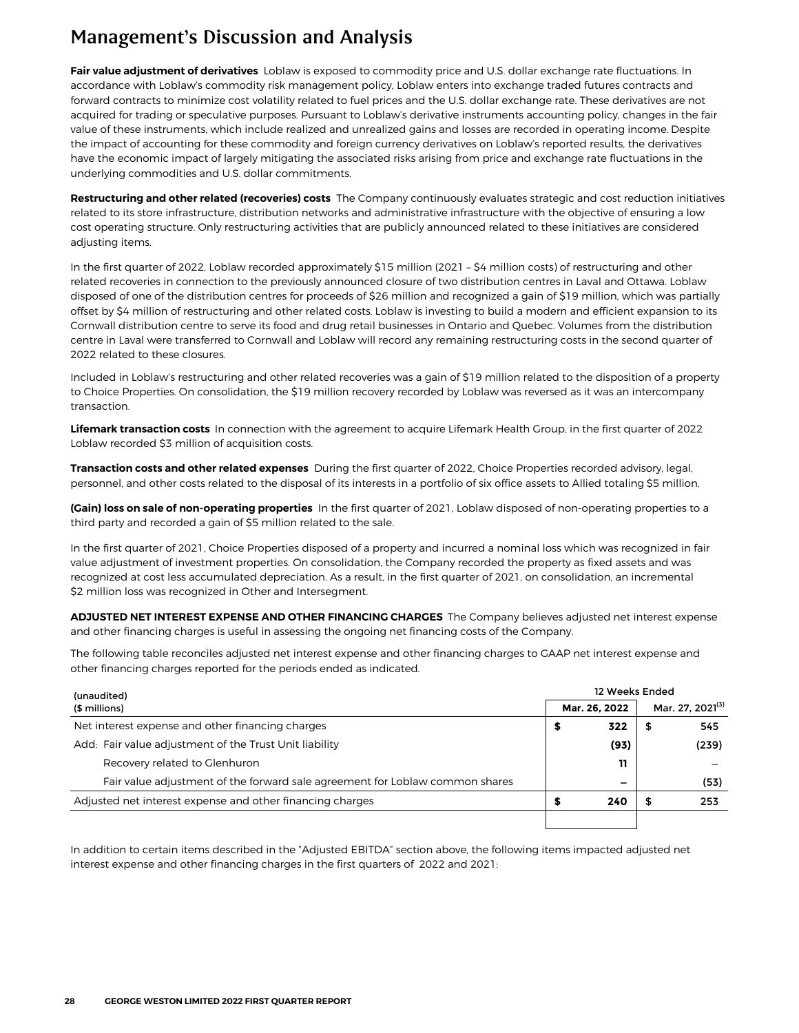**Fair value adjustment of derivatives Loblaw** is exposed to commodity price and U.S. dollar exchange rate fluctuations. In accordance with Loblaw's commodity risk management policy, Loblaw enters into exchange traded futures contracts and forward contracts to minimize cost volatility related to fuel prices and the U.S. dollar exchange rate. These derivatives are not acquired for trading or speculative purposes. Pursuant to Loblaw's derivative instruments accounting policy, changes in the fair value of these instruments, which include realized and unrealized gains and losses are recorded in operating income. Despite the impact of accounting for these commodity and foreign currency derivatives on Loblaw's reported results, the derivatives have the economic impact of largely mitigating the associated risks arising from price and exchange rate fluctuations in the underlying commodities and U.S. dollar commitments.

**Restructuring and other related (recoveries) costs** The Company continuously evaluates strategic and cost reduction initiatives related to its store infrastructure, distribution networks and administrative infrastructure with the objective of ensuring a low cost operating structure. **Only restructuring activities that are publicly announced related to these initiatives are considered adjusting items.** 

In the first quarter of 2022, Loblaw recorded approximately \$15 million (2021 – \$4 million costs) of restructuring and other related recoveries in connection to the previously announced closure of two distribution centres in Laval and Ottawa. Loblaw disposed of one of the distribution centres for proceeds of \$26 million and recognized a gain of \$19 million, which was partially offset by \$4 million of restructuring and other related costs. Loblaw is investing to build a modern and efficient expansion to its Cornwall distribution centre to serve its food and drug retail businesses in Ontario and Quebec. Volumes from the distribution centre in Laval were transferred to Cornwall and Loblaw will record any remaining restructuring costs in the second quarter of 2022 related to these closures.

Included in Loblaw's restructuring and other related recoveries was a gain of \$19 million related to the disposition of a property to Choice Properties. On consolidation, the \$19 million recovery recorded by Loblaw was reversed as it was an intercompany transaction.

**Lifemark transaction costs** In connection with the agreement to acquire Lifemark Health Group, in the first quarter of 2022 Loblaw recorded \$3 million of acquisition costs.

**Transaction costs and other related expenses** During the first quarter of 2022, Choice Properties recorded advisory, legal, personnel, and other costs related to the disposal of its interests in a portfolio of six office assets to Allied totaling \$5 million.

**(Gain) loss on sale of non-operating properties** In the first quarter of 2021, Loblaw disposed of non-operating properties to a **third party and recorded a gain of \$5 million related to the sale.**

**In the first quarter of** 2021**, Choice Properties disposed of a property and incurred a nominal loss which was recognized in fair value adjustment of investment properties. On consolidation, the Company recorded the property as fixed assets and was recognized at cost less accumulated depreciation. As a result, in the first quarter of 2021, on consolidation, an incremental \$2 million loss was recognized in Other and Intersegment.**

**ADJUSTED NET INTEREST EXPENSE AND OTHER FINANCING CHARGES** The Company believes adjusted net interest expense and other financing charges is useful in assessing the ongoing net financing costs of the Company.

The following table reconciles adjusted net interest expense and other financing charges to GAAP net interest expense and other financing charges reported for the periods ended as indicated.

| (unaudited)                                                                  | 12 Weeks Ended |     |                              |  |  |  |  |  |  |
|------------------------------------------------------------------------------|----------------|-----|------------------------------|--|--|--|--|--|--|
| (\$ millions)                                                                | Mar. 26, 2022  |     | Mar. 27, 2021 <sup>(3)</sup> |  |  |  |  |  |  |
| Net interest expense and other financing charges                             | 322            | - 5 | 545                          |  |  |  |  |  |  |
| Add: Fair value adjustment of the Trust Unit liability                       | (93)           |     | (239)                        |  |  |  |  |  |  |
| Recovery related to Glenhuron                                                | 11             |     |                              |  |  |  |  |  |  |
| Fair value adjustment of the forward sale agreement for Loblaw common shares |                |     | (53)                         |  |  |  |  |  |  |
| Adjusted net interest expense and other financing charges                    | 240            | 5   | 253                          |  |  |  |  |  |  |
|                                                                              |                |     |                              |  |  |  |  |  |  |

In addition to certain items described in the "Adjusted EBITDA" section above, the following items impacted adjusted net interest expense and other financing charges in the first quarters of 2022 and 2021: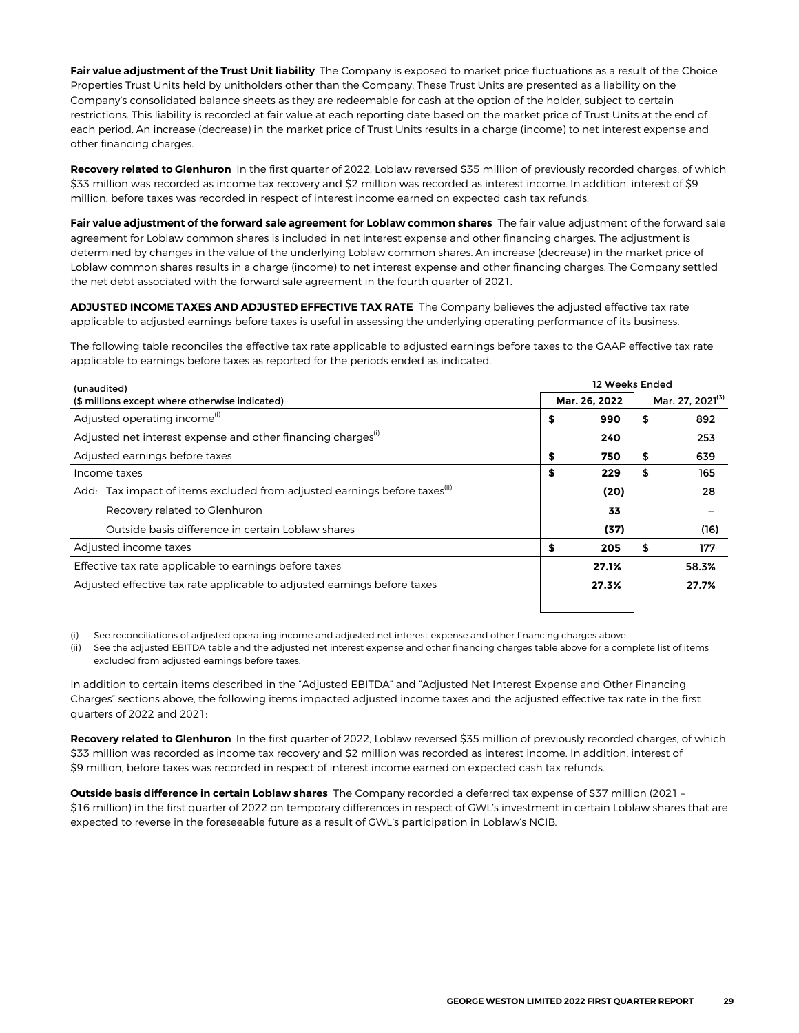**Fair value adjustment of the Trust Unit liability** The Company is exposed to market price fluctuations as a result of the Choice Properties Trust Units held by unitholders other than the Company. These Trust Units are presented as a liability on the Company's consolidated balance sheets as they are redeemable for cash at the option of the holder, subject to certain restrictions. This liability is recorded at fair value at each reporting date based on the market price of Trust Units at the end of each period. An increase (decrease) in the market price of Trust Units results in a charge (income) to net interest expense and other financing charges.

Recovery related to Glenhuron In the first quarter of 2022, Loblaw reversed \$35 million of previously recorded charges, of which \$33 million was recorded as income tax recovery and \$2 million was recorded as interest income. In addition, interest of \$9 million, before taxes was recorded in respect of interest income earned on expected cash tax refunds.

**Fair value adjustment of the forward sale agreement for Loblaw common shares** The fair value adjustment of the forward sale agreement for Loblaw common shares is included in net interest expense and other financing charges. The adjustment is determined by changes in the value of the underlying Loblaw common shares. An increase (decrease) in the market price of Loblaw common shares results in a charge (income) to net interest expense and other financing charges. The Company settled the net debt associated with the forward sale agreement in the fourth quarter of 2021.

**ADJUSTED INCOME TAXES AND ADJUSTED EFFECTIVE TAX RATE** The Company believes the adjusted effective tax rate applicable to adjusted earnings before taxes is useful in assessing the underlying operating performance of its business.

The following table reconciles the effective tax rate applicable to adjusted earnings before taxes to the GAAP effective tax rate applicable to earnings before taxes as reported for the periods ended as indicated.

| (unaudited)                                                                              | 12 Weeks Ended |               |                              |       |  |  |  |  |
|------------------------------------------------------------------------------------------|----------------|---------------|------------------------------|-------|--|--|--|--|
| (\$ millions except where otherwise indicated)                                           |                | Mar. 26. 2022 | Mar. 27, 2021 <sup>(3)</sup> |       |  |  |  |  |
| Adjusted operating income <sup>(i)</sup>                                                 | \$             | 990           | \$                           | 892   |  |  |  |  |
| Adjusted net interest expense and other financing charges <sup>(1)</sup>                 |                | 240           |                              | 253   |  |  |  |  |
| Adjusted earnings before taxes                                                           | \$             | 750           | S                            | 639   |  |  |  |  |
| Income taxes                                                                             | \$             | 229           | \$                           | 165   |  |  |  |  |
| Tax impact of items excluded from adjusted earnings before taxes <sup>(ii)</sup><br>Add: |                | (20)          |                              | 28    |  |  |  |  |
| Recovery related to Glenhuron                                                            |                | 33            |                              |       |  |  |  |  |
| Outside basis difference in certain Loblaw shares                                        |                | (37)          |                              | (16)  |  |  |  |  |
| Adjusted income taxes                                                                    | \$             | 205           | \$                           | 177   |  |  |  |  |
| Effective tax rate applicable to earnings before taxes                                   |                | 27.1%         |                              | 58.3% |  |  |  |  |
| Adjusted effective tax rate applicable to adjusted earnings before taxes                 | 27.7%<br>27.3% |               |                              |       |  |  |  |  |
|                                                                                          |                |               |                              |       |  |  |  |  |

(i) See reconciliations of adjusted operating income and adjusted net interest expense and other financing charges above.

(ii) See the adjusted EBITDA table and the adjusted net interest expense and other financing charges table above for a complete list of items excluded from adjusted earnings before taxes.

In addition to certain items described in the "Adjusted EBITDA" and "Adjusted Net Interest Expense and Other Financing Charges" sections above, the following items impacted adjusted income taxes and the adjusted effective tax rate in the first quarters of 2022 and 2021:

Recovery related to Glenhuron In the first quarter of 2022, Loblaw reversed \$35 million of previously recorded charges, of which \$33 million was recorded as income tax recovery and \$2 million was recorded as interest income. In addition, interest of \$9 million, before taxes was recorded in respect of interest income earned on expected cash tax refunds.

**Outside basis difference in certain Loblaw shares** The Company recorded a deferred tax expense of \$37 million (2021 – \$16 million) in the first quarter of 2022 on temporary differences in respect of GWL's investment in certain Loblaw shares that are expected to reverse in the foreseeable future as a result of GWL's participation in Loblaw's NCIB.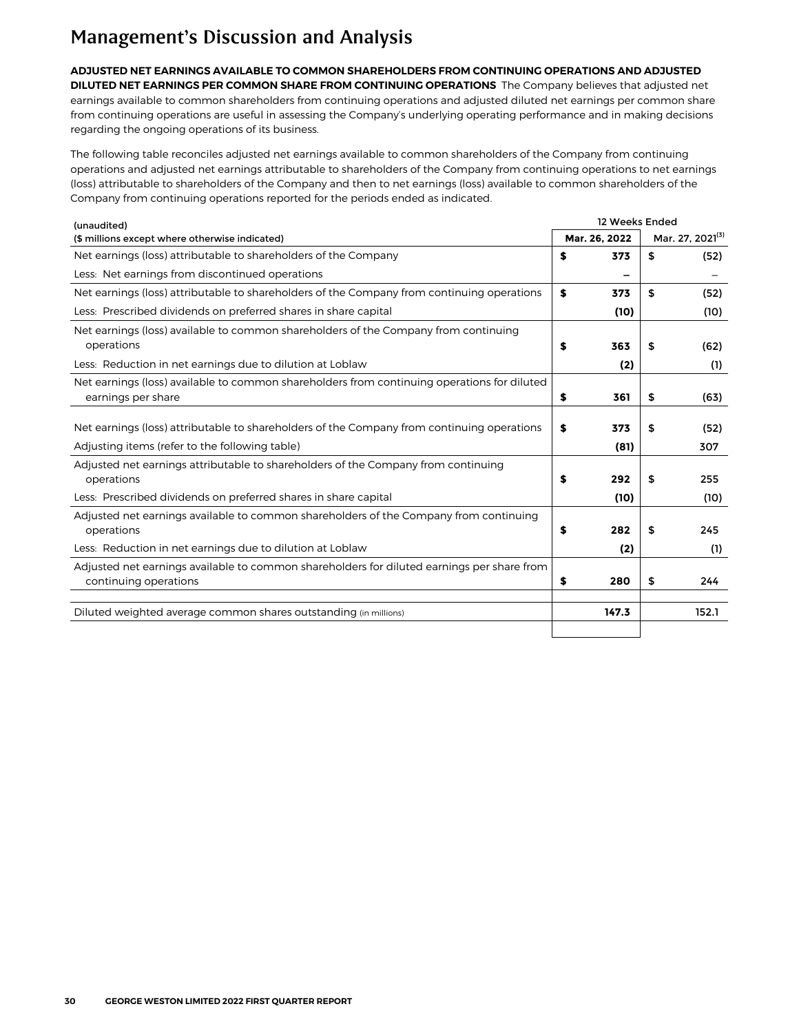**ADJUSTED NET EARNINGS AVAILABLE TO COMMON SHAREHOLDERS FROM CONTINUING OPERATIONS AND ADJUSTED DILUTED NET EARNINGS PER COMMON SHARE FROM CONTINUING OPERATIONS** The Company believes that adjusted net earnings available to common shareholders from continuing operations and adjusted diluted net earnings per common share from continuing operations are useful in assessing the Company's underlying operating performance and in making decisions regarding the ongoing operations of its business.

The following table reconciles adjusted net earnings available to common shareholders of the Company from continuing operations and adjusted net earnings attributable to shareholders of the Company from continuing operations to net earnings (loss) attributable to shareholders of the Company and then to net earnings (loss) available to common shareholders of the Company from continuing operations reported for the periods ended as indicated.

| (unaudited)                                                                                                                                  | 12 Weeks Ended |               |    |                              |  |  |  |  |  |  |
|----------------------------------------------------------------------------------------------------------------------------------------------|----------------|---------------|----|------------------------------|--|--|--|--|--|--|
| (\$ millions except where otherwise indicated)                                                                                               |                | Mar. 26, 2022 |    | Mar. 27, 2021 <sup>(3)</sup> |  |  |  |  |  |  |
| Net earnings (loss) attributable to shareholders of the Company                                                                              | \$             | 373           | \$ | (52)                         |  |  |  |  |  |  |
| Less: Net earnings from discontinued operations                                                                                              |                |               |    |                              |  |  |  |  |  |  |
| Net earnings (loss) attributable to shareholders of the Company from continuing operations                                                   | \$             | 373           | \$ | (52)                         |  |  |  |  |  |  |
| Less: Prescribed dividends on preferred shares in share capital                                                                              |                | (10)          |    | (10)                         |  |  |  |  |  |  |
| Net earnings (loss) available to common shareholders of the Company from continuing<br>operations                                            | \$             | 363           | \$ | (62)                         |  |  |  |  |  |  |
| Less: Reduction in net earnings due to dilution at Loblaw                                                                                    |                | (2)           |    | (1)                          |  |  |  |  |  |  |
| Net earnings (loss) available to common shareholders from continuing operations for diluted<br>earnings per share                            | \$             | 361           | \$ | (63)                         |  |  |  |  |  |  |
| Net earnings (loss) attributable to shareholders of the Company from continuing operations<br>Adjusting items (refer to the following table) | S              | 373<br>(81)   | \$ | (52)<br>307                  |  |  |  |  |  |  |
| Adjusted net earnings attributable to shareholders of the Company from continuing<br>operations                                              | \$             | 292           | \$ | 255                          |  |  |  |  |  |  |
| Less: Prescribed dividends on preferred shares in share capital                                                                              |                | (10)          |    | (10)                         |  |  |  |  |  |  |
| Adjusted net earnings available to common shareholders of the Company from continuing<br>operations                                          | \$             | 282           | \$ | 245                          |  |  |  |  |  |  |
| Less: Reduction in net earnings due to dilution at Loblaw                                                                                    |                | (2)           |    | (1)                          |  |  |  |  |  |  |
| Adjusted net earnings available to common shareholders for diluted earnings per share from<br>continuing operations                          | \$             | 280           | \$ | 244                          |  |  |  |  |  |  |
| Diluted weighted average common shares outstanding (in millions)                                                                             |                | 147.3         |    | 152.1                        |  |  |  |  |  |  |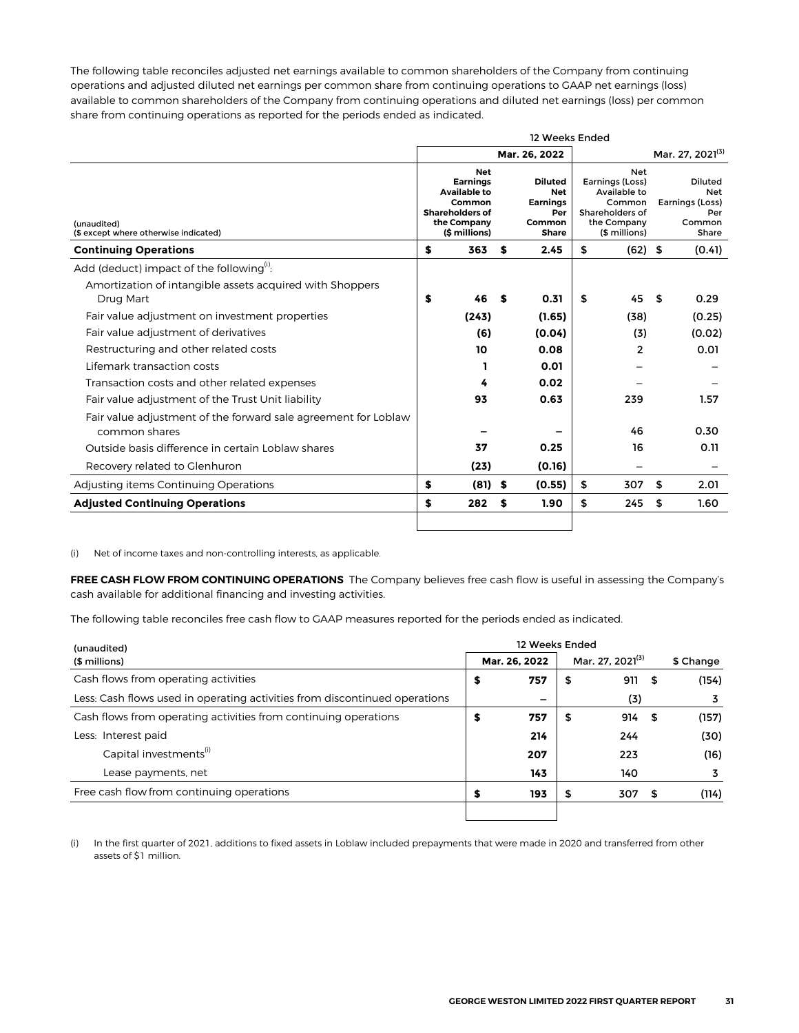The following table reconciles adjusted net earnings available to common shareholders of the Company from continuing operations and adjusted diluted net earnings per common share from continuing operations to GAAP net earnings (loss) available to common shareholders of the Company from continuing operations and diluted net earnings (loss) per common share from continuing operations as reported for the periods ended as indicated.

|                                                                                 | 12 Weeks Ended |                                                                                                                                                                                                                                                                                                |   |               |    |                |                              |                                                             |  |  |  |  |  |
|---------------------------------------------------------------------------------|----------------|------------------------------------------------------------------------------------------------------------------------------------------------------------------------------------------------------------------------------------------------------------------------------------------------|---|---------------|----|----------------|------------------------------|-------------------------------------------------------------|--|--|--|--|--|
|                                                                                 |                |                                                                                                                                                                                                                                                                                                |   | Mar. 26. 2022 |    |                | Mar. 27, 2021 <sup>(3)</sup> |                                                             |  |  |  |  |  |
| (unaudited)<br>(\$ except where otherwise indicated)                            |                | <b>Net</b><br>Earnings (Loss)<br><b>Earnings</b><br>Diluted<br><b>Available to</b><br>Available to<br><b>Net</b><br><b>Earnings</b><br>Common<br>Common<br><b>Shareholders of</b><br>Shareholders of<br>Per<br>the Company<br>the Company<br>Common<br>(\$ millions)<br>(\$ millions)<br>Share |   |               |    |                |                              | Diluted<br>Net<br>Earnings (Loss)<br>Per<br>Common<br>Share |  |  |  |  |  |
| <b>Continuing Operations</b>                                                    | \$             | 363                                                                                                                                                                                                                                                                                            | S | 2.45          | \$ | $(62)$ \$      | (0.41)                       |                                                             |  |  |  |  |  |
| Add (deduct) impact of the following <sup>(1)</sup> :                           |                |                                                                                                                                                                                                                                                                                                |   |               |    |                |                              |                                                             |  |  |  |  |  |
| Amortization of intangible assets acquired with Shoppers<br>Drug Mart           | S              | 46                                                                                                                                                                                                                                                                                             | S | 0.31          | \$ | 45             | \$                           | 0.29                                                        |  |  |  |  |  |
| Fair value adjustment on investment properties                                  |                | (243)                                                                                                                                                                                                                                                                                          |   | (1.65)        |    | (38)           |                              | (0.25)                                                      |  |  |  |  |  |
| Fair value adjustment of derivatives                                            |                | (6)                                                                                                                                                                                                                                                                                            |   | (0.04)        |    | (3)            |                              | (0.02)                                                      |  |  |  |  |  |
| Restructuring and other related costs                                           |                | 10                                                                                                                                                                                                                                                                                             |   | 0.08          |    | $\overline{2}$ |                              | 0.01                                                        |  |  |  |  |  |
| Lifemark transaction costs                                                      |                |                                                                                                                                                                                                                                                                                                |   | 0.01          |    |                |                              |                                                             |  |  |  |  |  |
| Transaction costs and other related expenses                                    |                | 4                                                                                                                                                                                                                                                                                              |   | 0.02          |    |                |                              |                                                             |  |  |  |  |  |
| Fair value adjustment of the Trust Unit liability                               |                | 93                                                                                                                                                                                                                                                                                             |   | 0.63          |    | 239            |                              | 1.57                                                        |  |  |  |  |  |
| Fair value adjustment of the forward sale agreement for Loblaw<br>common shares |                |                                                                                                                                                                                                                                                                                                |   |               |    | 46             |                              | 0.30                                                        |  |  |  |  |  |
| Outside basis difference in certain Loblaw shares                               |                | 37                                                                                                                                                                                                                                                                                             |   | 0.25          |    | 16             |                              | 0.11                                                        |  |  |  |  |  |
| Recovery related to Glenhuron                                                   |                | (23)                                                                                                                                                                                                                                                                                           |   | (0.16)        |    |                |                              |                                                             |  |  |  |  |  |
| Adjusting items Continuing Operations                                           | S              | $(81)$ \$                                                                                                                                                                                                                                                                                      |   | (0.55)        | \$ | 307            | \$                           | 2.01                                                        |  |  |  |  |  |
| <b>Adjusted Continuing Operations</b>                                           | \$             | 282                                                                                                                                                                                                                                                                                            | S | 1.90          | \$ | 245            | \$                           | 1.60                                                        |  |  |  |  |  |
|                                                                                 |                |                                                                                                                                                                                                                                                                                                |   |               |    |                |                              |                                                             |  |  |  |  |  |

(i) Net of income taxes and non-controlling interests, as applicable.

**FREE CASH FLOW FROM CONTINUING OPERATIONS** The Company believes free cash flow is useful in assessing the Company's cash available for additional financing and investing activities.

The following table reconciles free cash flow to GAAP measures reported for the periods ended as indicated.

| (unaudited)                                                                | 12 Weeks Ended |                              |           |
|----------------------------------------------------------------------------|----------------|------------------------------|-----------|
| (\$ millions)                                                              | Mar. 26, 2022  | Mar. 27, 2021 <sup>(3)</sup> | \$ Change |
| Cash flows from operating activities                                       | \$<br>757      | \$<br>911                    | (154)     |
| Less: Cash flows used in operating activities from discontinued operations | -              | (3)                          |           |
| Cash flows from operating activities from continuing operations            | \$<br>757      | \$<br>914                    | (157)     |
| Less: Interest paid                                                        | 214            | 244                          | (30)      |
| Capital investments <sup>(i)</sup>                                         | 207            | 223                          | (16)      |
| Lease payments, net                                                        | 143            | 140                          | 3         |
| Free cash flow from continuing operations                                  | 193            | 307                          | (114)     |
|                                                                            |                |                              |           |

(i) In the first quarter of 2021, additions to fixed assets in Loblaw included prepayments that were made in 2020 and transferred from other assets of \$1 million.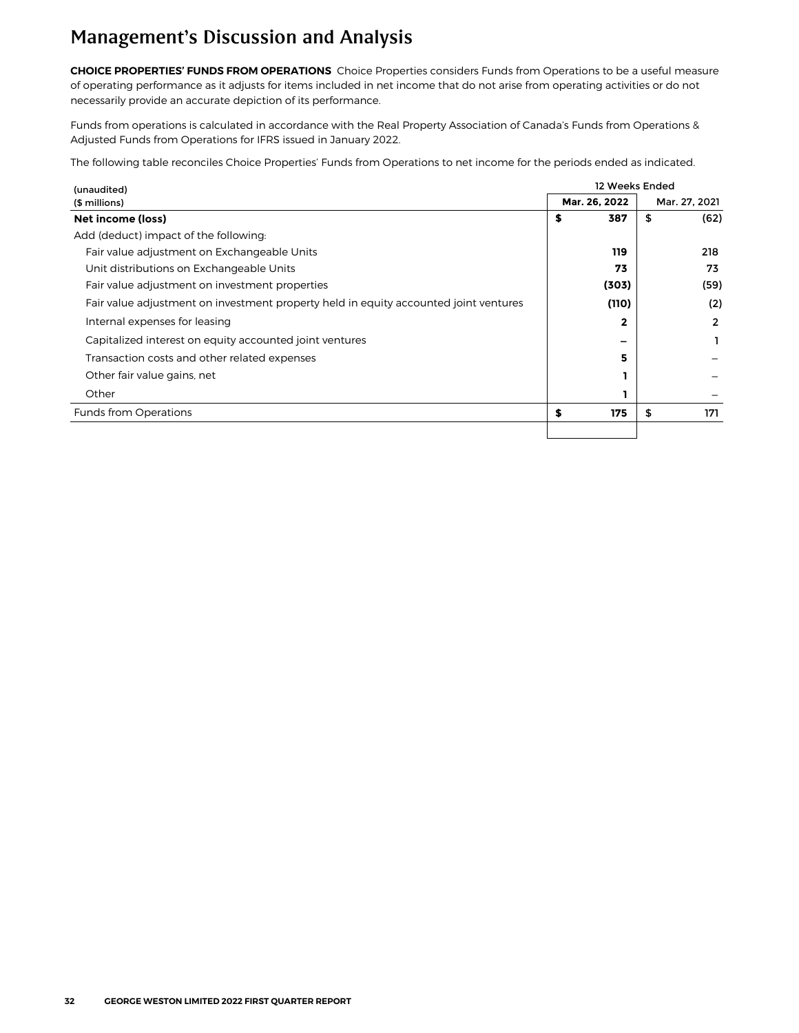**CHOICE PROPERTIES' FUNDS FROM OPERATIONS** Choice Properties considers Funds from Operations to be a useful measure of operating performance as it adjusts for items included in net income that do not arise from operating activities or do not necessarily provide an accurate depiction of its performance.

Funds from operations is calculated in accordance with the Real Property Association of Canada's Funds from Operations & Adjusted Funds from Operations for IFRS issued in January 2022.

The following table reconciles Choice Properties' Funds from Operations to net income for the periods ended as indicated.

| (unaudited)                                                                          | 12 Weeks Ended |               |               |      |  |  |  |  |  |
|--------------------------------------------------------------------------------------|----------------|---------------|---------------|------|--|--|--|--|--|
| (\$ millions)                                                                        |                | Mar. 26, 2022 | Mar. 27, 2021 |      |  |  |  |  |  |
| Net income (loss)                                                                    | \$             | 387           | \$            | (62) |  |  |  |  |  |
| Add (deduct) impact of the following:                                                |                |               |               |      |  |  |  |  |  |
| Fair value adjustment on Exchangeable Units                                          |                | 119           |               | 218  |  |  |  |  |  |
| Unit distributions on Exchangeable Units                                             |                | 73            |               | 73   |  |  |  |  |  |
| Fair value adjustment on investment properties                                       |                | (303)         |               | (59) |  |  |  |  |  |
| Fair value adjustment on investment property held in equity accounted joint ventures |                | (110)         |               | (2)  |  |  |  |  |  |
| Internal expenses for leasing                                                        |                |               |               | 2    |  |  |  |  |  |
| Capitalized interest on equity accounted joint ventures                              |                |               |               |      |  |  |  |  |  |
| Transaction costs and other related expenses                                         |                | 5             |               |      |  |  |  |  |  |
| Other fair value gains, net                                                          |                |               |               |      |  |  |  |  |  |
| Other                                                                                |                |               |               |      |  |  |  |  |  |
| <b>Funds from Operations</b>                                                         | \$             | 175           | \$            | 171  |  |  |  |  |  |
|                                                                                      |                |               |               |      |  |  |  |  |  |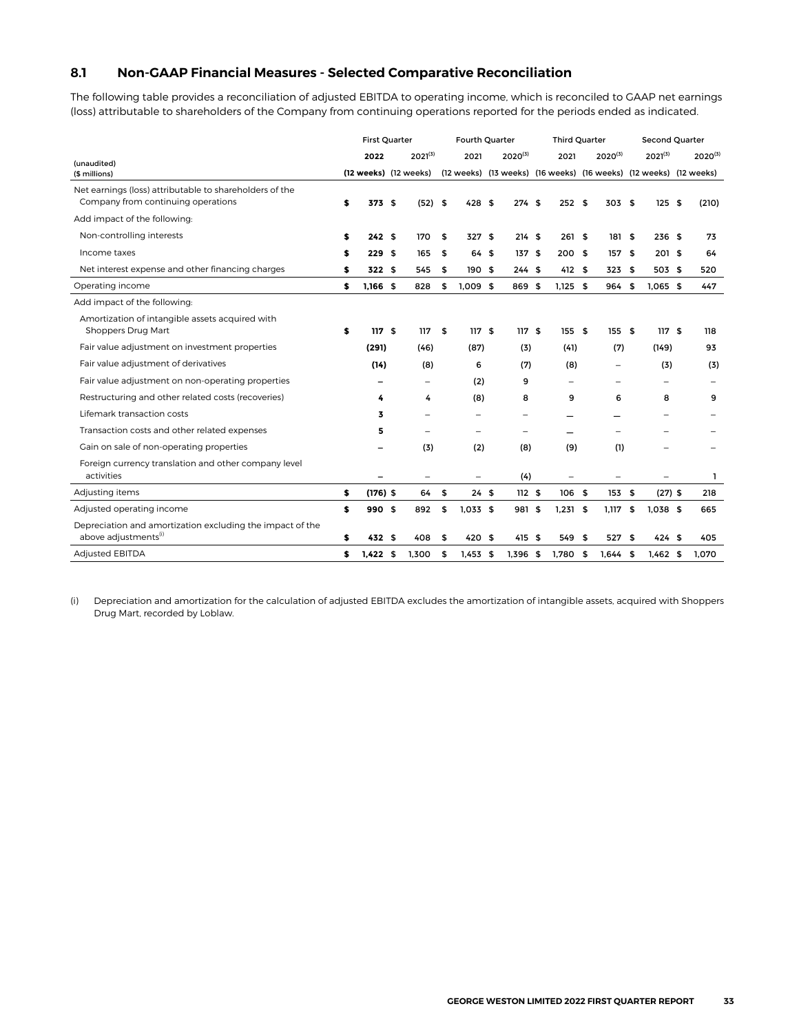#### <span id="page-32-0"></span>**8.1 Non-GAAP Financial Measures - Selected Comparative Reconciliation**

The following table provides a reconciliation of adjusted EBITDA to operating income, which is reconciled to GAAP net earnings (loss) attributable to shareholders of the Company from continuing operations reported for the periods ended as indicated.

|                                                                                               | <b>First Quarter</b> |                       |  |                   | Fourth Quarter   |              | <b>Third Quarter</b> |                          |  |                                                                   | Second Quarter |                          |      |              |
|-----------------------------------------------------------------------------------------------|----------------------|-----------------------|--|-------------------|------------------|--------------|----------------------|--------------------------|--|-------------------------------------------------------------------|----------------|--------------------------|------|--------------|
| (unaudited)                                                                                   |                      | 2022                  |  | $2021^{(3)}$      | 2021             | $2020^{(3)}$ |                      | 2021                     |  | $2020^{(3)}$                                                      |                | $2021^{(3)}$             |      | $2020^{(3)}$ |
| (\$ millions)                                                                                 |                      | (12 weeks) (12 weeks) |  |                   |                  |              |                      |                          |  | (12 weeks) (13 weeks) (16 weeks) (16 weeks) (12 weeks) (12 weeks) |                |                          |      |              |
| Net earnings (loss) attributable to shareholders of the<br>Company from continuing operations | \$                   | 373 \$                |  | $(52)$ \$         | 428S             | 274S         |                      | 252S                     |  | 303 \$                                                            |                | 125                      | - \$ | (210)        |
| Add impact of the following:                                                                  |                      |                       |  |                   |                  |              |                      |                          |  |                                                                   |                |                          |      |              |
| Non-controlling interests                                                                     | \$                   | 242S                  |  | 170               | \$<br>327S       | 214S         |                      | 261S                     |  | 181 \$                                                            |                | 236S                     |      | 73           |
| Income taxes                                                                                  | S                    | 229S                  |  | 165               | \$<br>64 \$      | 137S         |                      | 200S                     |  | 157                                                               | \$             | 201 \$                   |      | 64           |
| Net interest expense and other financing charges                                              | S                    | 322S                  |  | 545               | \$<br>190S       | 244S         |                      | $412$ \$                 |  | 323                                                               | \$             | 503 \$                   |      | 520          |
| Operating income                                                                              | Ś                    | 1,166 \$              |  | 828               | \$<br>$1,009$ \$ | 869 \$       |                      | $1,125$ \$               |  | 964                                                               | \$             | $1,065$ \$               |      | 447          |
| Add impact of the following:                                                                  |                      |                       |  |                   |                  |              |                      |                          |  |                                                                   |                |                          |      |              |
| Amortization of intangible assets acquired with<br>Shoppers Drug Mart                         | \$                   | 117S                  |  | 117               | \$<br>117S       | 117S         |                      | 155S                     |  | 155 \$                                                            |                | 117S                     |      | 118          |
| Fair value adjustment on investment properties                                                |                      | (291)                 |  | (46)              | (87)             | (3)          |                      | (41)                     |  | (7)                                                               |                | (149)                    |      | 93           |
| Fair value adjustment of derivatives                                                          |                      | (14)                  |  | (8)               | 6                | (7)          |                      | (8)                      |  | $\overline{\phantom{m}}$                                          |                | (3)                      |      | (3)          |
| Fair value adjustment on non-operating properties                                             |                      |                       |  | $\qquad \qquad =$ | (2)              | 9            |                      | $\overline{\phantom{m}}$ |  | $\overline{\phantom{0}}$                                          |                | $\overline{\phantom{m}}$ |      |              |
| Restructuring and other related costs (recoveries)                                            |                      | 4                     |  | 4                 | (8)              | 8            |                      | 9                        |  | 6                                                                 |                | 8                        |      | 9            |
| Lifemark transaction costs                                                                    |                      | 3                     |  |                   |                  | -            |                      |                          |  |                                                                   |                |                          |      |              |
| Transaction costs and other related expenses                                                  |                      | 5                     |  |                   |                  | -            |                      | -                        |  |                                                                   |                |                          |      |              |
| Gain on sale of non-operating properties                                                      |                      |                       |  | (3)               | (2)              | (8)          |                      | (9)                      |  | (1)                                                               |                |                          |      |              |
| Foreign currency translation and other company level<br>activities                            |                      |                       |  |                   |                  | (4)          |                      |                          |  |                                                                   |                |                          |      | ı            |
| Adjusting items                                                                               | \$                   | $(176)$ \$            |  | 64                | \$<br>24S        | 112S         |                      | $106-5$                  |  | 153                                                               | \$             | $(27)$ \$                |      | 218          |
| Adjusted operating income                                                                     | \$                   | 990 \$                |  | 892               | \$<br>$1,033$ \$ | 981 \$       |                      | $1,231$ \$               |  | 1,117                                                             | \$             | $1,038$ \$               |      | 665          |
| Depreciation and amortization excluding the impact of the<br>above adjustments <sup>(i)</sup> | \$                   | 432S                  |  | 408               | \$<br>420S       | 415S         |                      | 549 \$                   |  | 527                                                               | \$             | 424S                     |      | 405          |
| <b>Adjusted EBITDA</b>                                                                        | \$                   | $1,422$ \$            |  | 1,300             | \$<br>$1,453$ \$ | $1,396$ \$   |                      | 1,780 \$                 |  | 1.644                                                             | \$             | $1,462$ \$               |      | 1.070        |

(i) Depreciation and amortization for the calculation of adjusted EBITDA excludes the amortization of intangible assets, acquired with Shoppers Drug Mart, recorded by Loblaw.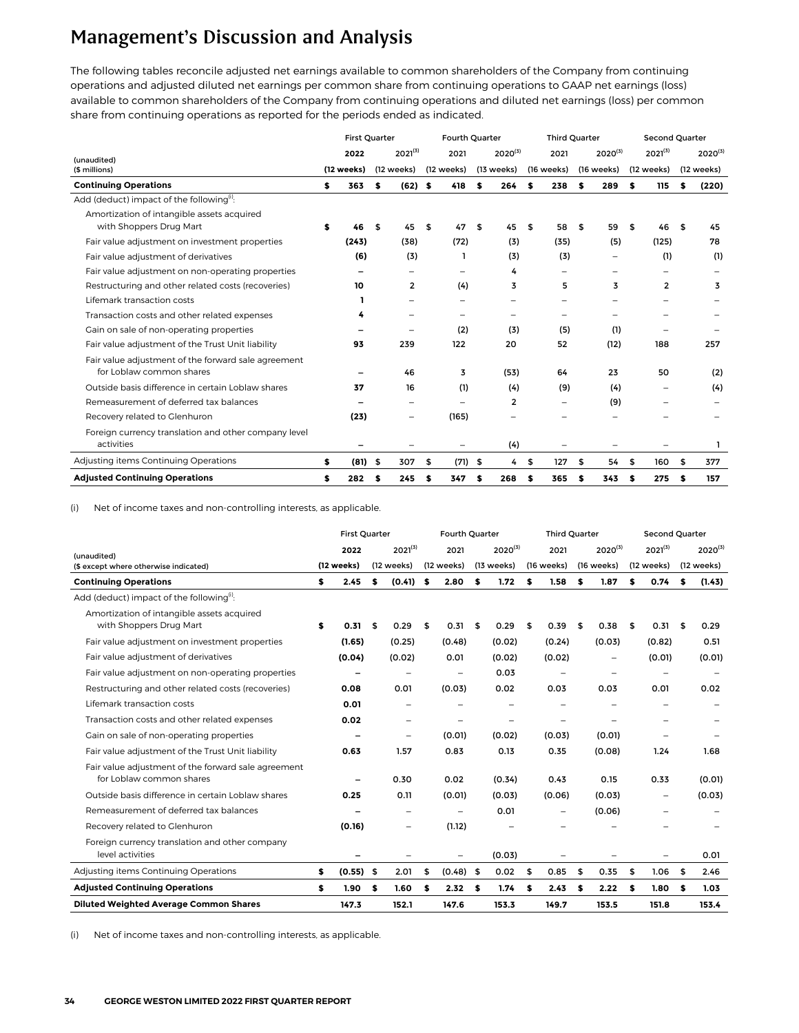The following tables reconcile adjusted net earnings available to common shareholders of the Company from continuing operations and adjusted diluted net earnings per common share from continuing operations to GAAP net earnings (loss) available to common shareholders of the Company from continuing operations and diluted net earnings (loss) per common share from continuing operations as reported for the periods ended as indicated.

|                                                                                 | Fourth Quarter<br><b>First Quarter</b> |            |              |                |    |            |              |            | <b>Third Quarter</b>     |    |              | Second Quarter |                |      |              |
|---------------------------------------------------------------------------------|----------------------------------------|------------|--------------|----------------|----|------------|--------------|------------|--------------------------|----|--------------|----------------|----------------|------|--------------|
| (unaudited)                                                                     |                                        | 2022       | $2021^{(3)}$ |                |    | 2021       | $2020^{(3)}$ |            | 2021                     |    | $2020^{(3)}$ |                | $2021^{(3)}$   |      | $2020^{(3)}$ |
| (\$ millions)                                                                   |                                        | (12 weeks) |              | (12 weeks)     |    | (12 weeks) |              | (13 weeks) | (16 weeks)               |    | (16 weeks)   |                | (12 weeks)     |      | (12 weeks)   |
| <b>Continuing Operations</b>                                                    | s.                                     | 363        | s            | $(62)$ \$      |    | 418        | \$           | 264        | \$<br>238                | s  | 289          | s.             | 115            | s    | (220)        |
| Add (deduct) impact of the following <sup>(i)</sup> :                           |                                        |            |              |                |    |            |              |            |                          |    |              |                |                |      |              |
| Amortization of intangible assets acquired<br>with Shoppers Drug Mart           | S                                      | 46         | \$           | 45             | \$ | 47         | \$           | 45         | \$<br>58                 | \$ | 59           | \$             | 46             | - \$ | 45           |
| Fair value adjustment on investment properties                                  |                                        | (243)      |              | (38)           |    | (72)       |              | (3)        | (35)                     |    | (5)          |                | (125)          |      | 78           |
| Fair value adjustment of derivatives                                            |                                        | (6)        |              | (3)            |    | L.         |              | (3)        | (3)                      |    |              |                | (1)            |      | (1)          |
| Fair value adjustment on non-operating properties                               |                                        |            |              |                |    |            |              | 4          |                          |    |              |                |                |      |              |
| Restructuring and other related costs (recoveries)                              |                                        | 10         |              | $\overline{2}$ |    | (4)        |              | 3          | 5                        |    | 3            |                | $\overline{2}$ |      | 3            |
| Lifemark transaction costs                                                      |                                        | п          |              |                |    | -          |              |            |                          |    |              |                |                |      |              |
| Transaction costs and other related expenses                                    |                                        | 4          |              |                |    |            |              | -          | -                        |    |              |                |                |      |              |
| Gain on sale of non-operating properties                                        |                                        |            |              |                |    | (2)        |              | (3)        | (5)                      |    | (1)          |                |                |      |              |
| Fair value adjustment of the Trust Unit liability                               |                                        | 93         |              | 239            |    | 122        |              | 20         | 52                       |    | (12)         |                | 188            |      | 257          |
| Fair value adjustment of the forward sale agreement<br>for Loblaw common shares |                                        |            |              | 46             |    | 3          |              | (53)       | 64                       |    | 23           |                | 50             |      | (2)          |
| Outside basis difference in certain Loblaw shares                               |                                        | 37         |              | 16             |    | (1)        |              | (4)        | (9)                      |    | (4)          |                |                |      | (4)          |
| Remeasurement of deferred tax balances                                          |                                        |            |              |                |    |            |              | 2          | $\overline{\phantom{0}}$ |    | (9)          |                |                |      |              |
| Recovery related to Glenhuron                                                   |                                        | (23)       |              |                |    | (165)      |              |            |                          |    |              |                |                |      |              |
| Foreign currency translation and other company level<br>activities              |                                        |            |              |                |    |            |              | (4)        |                          |    |              |                |                |      | ı            |
| Adjusting items Continuing Operations                                           | \$                                     | $(81)$ \$  |              | 307            | \$ | (71)       | \$           | 4          | \$<br>127                | \$ | 54           | \$             | 160            | \$   | 377          |
| <b>Adjusted Continuing Operations</b>                                           | \$                                     | 282        | \$           | 245            | \$ | 347        | \$           | 268        | \$<br>365                | \$ | 343          | s              | 275            | \$   | 157          |

(i) Net of income taxes and non-controlling interests, as applicable.

|                                                                                 |            | <b>First Quarter</b>     |            |                          | Fourth Quarter |            |              |            | <b>Third Quarter</b>     |            |              |            | Second Quarter           |            |              |  |
|---------------------------------------------------------------------------------|------------|--------------------------|------------|--------------------------|----------------|------------|--------------|------------|--------------------------|------------|--------------|------------|--------------------------|------------|--------------|--|
| (unaudited)                                                                     |            | 2022                     |            | $2021^{(3)}$             | 2021           |            | $2020^{(3)}$ |            | 2021                     |            | $2020^{(3)}$ |            | $2021^{(3)}$             |            | $2020^{(3)}$ |  |
| (\$ except where otherwise indicated)                                           | (12 weeks) |                          | (12 weeks) |                          | (12 weeks)     | (13 weeks) |              | (16 weeks) |                          | (16 weeks) |              | (12 weeks) |                          | (12 weeks) |              |  |
| <b>Continuing Operations</b>                                                    | \$         | 2.45                     | s          | (0.41)                   | \$<br>2.80     | \$         | 1.72         | \$         | 1.58                     | \$         | 1.87         | s          | 0.74                     | \$         | (1.43)       |  |
| Add (deduct) impact of the following <sup>(1)</sup> :                           |            |                          |            |                          |                |            |              |            |                          |            |              |            |                          |            |              |  |
| Amortization of intangible assets acquired<br>with Shoppers Drug Mart           | \$         | 0.31                     | \$         | 0.29                     | \$<br>0.31     | \$         | 0.29         | \$         | 0.39                     | \$         | 0.38         | \$         | 0.31                     | - \$       | 0.29         |  |
| Fair value adjustment on investment properties                                  |            | (1.65)                   |            | (0.25)                   | (0.48)         |            | (0.02)       |            | (0.24)                   |            | (0.03)       |            | (0.82)                   |            | 0.51         |  |
| Fair value adjustment of derivatives                                            |            | (0.04)                   |            | (0.02)                   | 0.01           |            | (0.02)       |            | (0.02)                   |            |              |            | (0.01)                   |            | (0.01)       |  |
| Fair value adjustment on non-operating properties                               |            |                          |            |                          |                |            | 0.03         |            |                          |            |              |            |                          |            |              |  |
| Restructuring and other related costs (recoveries)                              |            | 0.08                     |            | 0.01                     | (0.03)         |            | 0.02         |            | 0.03                     |            | 0.03         |            | 0.01                     |            | 0.02         |  |
| Lifemark transaction costs                                                      |            | 0.01                     |            |                          |                |            |              |            |                          |            |              |            |                          |            |              |  |
| Transaction costs and other related expenses                                    |            | 0.02                     |            | $\overline{\phantom{0}}$ |                |            | -            |            |                          |            |              |            |                          |            |              |  |
| Gain on sale of non-operating properties                                        |            | $\overline{\phantom{0}}$ |            | $\overline{\phantom{0}}$ | (0.01)         |            | (0.02)       |            | (0.03)                   |            | (0.01)       |            | $\overline{\phantom{0}}$ |            |              |  |
| Fair value adjustment of the Trust Unit liability                               |            | 0.63                     |            | 1.57                     | 0.83           |            | 0.13         |            | 0.35                     |            | (0.08)       |            | 1.24                     |            | 1.68         |  |
| Fair value adjustment of the forward sale agreement<br>for Loblaw common shares |            | $\overline{\phantom{0}}$ |            | 0.30                     | 0.02           |            | (0.34)       |            | 0.43                     |            | 0.15         |            | 0.33                     |            | (0.01)       |  |
| Outside basis difference in certain Loblaw shares                               |            | 0.25                     |            | 0.11                     | (0.01)         |            | (0.03)       |            | (0.06)                   |            | (0.03)       |            | $\overline{\phantom{m}}$ |            | (0.03)       |  |
| Remeasurement of deferred tax balances                                          |            |                          |            | $\overline{\phantom{0}}$ | -              |            | 0.01         |            | $\overline{\phantom{0}}$ |            | (0.06)       |            |                          |            |              |  |
| Recovery related to Glenhuron                                                   |            | (0.16)                   |            | $\qquad \qquad -$        | (1.12)         |            |              |            |                          |            |              |            |                          |            |              |  |
| Foreign currency translation and other company<br>level activities              |            | -                        |            |                          |                |            | (0.03)       |            |                          |            |              |            |                          |            | 0.01         |  |
| Adjusting items Continuing Operations                                           | \$         | $(0.55)$ \$              |            | 2.01                     | \$<br>(0.48)   | \$         | 0.02         | \$         | 0.85                     | \$         | 0.35         | \$         | 1.06                     | \$         | 2.46         |  |
| <b>Adjusted Continuing Operations</b>                                           | \$         | 1.90                     | \$         | 1.60                     | \$<br>2.32     | \$         | 1.74         | s          | 2.43                     | \$         | 2.22         | s          | 1.80                     | s          | 1.03         |  |
| <b>Diluted Weighted Average Common Shares</b>                                   |            | 147.3                    |            | 152.1                    | 147.6          |            | 153.3        |            | 149.7                    |            | 153.5        |            | 151.8                    |            | 153.4        |  |

(i) Net of income taxes and non-controlling interests, as applicable.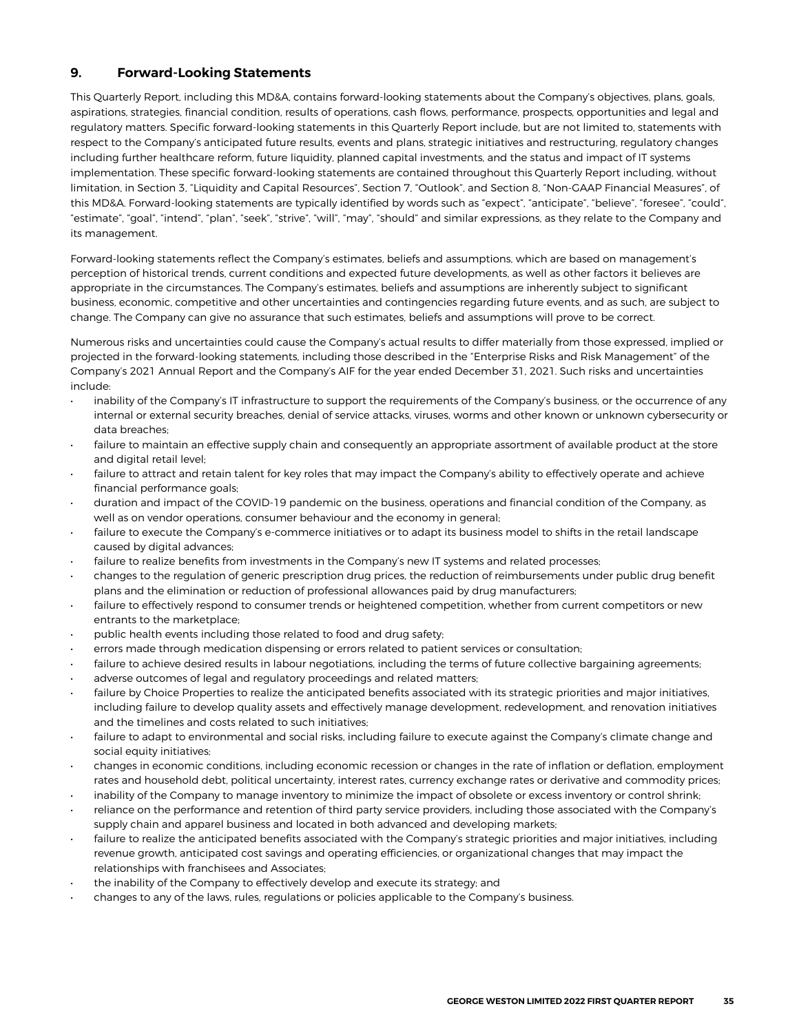#### <span id="page-34-0"></span>**9. Forward-Looking Statements**

This Quarterly Report, including this MD&A, contains forward-looking statements about the Company's objectives, plans, goals, aspirations, strategies, financial condition, results of operations, cash flows, performance, prospects, opportunities and legal and regulatory matters. Specific forward-looking statements in this Quarterly Report include, but are not limited to, statements with respect to the Company's anticipated future results, events and plans, strategic initiatives and restructuring, regulatory changes including further healthcare reform, future liquidity, planned capital investments, and the status and impact of IT systems implementation. These specific forward-looking statements are contained throughout this Quarterly Report including, without limitation, in Section 3, "Liquidity and Capital Resources", Section 7, "Outlook", and Section 8, "Non-GAAP Financial Measures", of this MD&A. Forward-looking statements are typically identified by words such as "expect", "anticipate", "believe", "foresee", "could", "estimate", "goal", "intend", "plan", "seek", "strive", "will", "may", "should" and similar expressions, as they relate to the Company and its management.

Forward-looking statements reflect the Company's estimates, beliefs and assumptions, which are based on management's perception of historical trends, current conditions and expected future developments, as well as other factors it believes are appropriate in the circumstances. The Company's estimates, beliefs and assumptions are inherently subject to significant business, economic, competitive and other uncertainties and contingencies regarding future events, and as such, are subject to change. The Company can give no assurance that such estimates, beliefs and assumptions will prove to be correct.

Numerous risks and uncertainties could cause the Company's actual results to differ materially from those expressed, implied or projected in the forward-looking statements, including those described in the "Enterprise Risks and Risk Management" of the Company's 2021 Annual Report and the Company's AIF for the year ended December 31, 2021. Such risks and uncertainties include:

- inability of the Company's IT infrastructure to support the requirements of the Company's business, or the occurrence of any internal or external security breaches, denial of service attacks, viruses, worms and other known or unknown cybersecurity or data breaches;
- failure to maintain an effective supply chain and consequently an appropriate assortment of available product at the store and digital retail level:
- failure to attract and retain talent for key roles that may impact the Company's ability to effectively operate and achieve financial performance goals;
- duration and impact of the COVID-19 pandemic on the business, operations and financial condition of the Company, as well as on vendor operations, consumer behaviour and the economy in general;
- failure to execute the Company's e-commerce initiatives or to adapt its business model to shifts in the retail landscape caused by digital advances;
- failure to realize benefits from investments in the Company's new IT systems and related processes;
- changes to the regulation of generic prescription drug prices, the reduction of reimbursements under public drug benefit plans and the elimination or reduction of professional allowances paid by drug manufacturers;
- failure to effectively respond to consumer trends or heightened competition, whether from current competitors or new entrants to the marketplace;
- public health events including those related to food and drug safety;
- errors made through medication dispensing or errors related to patient services or consultation;
- failure to achieve desired results in labour negotiations, including the terms of future collective bargaining agreements;
- adverse outcomes of legal and regulatory proceedings and related matters;
- failure by Choice Properties to realize the anticipated benefits associated with its strategic priorities and major initiatives, including failure to develop quality assets and effectively manage development, redevelopment, and renovation initiatives and the timelines and costs related to such initiatives;
- failure to adapt to environmental and social risks, including failure to execute against the Company's climate change and social equity initiatives;
- changes in economic conditions, including economic recession or changes in the rate of inflation or deflation, employment rates and household debt, political uncertainty, interest rates, currency exchange rates or derivative and commodity prices;
- inability of the Company to manage inventory to minimize the impact of obsolete or excess inventory or control shrink;
- reliance on the performance and retention of third party service providers, including those associated with the Company's supply chain and apparel business and located in both advanced and developing markets;
- failure to realize the anticipated benefits associated with the Company's strategic priorities and major initiatives, including revenue growth, anticipated cost savings and operating efficiencies, or organizational changes that may impact the relationships with franchisees and Associates;
- the inability of the Company to effectively develop and execute its strategy; and
- changes to any of the laws, rules, regulations or policies applicable to the Company's business.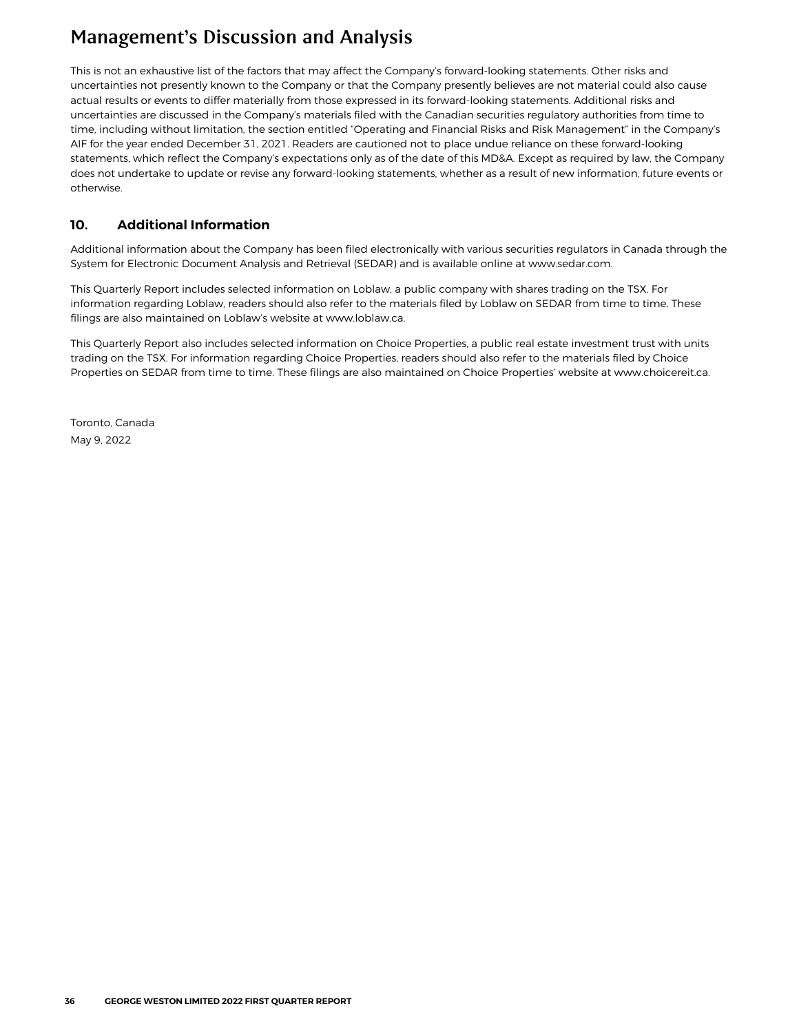<span id="page-35-0"></span>This is not an exhaustive list of the factors that may affect the Company's forward-looking statements. Other risks and uncertainties not presently known to the Company or that the Company presently believes are not material could also cause actual results or events to differ materially from those expressed in its forward-looking statements. Additional risks and uncertainties are discussed in the Company's materials filed with the Canadian securities regulatory authorities from time to time, including without limitation, the section entitled "Operating and Financial Risks and Risk Management" in the Company's AIF for the year ended December 31, 2021. Readers are cautioned not to place undue reliance on these forward-looking statements, which reflect the Company's expectations only as of the date of this MD&A. Except as required by law, the Company does not undertake to update or revise any forward-looking statements, whether as a result of new information, future events or otherwise.

#### **10. Additional Information**

Additional information about the Company has been filed electronically with various securities regulators in Canada through the System for Electronic Document Analysis and Retrieval (SEDAR) and is available online at www.sedar.com.

This Quarterly Report includes selected information on Loblaw, a public company with shares trading on the TSX. For information regarding Loblaw, readers should also refer to the materials filed by Loblaw on SEDAR from time to time. These filings are also maintained on Loblaw's website at www.loblaw.ca.

This Quarterly Report also includes selected information on Choice Properties, a public real estate investment trust with units trading on the TSX. For information regarding Choice Properties, readers should also refer to the materials filed by Choice Properties on SEDAR from time to time. These filings are also maintained on Choice Properties' website at www.choicereit.ca.

Toronto, Canada May 9, 2022